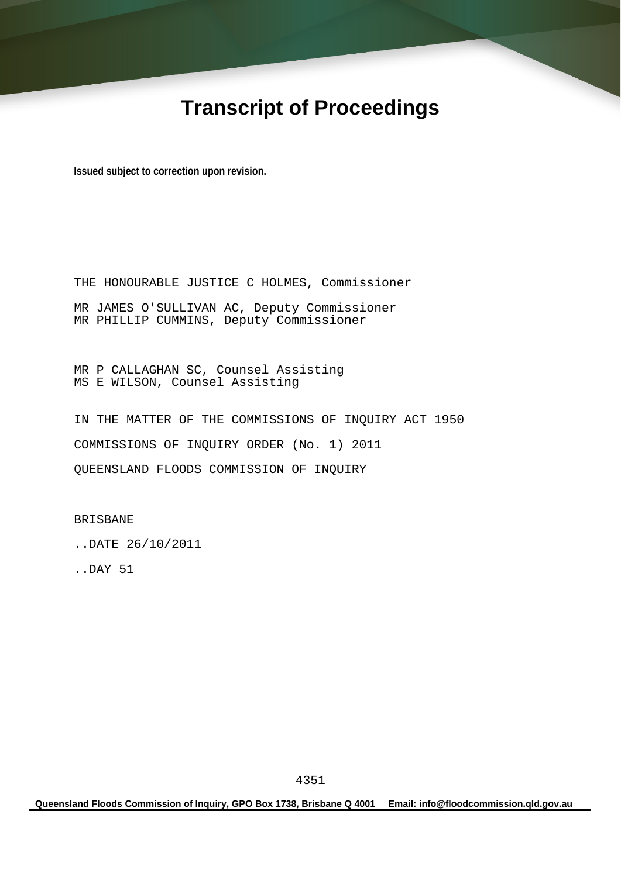# **Transcript of Proceedings**

**Issued subject to correction upon revision.** 

THE HONOURABLE JUSTICE C HOLMES, Commissioner MR JAMES O'SULLIVAN AC, Deputy Commissioner MR PHILLIP CUMMINS, Deputy Commissioner

MR P CALLAGHAN SC, Counsel Assisting MS E WILSON, Counsel Assisting

IN THE MATTER OF THE COMMISSIONS OF INQUIRY ACT 1950 COMMISSIONS OF INQUIRY ORDER (No. 1) 2011 QUEENSLAND FLOODS COMMISSION OF INQUIRY

BRISBANE

..DATE 26/10/2011

..DAY 51

**Queensland Floods Commission of Inquiry, GPO Box 1738, Brisbane Q 4001 Email: info@floodcommission.qld.gov.au**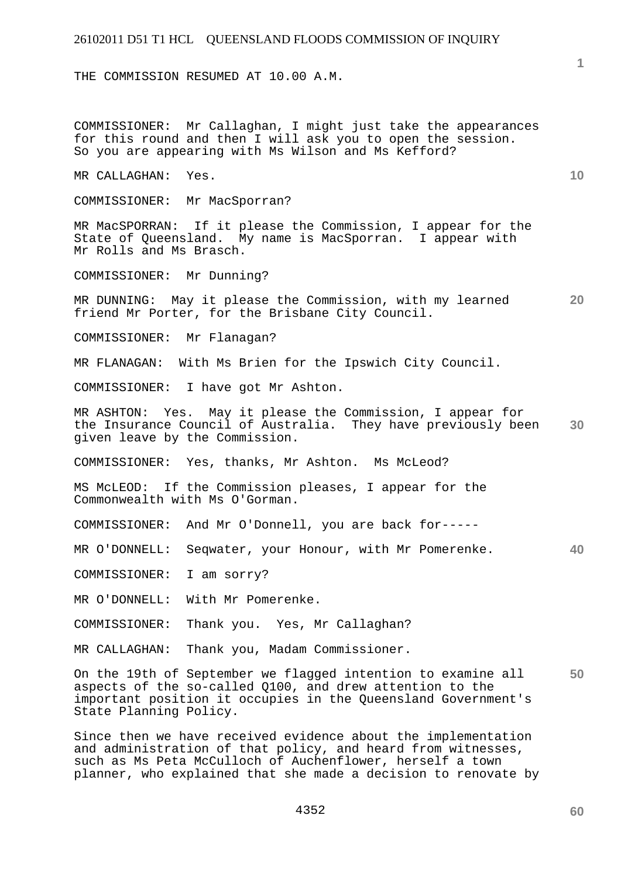THE COMMISSION RESUMED AT 10.00 A.M.

COMMISSIONER: Mr Callaghan, I might just take the appearances for this round and then I will ask you to open the session. So you are appearing with Ms Wilson and Ms Kefford?

MR CALLAGHAN: Yes.

COMMISSIONER: Mr MacSporran?

MR MacSPORRAN: If it please the Commission, I appear for the State of Queensland. My name is MacSporran. I appear with Mr Rolls and Ms Brasch.

COMMISSIONER: Mr Dunning?

**20**  MR DUNNING: May it please the Commission, with my learned friend Mr Porter, for the Brisbane City Council.

COMMISSIONER: Mr Flanagan?

MR FLANAGAN: With Ms Brien for the Ipswich City Council.

COMMISSIONER: I have got Mr Ashton.

**30**  MR ASHTON: Yes. May it please the Commission, I appear for the Insurance Council of Australia. They have previously been given leave by the Commission.

COMMISSIONER: Yes, thanks, Mr Ashton. Ms McLeod?

MS McLEOD: If the Commission pleases, I appear for the Commonwealth with Ms O'Gorman.

COMMISSIONER: And Mr O'Donnell, you are back for-----

**40**  MR O'DONNELL: Seqwater, your Honour, with Mr Pomerenke.

COMMISSIONER: I am sorry?

MR O'DONNELL: With Mr Pomerenke.

COMMISSIONER: Thank you. Yes, Mr Callaghan?

MR CALLAGHAN: Thank you, Madam Commissioner.

**50**  On the 19th of September we flagged intention to examine all aspects of the so-called Q100, and drew attention to the important position it occupies in the Queensland Government's State Planning Policy.

Since then we have received evidence about the implementation and administration of that policy, and heard from witnesses, such as Ms Peta McCulloch of Auchenflower, herself a town planner, who explained that she made a decision to renovate by

|        | I |
|--------|---|
| I<br>٧ |   |
|        |   |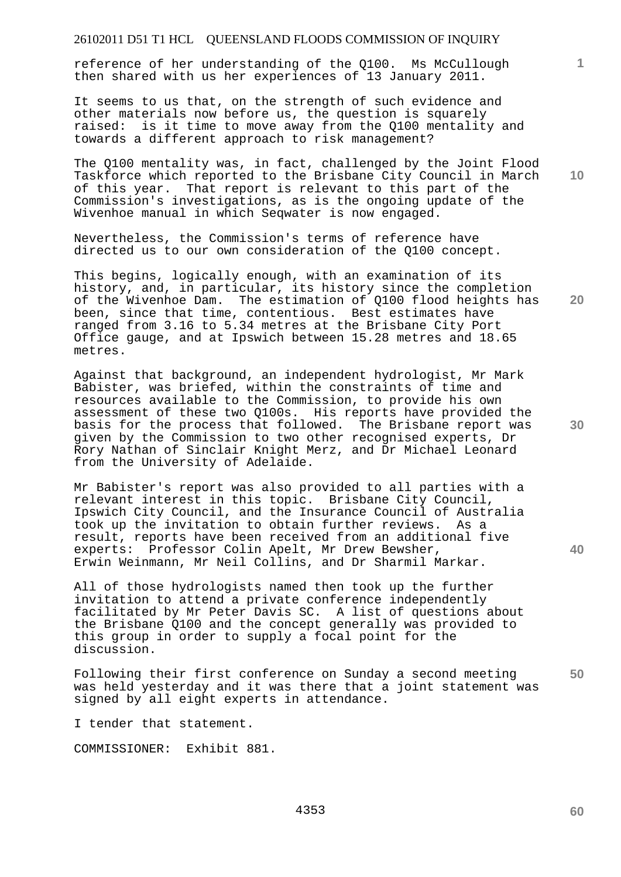reference of her understanding of the Q100. Ms McCullough then shared with us her experiences of 13 January 2011.

It seems to us that, on the strength of such evidence and other materials now before us, the question is squarely raised: is it time to move away from the Q100 mentality and towards a different approach to risk management?

The Q100 mentality was, in fact, challenged by the Joint Flood Taskforce which reported to the Brisbane City Council in March of this year. That report is relevant to this part of the Commission's investigations, as is the ongoing update of the Wivenhoe manual in which Seqwater is now engaged.

Nevertheless, the Commission's terms of reference have directed us to our own consideration of the Q100 concept.

This begins, logically enough, with an examination of its history, and, in particular, its history since the completion of the Wivenhoe Dam. The estimation of Q100 flood heights has been, since that time, contentious. Best estimates have ranged from 3.16 to 5.34 metres at the Brisbane City Port Office gauge, and at Ipswich between 15.28 metres and 18.65 metres.

Against that background, an independent hydrologist, Mr Mark Babister, was briefed, within the constraints of time and resources available to the Commission, to provide his own assessment of these two Q100s. His reports have provided the basis for the process that followed. The Brisbane report was given by the Commission to two other recognised experts, Dr Rory Nathan of Sinclair Knight Merz, and Dr Michael Leonard from the University of Adelaide.

Mr Babister's report was also provided to all parties with a relevant interest in this topic. Brisbane City Council, Ipswich City Council, and the Insurance Council of Australia took up the invitation to obtain further reviews. As a result, reports have been received from an additional five experts: Professor Colin Apelt, Mr Drew Bewsher, Erwin Weinmann, Mr Neil Collins, and Dr Sharmil Markar.

All of those hydrologists named then took up the further invitation to attend a private conference independently facilitated by Mr Peter Davis SC. A list of questions about the Brisbane Q100 and the concept generally was provided to this group in order to supply a focal point for the discussion.

**50**  Following their first conference on Sunday a second meeting was held yesterday and it was there that a joint statement was signed by all eight experts in attendance.

I tender that statement.

COMMISSIONER: Exhibit 881.

**10** 

**1**

**20** 

**30**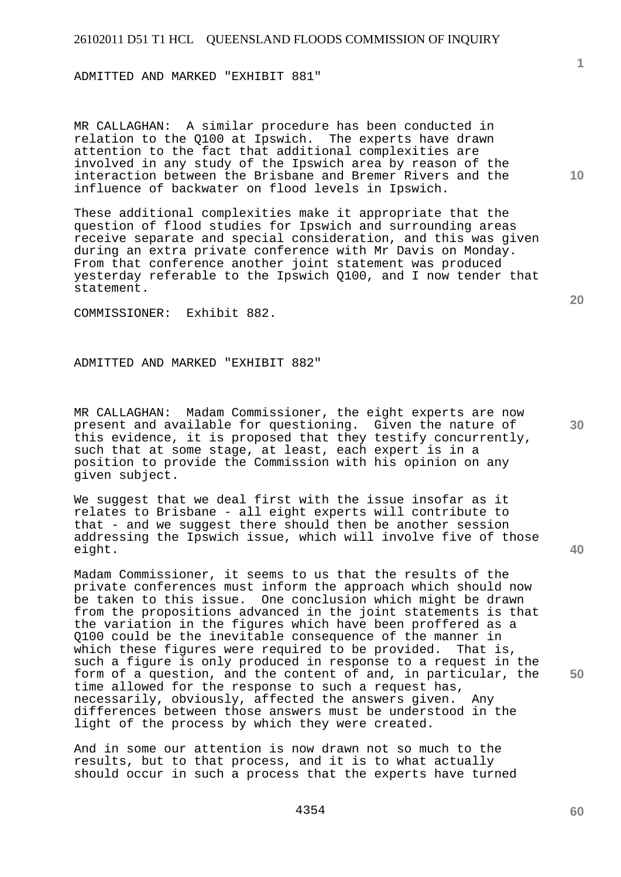ADMITTED AND MARKED "EXHIBIT 881"

MR CALLAGHAN: A similar procedure has been conducted in relation to the Q100 at Ipswich. The experts have drawn attention to the fact that additional complexities are involved in any study of the Ipswich area by reason of the interaction between the Brisbane and Bremer Rivers and the influence of backwater on flood levels in Ipswich.

These additional complexities make it appropriate that the question of flood studies for Ipswich and surrounding areas receive separate and special consideration, and this was given during an extra private conference with Mr Davis on Monday. From that conference another joint statement was produced yesterday referable to the Ipswich Q100, and I now tender that statement.

COMMISSIONER: Exhibit 882.

ADMITTED AND MARKED "EXHIBIT 882"

MR CALLAGHAN: Madam Commissioner, the eight experts are now present and available for questioning. Given the nature of this evidence, it is proposed that they testify concurrently, such that at some stage, at least, each expert is in a position to provide the Commission with his opinion on any given subject.

We suggest that we deal first with the issue insofar as it relates to Brisbane - all eight experts will contribute to that - and we suggest there should then be another session addressing the Ipswich issue, which will involve five of those eight.

Madam Commissioner, it seems to us that the results of the private conferences must inform the approach which should now be taken to this issue. One conclusion which might be drawn from the propositions advanced in the joint statements is that the variation in the figures which have been proffered as a Q100 could be the inevitable consequence of the manner in which these figures were required to be provided. That is, such a figure is only produced in response to a request in the form of a question, and the content of and, in particular, the time allowed for the response to such a request has, necessarily, obviously, affected the answers given. Any differences between those answers must be understood in the light of the process by which they were created.

And in some our attention is now drawn not so much to the results, but to that process, and it is to what actually should occur in such a process that the experts have turned **10** 

**20** 

**1**

**40**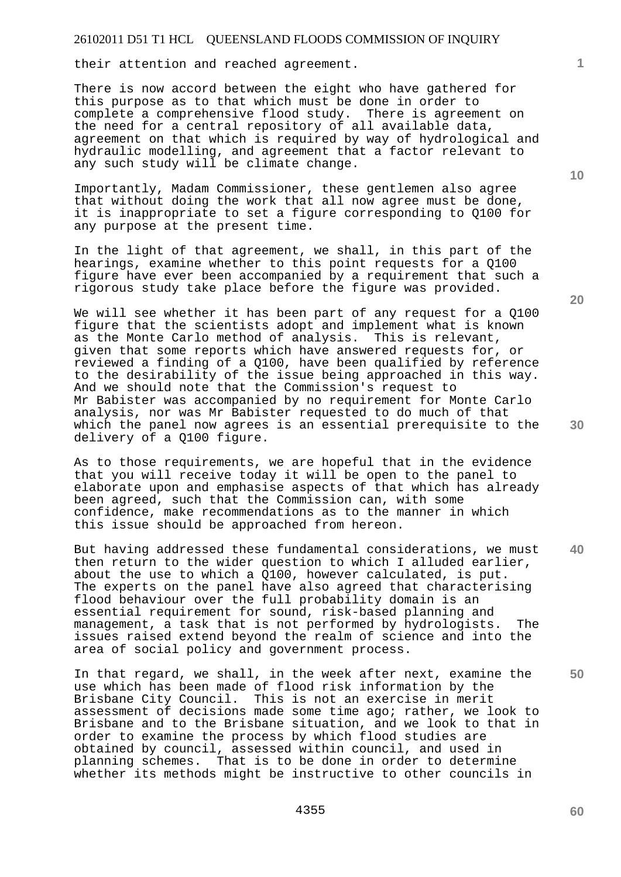their attention and reached agreement.

There is now accord between the eight who have gathered for this purpose as to that which must be done in order to complete a comprehensive flood study. There is agreement on the need for a central repository of all available data, agreement on that which is required by way of hydrological and hydraulic modelling, and agreement that a factor relevant to any such study will be climate change.

Importantly, Madam Commissioner, these gentlemen also agree that without doing the work that all now agree must be done, it is inappropriate to set a figure corresponding to Q100 for any purpose at the present time.

In the light of that agreement, we shall, in this part of the hearings, examine whether to this point requests for a Q100 figure have ever been accompanied by a requirement that such a rigorous study take place before the figure was provided.

We will see whether it has been part of any request for a Q100 figure that the scientists adopt and implement what is known as the Monte Carlo method of analysis. This is relevant, given that some reports which have answered requests for, or reviewed a finding of a Q100, have been qualified by reference to the desirability of the issue being approached in this way. And we should note that the Commission's request to Mr Babister was accompanied by no requirement for Monte Carlo analysis, nor was Mr Babister requested to do much of that which the panel now agrees is an essential prerequisite to the delivery of a Q100 figure.

As to those requirements, we are hopeful that in the evidence that you will receive today it will be open to the panel to elaborate upon and emphasise aspects of that which has already been agreed, such that the Commission can, with some confidence, make recommendations as to the manner in which this issue should be approached from hereon.

**40**  But having addressed these fundamental considerations, we must then return to the wider question to which I alluded earlier, about the use to which a Q100, however calculated, is put. The experts on the panel have also agreed that characterising flood behaviour over the full probability domain is an essential requirement for sound, risk-based planning and management, a task that is not performed by hydrologists. The issues raised extend beyond the realm of science and into the area of social policy and government process.

In that regard, we shall, in the week after next, examine the use which has been made of flood risk information by the Brisbane City Council. This is not an exercise in merit assessment of decisions made some time ago; rather, we look to Brisbane and to the Brisbane situation, and we look to that in order to examine the process by which flood studies are obtained by council, assessed within council, and used in planning schemes. That is to be done in order to determine whether its methods might be instructive to other councils in

**10** 

**1**

**20**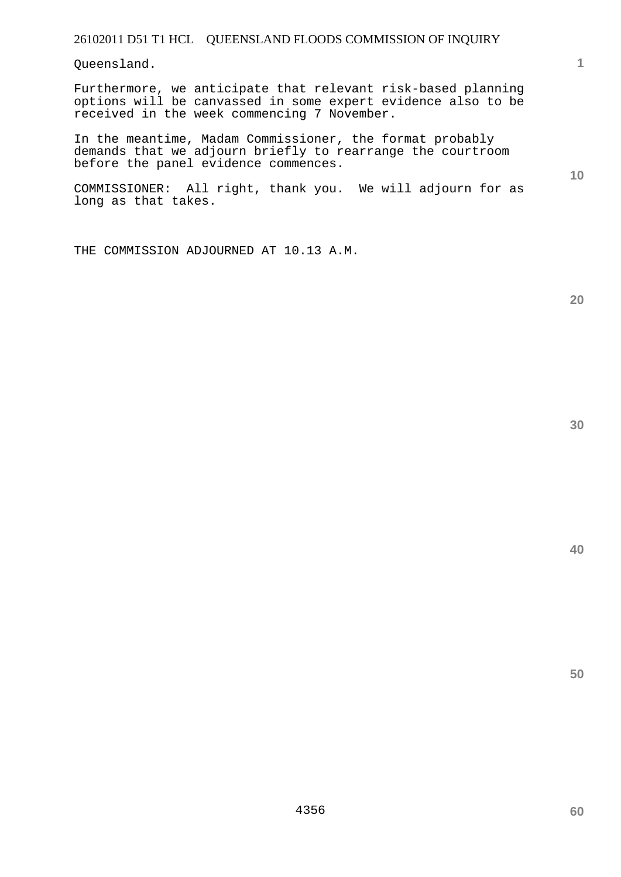Queensland.

Furthermore, we anticipate that relevant risk-based planning options will be canvassed in some expert evidence also to be received in the week commencing 7 November.

In the meantime, Madam Commissioner, the format probably demands that we adjourn briefly to rearrange the courtroom before the panel evidence commences.

**10** 

**1**

COMMISSIONER: All right, thank you. We will adjourn for as long as that takes.

THE COMMISSION ADJOURNED AT 10.13 A.M.

**30** 

**20** 

**40**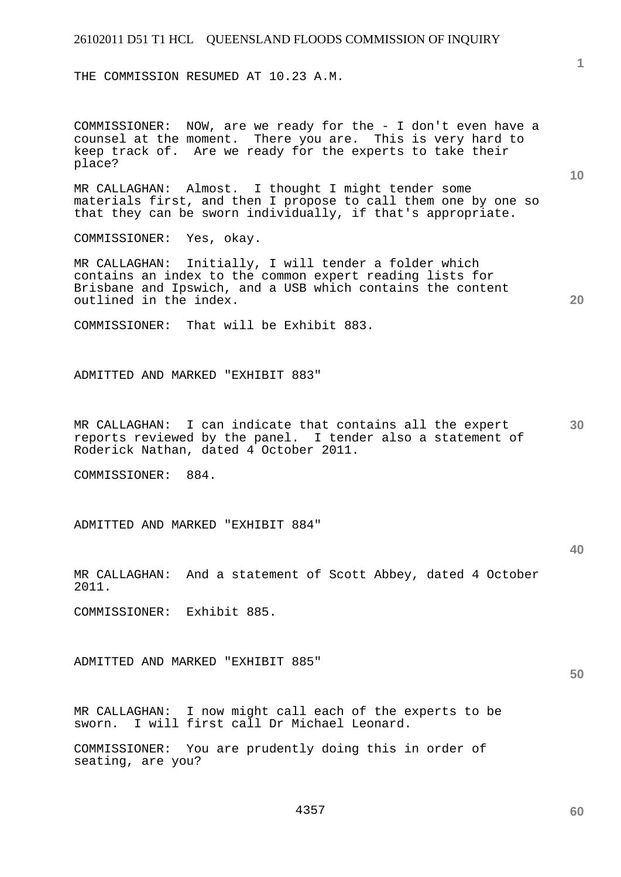THE COMMISSION RESUMED AT 10.23 A.M.

COMMISSIONER: NOW, are we ready for the - I don't even have a counsel at the moment. There you are. This is very hard to keep track of. Are we ready for the experts to take their place?

MR CALLAGHAN: Almost. I thought I might tender some materials first, and then I propose to call them one by one so that they can be sworn individually, if that's appropriate.

COMMISSIONER: Yes, okay.

MR CALLAGHAN: Initially, I will tender a folder which contains an index to the common expert reading lists for Brisbane and Ipswich, and a USB which contains the content outlined in the index.

COMMISSIONER: That will be Exhibit 883.

ADMITTED AND MARKED "EXHIBIT 883"

**30**  MR CALLAGHAN: I can indicate that contains all the expert reports reviewed by the panel. I tender also a statement of Roderick Nathan, dated 4 October 2011.

COMMISSIONER: 884.

ADMITTED AND MARKED "EXHIBIT 884"

**40** 

**50** 

**1**

**10** 

**20** 

MR CALLAGHAN: And a statement of Scott Abbey, dated 4 October 2011.

COMMISSIONER: Exhibit 885.

ADMITTED AND MARKED "EXHIBIT 885"

MR CALLAGHAN: I now might call each of the experts to be sworn. I will first call Dr Michael Leonard.

COMMISSIONER: You are prudently doing this in order of seating, are you?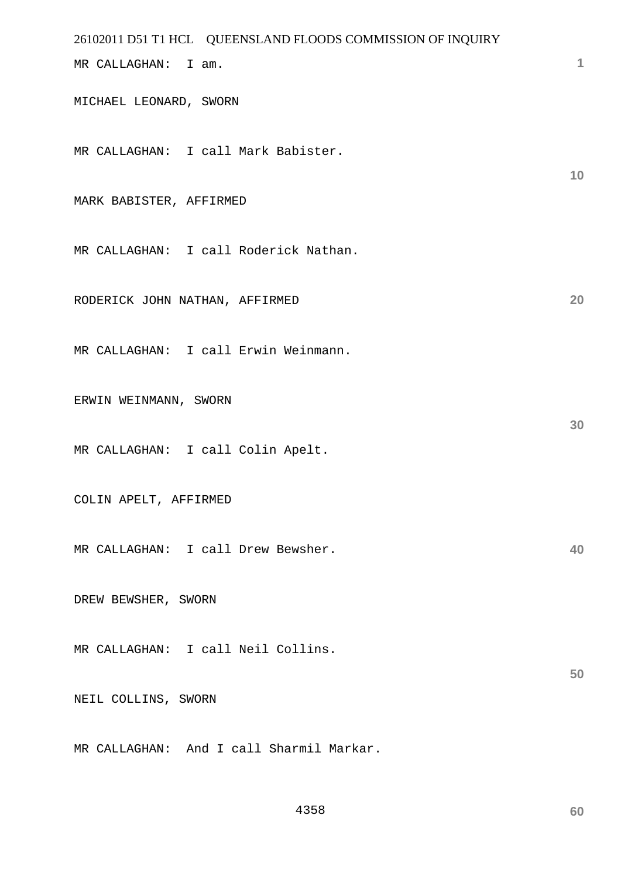| 26102011 D51 T1 HCL QUEENSLAND FLOODS COMMISSION OF INQUIRY |    |
|-------------------------------------------------------------|----|
| MR CALLAGHAN: I am.                                         | 1  |
| MICHAEL LEONARD, SWORN                                      |    |
| MR CALLAGHAN: I call Mark Babister.                         | 10 |
| MARK BABISTER, AFFIRMED                                     |    |
| MR CALLAGHAN: I call Roderick Nathan.                       |    |
| RODERICK JOHN NATHAN, AFFIRMED                              | 20 |
| MR CALLAGHAN: I call Erwin Weinmann.                        |    |
| ERWIN WEINMANN, SWORN                                       | 30 |
| MR CALLAGHAN: I call Colin Apelt.                           |    |
| COLIN APELT, AFFIRMED                                       |    |
| MR CALLAGHAN: I call Drew Bewsher.                          | 40 |
| DREW BEWSHER, SWORN                                         |    |
| MR CALLAGHAN: I call Neil Collins.                          | 50 |
| NEIL COLLINS, SWORN                                         |    |
| MR CALLAGHAN: And I call Sharmil Markar.                    |    |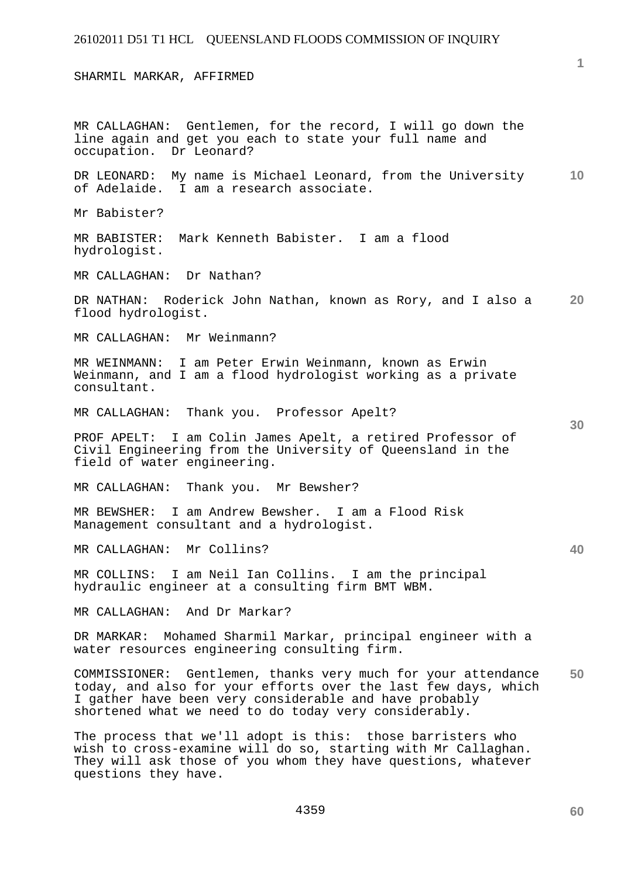SHARMIL MARKAR, AFFIRMED

**10 20 30 40 50**  MR CALLAGHAN: Gentlemen, for the record, I will go down the line again and get you each to state your full name and occupation. Dr Leonard? DR LEONARD: My name is Michael Leonard, from the University of Adelaide. I am a research associate. Mr Babister? MR BABISTER: Mark Kenneth Babister. I am a flood hydrologist. MR CALLAGHAN: Dr Nathan? DR NATHAN: Roderick John Nathan, known as Rory, and I also a flood hydrologist. MR CALLAGHAN: Mr Weinmann? MR WEINMANN: I am Peter Erwin Weinmann, known as Erwin Weinmann, and I am a flood hydrologist working as a private consultant. MR CALLAGHAN: Thank you. Professor Apelt? PROF APELT: I am Colin James Apelt, a retired Professor of Civil Engineering from the University of Queensland in the field of water engineering. MR CALLAGHAN: Thank you. Mr Bewsher? MR BEWSHER: I am Andrew Bewsher. I am a Flood Risk Management consultant and a hydrologist. MR CALLAGHAN: Mr Collins? MR COLLINS: I am Neil Ian Collins. I am the principal hydraulic engineer at a consulting firm BMT WBM. MR CALLAGHAN: And Dr Markar? DR MARKAR: Mohamed Sharmil Markar, principal engineer with a water resources engineering consulting firm. COMMISSIONER: Gentlemen, thanks very much for your attendance today, and also for your efforts over the last few days, which I gather have been very considerable and have probably shortened what we need to do today very considerably. The process that we'll adopt is this: those barristers who wish to cross-examine will do so, starting with Mr Callaghan. They will ask those of you whom they have questions, whatever questions they have.

**60**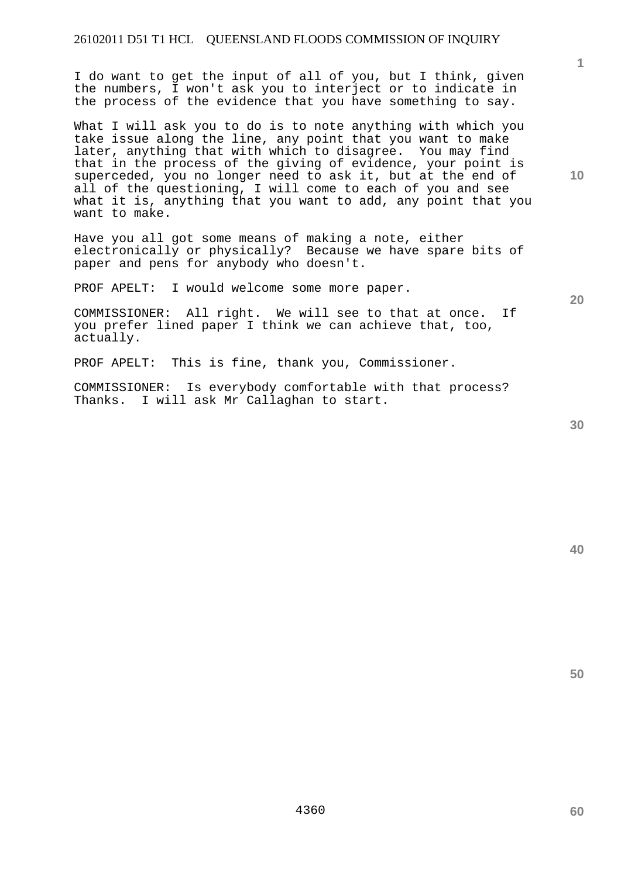I do want to get the input of all of you, but I think, given the numbers, I won't ask you to interject or to indicate in the process of the evidence that you have something to say.

What I will ask you to do is to note anything with which you take issue along the line, any point that you want to make later, anything that with which to disagree. You may find that in the process of the giving of evidence, your point is superceded, you no longer need to ask it, but at the end of all of the questioning, I will come to each of you and see what it is, anything that you want to add, any point that you want to make.

Have you all got some means of making a note, either electronically or physically? Because we have spare bits of paper and pens for anybody who doesn't.

PROF APELT: I would welcome some more paper.

COMMISSIONER: All right. We will see to that at once. If you prefer lined paper I think we can achieve that, too, actually.

PROF APELT: This is fine, thank you, Commissioner.

COMMISSIONER: Is everybody comfortable with that process? Thanks. I will ask Mr Callaghan to start.

**40** 

**50** 

**1**

**10**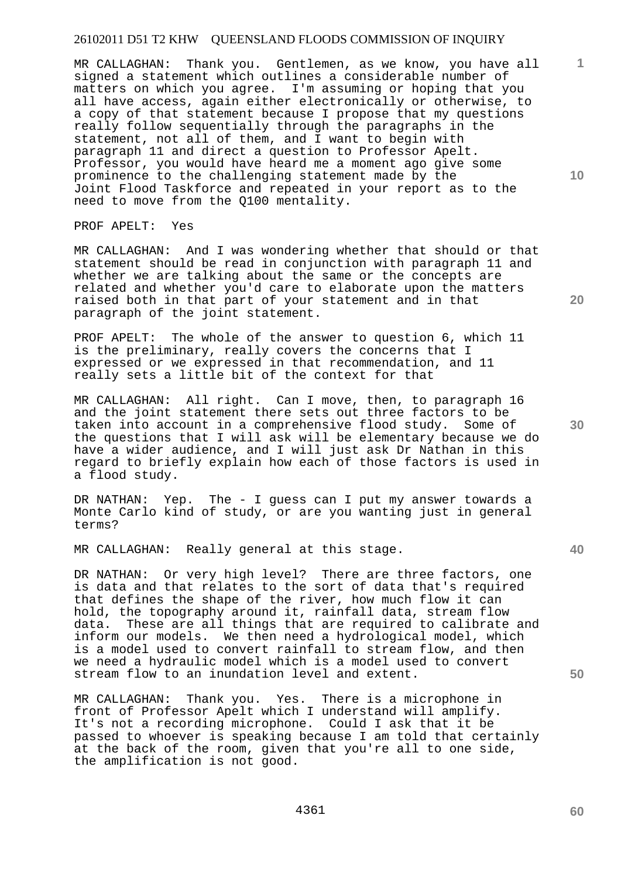MR CALLAGHAN: Thank you. Gentlemen, as we know, you have all signed a statement which outlines a considerable number of matters on which you agree. I'm assuming or hoping that you all have access, again either electronically or otherwise, to a copy of that statement because I propose that my questions really follow sequentially through the paragraphs in the statement, not all of them, and I want to begin with paragraph 11 and direct a question to Professor Apelt. Professor, you would have heard me a moment ago give some prominence to the challenging statement made by the Joint Flood Taskforce and repeated in your report as to the need to move from the Q100 mentality.

PROF APELT: Yes

MR CALLAGHAN: And I was wondering whether that should or that statement should be read in conjunction with paragraph 11 and whether we are talking about the same or the concepts are related and whether you'd care to elaborate upon the matters raised both in that part of your statement and in that paragraph of the joint statement.

PROF APELT: The whole of the answer to question 6, which 11 is the preliminary, really covers the concerns that I expressed or we expressed in that recommendation, and 11 really sets a little bit of the context for that

MR CALLAGHAN: All right. Can I move, then, to paragraph 16 and the joint statement there sets out three factors to be taken into account in a comprehensive flood study. Some of the questions that I will ask will be elementary because we do have a wider audience, and I will just ask Dr Nathan in this regard to briefly explain how each of those factors is used in a flood study.

DR NATHAN: Yep. The - I guess can I put my answer towards a Monte Carlo kind of study, or are you wanting just in general terms?

MR CALLAGHAN: Really general at this stage.

DR NATHAN: Or very high level? There are three factors, one is data and that relates to the sort of data that's required that defines the shape of the river, how much flow it can hold, the topography around it, rainfall data, stream flow data. These are all things that are required to calibrate and inform our models. We then need a hydrological model, which is a model used to convert rainfall to stream flow, and then we need a hydraulic model which is a model used to convert stream flow to an inundation level and extent.

MR CALLAGHAN: Thank you. Yes. There is a microphone in front of Professor Apelt which I understand will amplify. It's not a recording microphone. Could I ask that it be passed to whoever is speaking because I am told that certainly at the back of the room, given that you're all to one side, the amplification is not good.

**20** 

**10** 

**1**

**30**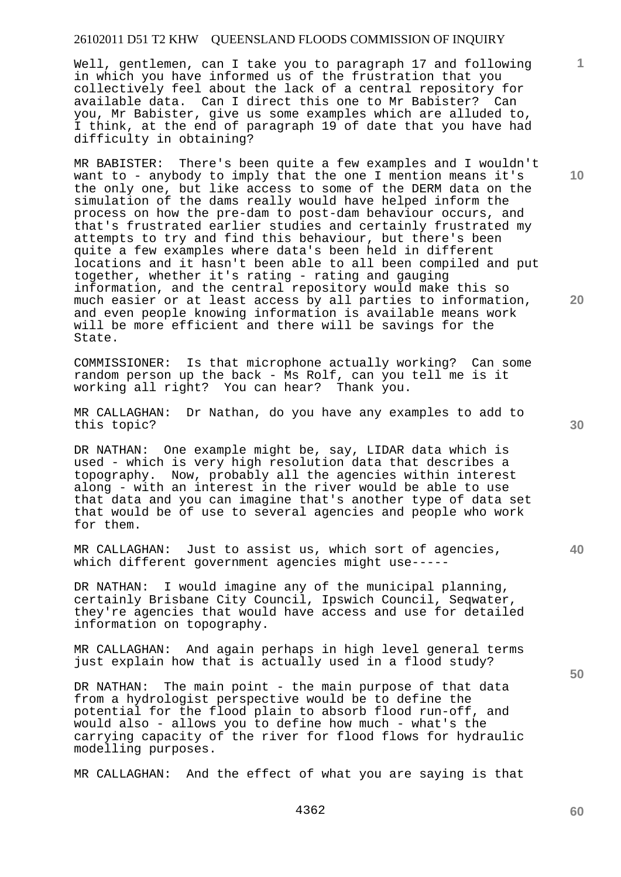Well, gentlemen, can I take you to paragraph 17 and following in which you have informed us of the frustration that you collectively feel about the lack of a central repository for available data. Can I direct this one to Mr Babister? Can you, Mr Babister, give us some examples which are alluded to, I think, at the end of paragraph 19 of date that you have had difficulty in obtaining?

MR BABISTER: There's been quite a few examples and I wouldn't want to - anybody to imply that the one I mention means it's the only one, but like access to some of the DERM data on the simulation of the dams really would have helped inform the process on how the pre-dam to post-dam behaviour occurs, and that's frustrated earlier studies and certainly frustrated my attempts to try and find this behaviour, but there's been quite a few examples where data's been held in different locations and it hasn't been able to all been compiled and put together, whether it's rating - rating and gauging information, and the central repository would make this so much easier or at least access by all parties to information, and even people knowing information is available means work will be more efficient and there will be savings for the State.

COMMISSIONER: Is that microphone actually working? Can some random person up the back - Ms Rolf, can you tell me is it working all right? You can hear? Thank you.

MR CALLAGHAN: Dr Nathan, do you have any examples to add to this topic?

DR NATHAN: One example might be, say, LIDAR data which is used - which is very high resolution data that describes a topography. Now, probably all the agencies within interest along - with an interest in the river would be able to use that data and you can imagine that's another type of data set that would be of use to several agencies and people who work for them.

MR CALLAGHAN: Just to assist us, which sort of agencies, which different government agencies might use-----

DR NATHAN: I would imagine any of the municipal planning, certainly Brisbane City Council, Ipswich Council, Seqwater, they're agencies that would have access and use for detailed information on topography.

MR CALLAGHAN: And again perhaps in high level general terms just explain how that is actually used in a flood study?

DR NATHAN: The main point - the main purpose of that data from a hydrologist perspective would be to define the potential for the flood plain to absorb flood run-off, and would also - allows you to define how much - what's the carrying capacity of the river for flood flows for hydraulic modelling purposes.

MR CALLAGHAN: And the effect of what you are saying is that

**10** 

**1**

**20** 

**30** 

**40**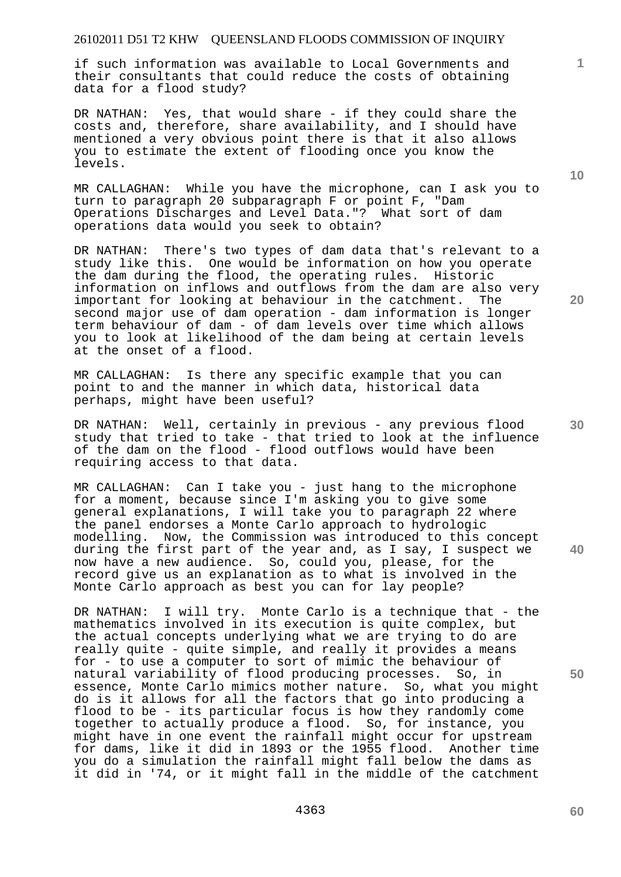if such information was available to Local Governments and their consultants that could reduce the costs of obtaining data for a flood study?

DR NATHAN: Yes, that would share - if they could share the costs and, therefore, share availability, and I should have mentioned a very obvious point there is that it also allows you to estimate the extent of flooding once you know the levels.

MR CALLAGHAN: While you have the microphone, can I ask you to turn to paragraph 20 subparagraph F or point F, "Dam Operations Discharges and Level Data."? What sort of dam operations data would you seek to obtain?

DR NATHAN: There's two types of dam data that's relevant to a study like this. One would be information on how you operate the dam during the flood, the operating rules. Historic information on inflows and outflows from the dam are also very important for looking at behaviour in the catchment. The second major use of dam operation - dam information is longer term behaviour of dam - of dam levels over time which allows you to look at likelihood of the dam being at certain levels at the onset of a flood.

MR CALLAGHAN: Is there any specific example that you can point to and the manner in which data, historical data perhaps, might have been useful?

DR NATHAN: Well, certainly in previous - any previous flood study that tried to take - that tried to look at the influence of the dam on the flood - flood outflows would have been requiring access to that data.

MR CALLAGHAN: Can I take you - just hang to the microphone for a moment, because since I'm asking you to give some general explanations, I will take you to paragraph 22 where the panel endorses a Monte Carlo approach to hydrologic modelling. Now, the Commission was introduced to this concept during the first part of the year and, as I say, I suspect we now have a new audience. So, could you, please, for the record give us an explanation as to what is involved in the Monte Carlo approach as best you can for lay people?

DR NATHAN: I will try. Monte Carlo is a technique that - the mathematics involved in its execution is quite complex, but the actual concepts underlying what we are trying to do are really quite - quite simple, and really it provides a means for - to use a computer to sort of mimic the behaviour of natural variability of flood producing processes. So, in essence, Monte Carlo mimics mother nature. So, what you might do is it allows for all the factors that go into producing a flood to be - its particular focus is how they randomly come together to actually produce a flood. So, for instance, you might have in one event the rainfall might occur for upstream for dams, like it did in 1893 or the 1955 flood. Another time you do a simulation the rainfall might fall below the dams as it did in '74, or it might fall in the middle of the catchment

**10** 

**1**

**20** 

**50**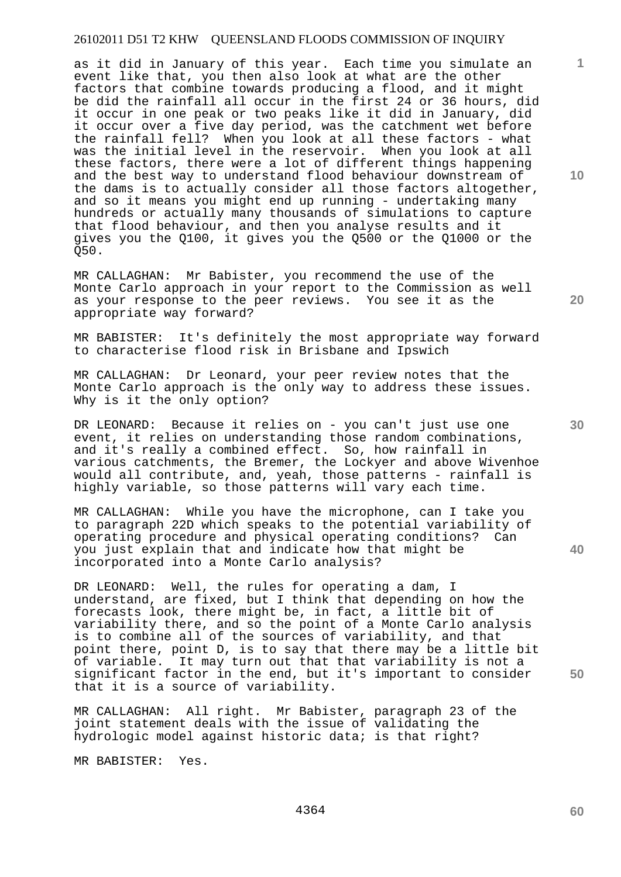as it did in January of this year. Each time you simulate an event like that, you then also look at what are the other factors that combine towards producing a flood, and it might be did the rainfall all occur in the first 24 or 36 hours, did it occur in one peak or two peaks like it did in January, did it occur over a five day period, was the catchment wet before the rainfall fell? When you look at all these factors - what was the initial level in the reservoir. When you look at all these factors, there were a lot of different things happening and the best way to understand flood behaviour downstream of the dams is to actually consider all those factors altogether, and so it means you might end up running - undertaking many hundreds or actually many thousands of simulations to capture that flood behaviour, and then you analyse results and it gives you the Q100, it gives you the Q500 or the Q1000 or the Q50.

MR CALLAGHAN: Mr Babister, you recommend the use of the Monte Carlo approach in your report to the Commission as well as your response to the peer reviews. You see it as the appropriate way forward?

MR BABISTER: It's definitely the most appropriate way forward to characterise flood risk in Brisbane and Ipswich

MR CALLAGHAN: Dr Leonard, your peer review notes that the Monte Carlo approach is the only way to address these issues. Why is it the only option?

DR LEONARD: Because it relies on - you can't just use one event, it relies on understanding those random combinations, and it's really a combined effect. So, how rainfall in various catchments, the Bremer, the Lockyer and above Wivenhoe would all contribute, and, yeah, those patterns - rainfall is highly variable, so those patterns will vary each time.

MR CALLAGHAN: While you have the microphone, can I take you to paragraph 22D which speaks to the potential variability of operating procedure and physical operating conditions? Can you just explain that and indicate how that might be incorporated into a Monte Carlo analysis?

DR LEONARD: Well, the rules for operating a dam, I understand, are fixed, but I think that depending on how the forecasts look, there might be, in fact, a little bit of variability there, and so the point of a Monte Carlo analysis is to combine all of the sources of variability, and that point there, point D, is to say that there may be a little bit of variable. It may turn out that that variability is not a significant factor in the end, but it's important to consider that it is a source of variability.

MR CALLAGHAN: All right. Mr Babister, paragraph 23 of the joint statement deals with the issue of validating the hydrologic model against historic data; is that right?

MR BABISTER: Yes.

**10** 

**1**

**20** 

**40**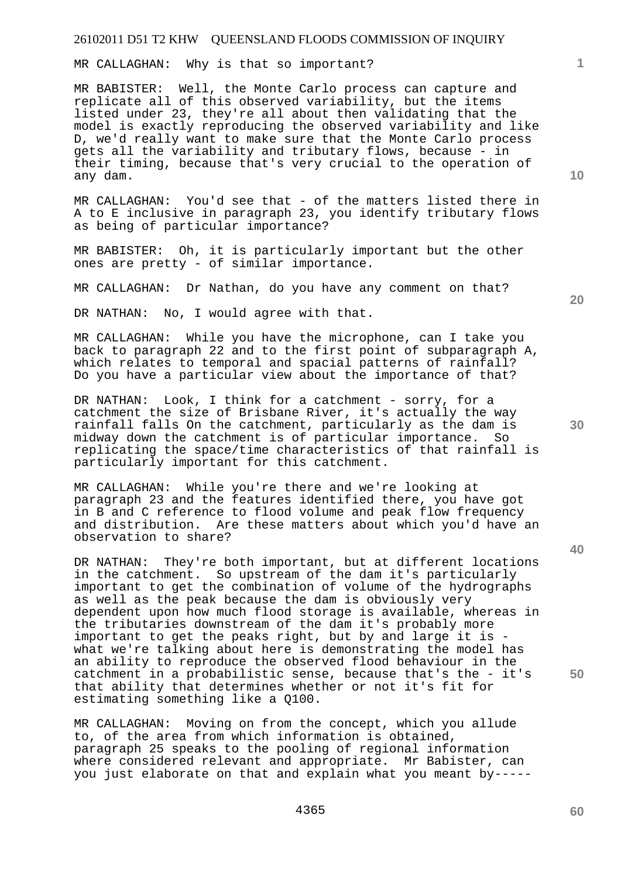MR CALLAGHAN: Why is that so important?

MR BABISTER: Well, the Monte Carlo process can capture and replicate all of this observed variability, but the items listed under 23, they're all about then validating that the model is exactly reproducing the observed variability and like D, we'd really want to make sure that the Monte Carlo process gets all the variability and tributary flows, because - in their timing, because that's very crucial to the operation of any dam.

MR CALLAGHAN: You'd see that - of the matters listed there in A to E inclusive in paragraph 23, you identify tributary flows as being of particular importance?

MR BABISTER: Oh, it is particularly important but the other ones are pretty - of similar importance.

MR CALLAGHAN: Dr Nathan, do you have any comment on that?

DR NATHAN: No, I would agree with that.

MR CALLAGHAN: While you have the microphone, can I take you back to paragraph 22 and to the first point of subparagraph A, which relates to temporal and spacial patterns of rainfall? Do you have a particular view about the importance of that?

DR NATHAN: Look, I think for a catchment - sorry, for a catchment the size of Brisbane River, it's actually the way rainfall falls On the catchment, particularly as the dam is midway down the catchment is of particular importance. So replicating the space/time characteristics of that rainfall is particularly important for this catchment.

MR CALLAGHAN: While you're there and we're looking at paragraph 23 and the features identified there, you have got in B and C reference to flood volume and peak flow frequency and distribution. Are these matters about which you'd have an observation to share?

DR NATHAN: They're both important, but at different locations in the catchment. So upstream of the dam it's particularly important to get the combination of volume of the hydrographs as well as the peak because the dam is obviously very dependent upon how much flood storage is available, whereas in the tributaries downstream of the dam it's probably more important to get the peaks right, but by and large it is what we're talking about here is demonstrating the model has an ability to reproduce the observed flood behaviour in the catchment in a probabilistic sense, because that's the - it's that ability that determines whether or not it's fit for estimating something like a Q100.

MR CALLAGHAN: Moving on from the concept, which you allude to, of the area from which information is obtained, paragraph 25 speaks to the pooling of regional information where considered relevant and appropriate. Mr Babister, can you just elaborate on that and explain what you meant by----- **10** 

**1**

**30** 

**20**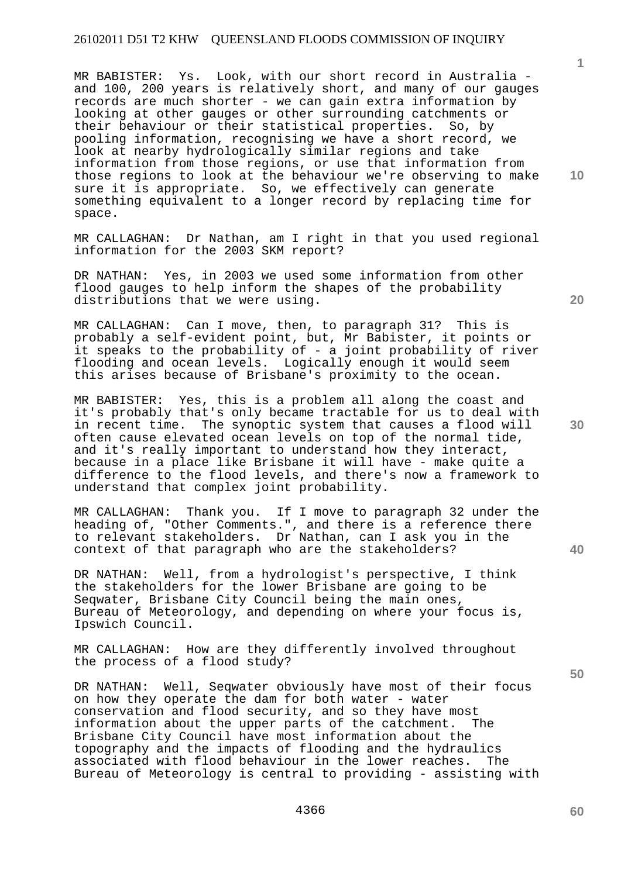MR BABISTER: Ys. Look, with our short record in Australia and 100, 200 years is relatively short, and many of our gauges records are much shorter - we can gain extra information by looking at other gauges or other surrounding catchments or their behaviour or their statistical properties. So, by pooling information, recognising we have a short record, we look at nearby hydrologically similar regions and take information from those regions, or use that information from those regions to look at the behaviour we're observing to make sure it is appropriate. So, we effectively can generate something equivalent to a longer record by replacing time for space.

MR CALLAGHAN: Dr Nathan, am I right in that you used regional information for the 2003 SKM report?

DR NATHAN: Yes, in 2003 we used some information from other flood gauges to help inform the shapes of the probability distributions that we were using.

MR CALLAGHAN: Can I move, then, to paragraph 31? This is probably a self-evident point, but, Mr Babister, it points or it speaks to the probability of - a joint probability of river flooding and ocean levels. Logically enough it would seem this arises because of Brisbane's proximity to the ocean.

MR BABISTER: Yes, this is a problem all along the coast and it's probably that's only became tractable for us to deal with in recent time. The synoptic system that causes a flood will often cause elevated ocean levels on top of the normal tide, and it's really important to understand how they interact, because in a place like Brisbane it will have - make quite a difference to the flood levels, and there's now a framework to understand that complex joint probability.

MR CALLAGHAN: Thank you. If I move to paragraph 32 under the heading of, "Other Comments.", and there is a reference there to relevant stakeholders. Dr Nathan, can I ask you in the context of that paragraph who are the stakeholders?

DR NATHAN: Well, from a hydrologist's perspective, I think the stakeholders for the lower Brisbane are going to be Seqwater, Brisbane City Council being the main ones, Bureau of Meteorology, and depending on where your focus is, Ipswich Council.

MR CALLAGHAN: How are they differently involved throughout the process of a flood study?

DR NATHAN: Well, Seqwater obviously have most of their focus on how they operate the dam for both water - water conservation and flood security, and so they have most information about the upper parts of the catchment. The Brisbane City Council have most information about the topography and the impacts of flooding and the hydraulics associated with flood behaviour in the lower reaches. The Bureau of Meteorology is central to providing - assisting with **10** 

**1**

**20** 

**40**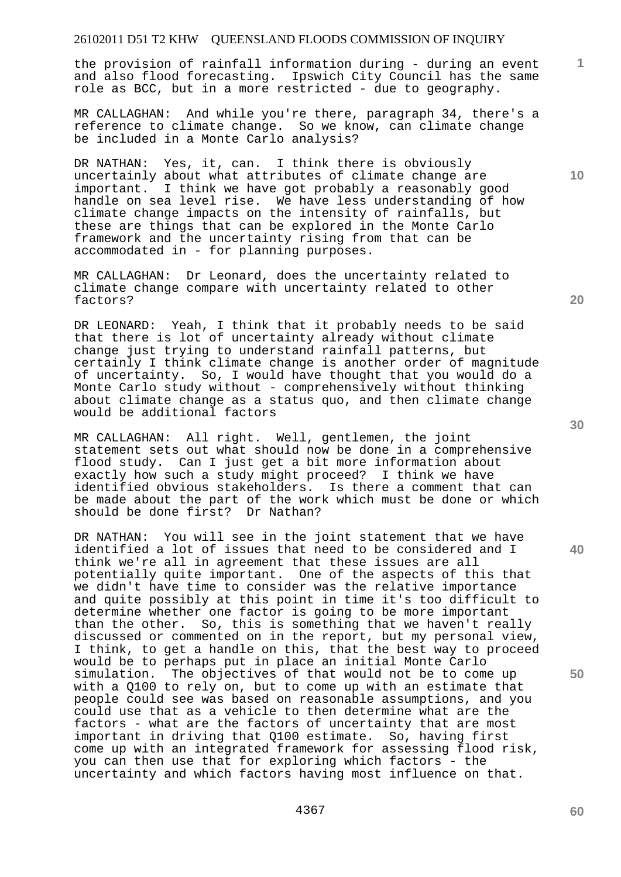the provision of rainfall information during - during an event and also flood forecasting. Ipswich City Council has the same role as BCC, but in a more restricted - due to geography.

MR CALLAGHAN: And while you're there, paragraph 34, there's a reference to climate change. So we know, can climate change be included in a Monte Carlo analysis?

DR NATHAN: Yes, it, can. I think there is obviously uncertainly about what attributes of climate change are important. I think we have got probably a reasonably good handle on sea level rise. We have less understanding of how climate change impacts on the intensity of rainfalls, but these are things that can be explored in the Monte Carlo framework and the uncertainty rising from that can be accommodated in - for planning purposes.

MR CALLAGHAN: Dr Leonard, does the uncertainty related to climate change compare with uncertainty related to other factors?

DR LEONARD: Yeah, I think that it probably needs to be said that there is lot of uncertainty already without climate change just trying to understand rainfall patterns, but certainly I think climate change is another order of magnitude of uncertainty. So, I would have thought that you would do a Monte Carlo study without - comprehensively without thinking about climate change as a status quo, and then climate change would be additional factors

MR CALLAGHAN: All right. Well, gentlemen, the joint statement sets out what should now be done in a comprehensive flood study. Can I just get a bit more information about exactly how such a study might proceed? I think we have identified obvious stakeholders. Is there a comment that can be made about the part of the work which must be done or which should be done first? Dr Nathan?

DR NATHAN: You will see in the joint statement that we have identified a lot of issues that need to be considered and I think we're all in agreement that these issues are all potentially quite important. One of the aspects of this that we didn't have time to consider was the relative importance and quite possibly at this point in time it's too difficult to determine whether one factor is going to be more important than the other. So, this is something that we haven't really discussed or commented on in the report, but my personal view, I think, to get a handle on this, that the best way to proceed would be to perhaps put in place an initial Monte Carlo simulation. The objectives of that would not be to come up with a Q100 to rely on, but to come up with an estimate that people could see was based on reasonable assumptions, and you could use that as a vehicle to then determine what are the factors - what are the factors of uncertainty that are most important in driving that Q100 estimate. So, having first come up with an integrated framework for assessing flood risk, you can then use that for exploring which factors - the uncertainty and which factors having most influence on that.

**30** 

**1**

**10** 

**20**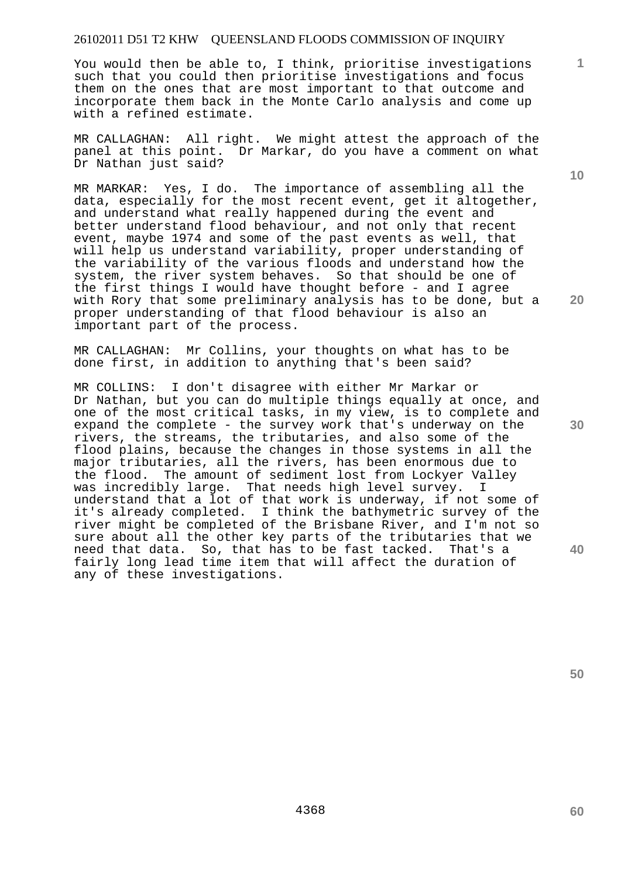You would then be able to, I think, prioritise investigations such that you could then prioritise investigations and focus them on the ones that are most important to that outcome and incorporate them back in the Monte Carlo analysis and come up with a refined estimate.

MR CALLAGHAN: All right. We might attest the approach of the panel at this point. Dr Markar, do you have a comment on what Dr Nathan just said?

MR MARKAR: Yes, I do. The importance of assembling all the data, especially for the most recent event, get it altogether, and understand what really happened during the event and better understand flood behaviour, and not only that recent event, maybe 1974 and some of the past events as well, that will help us understand variability, proper understanding of the variability of the various floods and understand how the system, the river system behaves. So that should be one of the first things I would have thought before - and I agree with Rory that some preliminary analysis has to be done, but a proper understanding of that flood behaviour is also an important part of the process.

MR CALLAGHAN: Mr Collins, your thoughts on what has to be done first, in addition to anything that's been said?

MR COLLINS: I don't disagree with either Mr Markar or Dr Nathan, but you can do multiple things equally at once, and one of the most critical tasks, in my view, is to complete and expand the complete - the survey work that's underway on the rivers, the streams, the tributaries, and also some of the flood plains, because the changes in those systems in all the major tributaries, all the rivers, has been enormous due to the flood. The amount of sediment lost from Lockyer Valley was incredibly large. That needs high level survey. I understand that a lot of that work is underway, if not some of it's already completed. I think the bathymetric survey of the river might be completed of the Brisbane River, and I'm not so sure about all the other key parts of the tributaries that we need that data. So, that has to be fast tacked. That's a fairly long lead time item that will affect the duration of any of these investigations.

**20** 

**30** 

**40** 

**50** 

**1**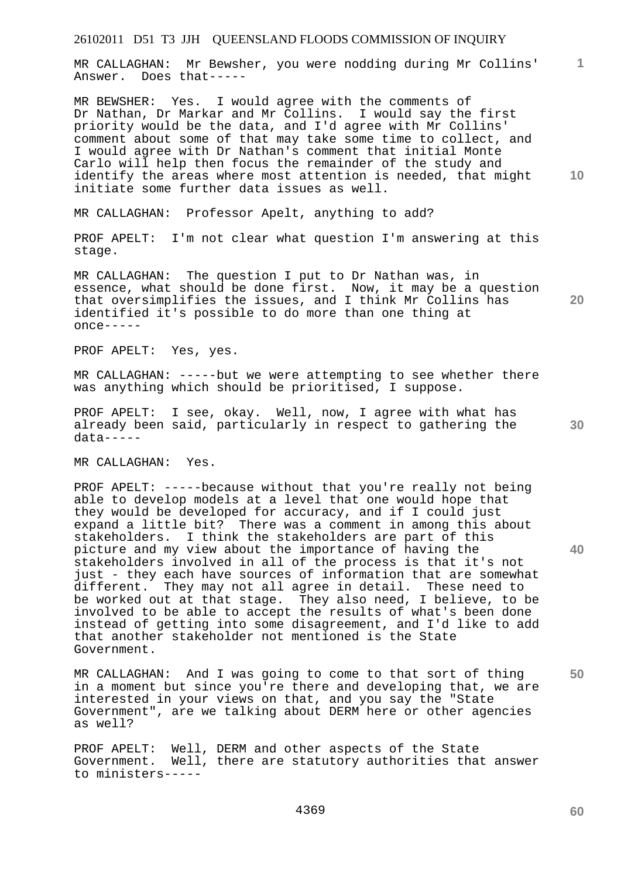MR CALLAGHAN: Mr Bewsher, you were nodding during Mr Collins' Answer. Does that-----

MR BEWSHER: Yes. I would agree with the comments of Dr Nathan, Dr Markar and Mr Collins. I would say the first priority would be the data, and I'd agree with Mr Collins' comment about some of that may take some time to collect, and I would agree with Dr Nathan's comment that initial Monte Carlo will help then focus the remainder of the study and identify the areas where most attention is needed, that might initiate some further data issues as well.

MR CALLAGHAN: Professor Apelt, anything to add?

PROF APELT: I'm not clear what question I'm answering at this stage.

**20**  MR CALLAGHAN: The question I put to Dr Nathan was, in essence, what should be done first. Now, it may be a question that oversimplifies the issues, and I think Mr Collins has identified it's possible to do more than one thing at once-----

PROF APELT: Yes, yes.

MR CALLAGHAN: -----but we were attempting to see whether there was anything which should be prioritised, I suppose.

PROF APELT: I see, okay. Well, now, I agree with what has already been said, particularly in respect to gathering the data-----

MR CALLAGHAN: Yes.

PROF APELT: -----because without that you're really not being able to develop models at a level that one would hope that they would be developed for accuracy, and if I could just expand a little bit? There was a comment in among this about stakeholders. I think the stakeholders are part of this picture and my view about the importance of having the stakeholders involved in all of the process is that it's not just - they each have sources of information that are somewhat different. They may not all agree in detail. These need to be worked out at that stage. They also need, I believe, to be involved to be able to accept the results of what's been done instead of getting into some disagreement, and I'd like to add that another stakeholder not mentioned is the State Government.

MR CALLAGHAN: And I was going to come to that sort of thing in a moment but since you're there and developing that, we are interested in your views on that, and you say the "State Government", are we talking about DERM here or other agencies as well?

PROF APELT: Well, DERM and other aspects of the State Government. Well, there are statutory authorities that answer to ministers-----

**10** 

**1**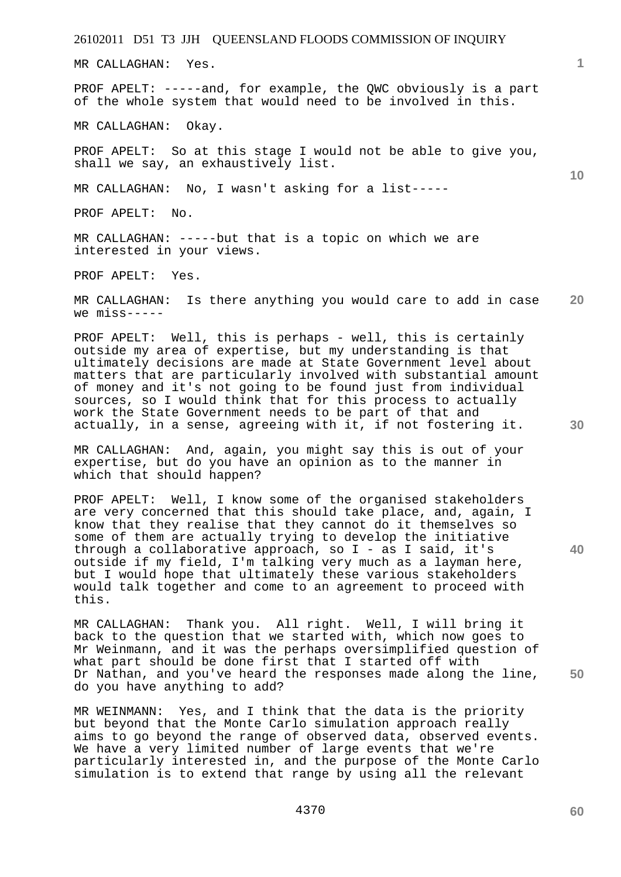MR CALLAGHAN: Yes.

PROF APELT: -----and, for example, the QWC obviously is a part of the whole system that would need to be involved in this.

MR CALLAGHAN: Okay.

PROF APELT: So at this stage I would not be able to give you, shall we say, an exhaustively list.

MR CALLAGHAN: No, I wasn't asking for a list-----

PROF APELT: No.

MR CALLAGHAN: -----but that is a topic on which we are interested in your views.

PROF APELT: Yes.

**20**  MR CALLAGHAN: Is there anything you would care to add in case we miss-----

PROF APELT: Well, this is perhaps - well, this is certainly outside my area of expertise, but my understanding is that ultimately decisions are made at State Government level about matters that are particularly involved with substantial amount of money and it's not going to be found just from individual sources, so I would think that for this process to actually work the State Government needs to be part of that and actually, in a sense, agreeing with it, if not fostering it.

MR CALLAGHAN: And, again, you might say this is out of your expertise, but do you have an opinion as to the manner in which that should happen?

PROF APELT: Well, I know some of the organised stakeholders are very concerned that this should take place, and, again, I know that they realise that they cannot do it themselves so some of them are actually trying to develop the initiative through a collaborative approach, so I - as I said, it's outside if my field, I'm talking very much as a layman here, but I would hope that ultimately these various stakeholders would talk together and come to an agreement to proceed with this.

MR CALLAGHAN: Thank you. All right. Well, I will bring it back to the question that we started with, which now goes to Mr Weinmann, and it was the perhaps oversimplified question of what part should be done first that I started off with Dr Nathan, and you've heard the responses made along the line, do you have anything to add?

MR WEINMANN: Yes, and I think that the data is the priority but beyond that the Monte Carlo simulation approach really aims to go beyond the range of observed data, observed events. We have a very limited number of large events that we're particularly interested in, and the purpose of the Monte Carlo simulation is to extend that range by using all the relevant

**30** 

**40** 

**10** 

**1**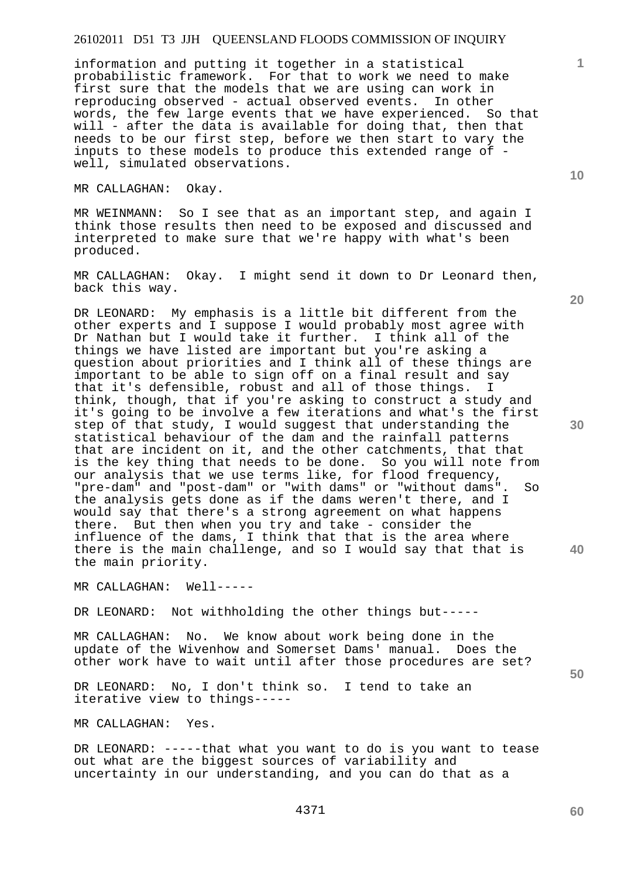information and putting it together in a statistical probabilistic framework. For that to work we need to make first sure that the models that we are using can work in reproducing observed - actual observed events. In other words, the few large events that we have experienced. So that will - after the data is available for doing that, then that needs to be our first step, before we then start to vary the inputs to these models to produce this extended range of well, simulated observations.

MR CALLAGHAN: Okay.

MR WEINMANN: So I see that as an important step, and again I think those results then need to be exposed and discussed and interpreted to make sure that we're happy with what's been produced.

MR CALLAGHAN: Okay. I might send it down to Dr Leonard then, back this way.

DR LEONARD: My emphasis is a little bit different from the other experts and I suppose I would probably most agree with Dr Nathan but I would take it further. I think all of the things we have listed are important but you're asking a question about priorities and I think all of these things are important to be able to sign off on a final result and say that it's defensible, robust and all of those things. think, though, that if you're asking to construct a study and it's going to be involve a few iterations and what's the first step of that study, I would suggest that understanding the statistical behaviour of the dam and the rainfall patterns that are incident on it, and the other catchments, that that is the key thing that needs to be done. So you will note from our analysis that we use terms like, for flood frequency, "pre-dam" and "post-dam" or "with dams" or "without dams". So the analysis gets done as if the dams weren't there, and I would say that there's a strong agreement on what happens there. But then when you try and take - consider the influence of the dams, I think that that is the area where there is the main challenge, and so I would say that that is the main priority.

MR CALLAGHAN: Well-----

DR LEONARD: Not withholding the other things but-----

MR CALLAGHAN: No. We know about work being done in the update of the Wivenhow and Somerset Dams' manual. Does the other work have to wait until after those procedures are set?

DR LEONARD: No, I don't think so. I tend to take an iterative view to things-----

MR CALLAGHAN: Yes.

DR LEONARD: -----that what you want to do is you want to tease out what are the biggest sources of variability and uncertainty in our understanding, and you can do that as a

**10** 

**1**

**20** 

**30** 

**40**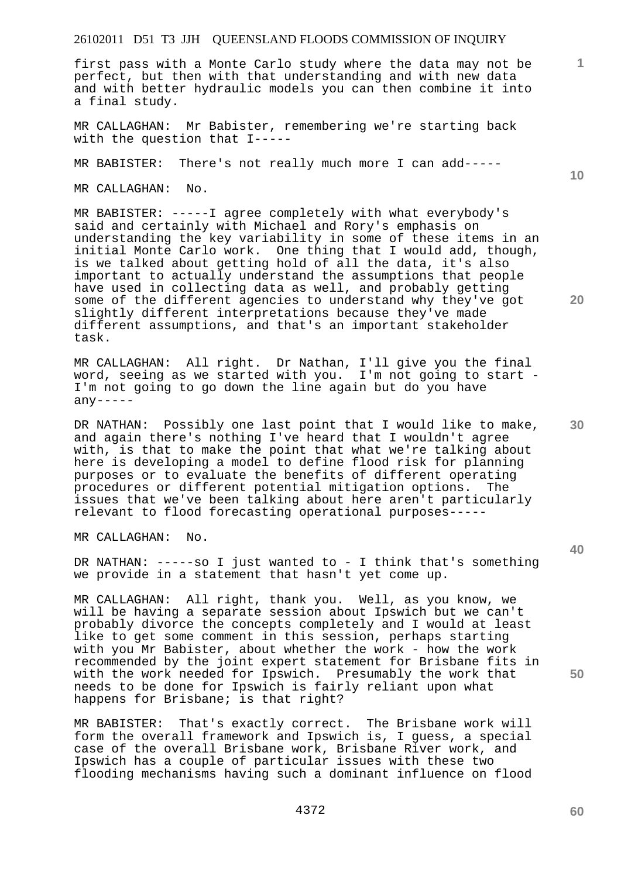first pass with a Monte Carlo study where the data may not be perfect, but then with that understanding and with new data and with better hydraulic models you can then combine it into a final study.

MR CALLAGHAN: Mr Babister, remembering we're starting back with the question that I-----

MR BABISTER: There's not really much more I can add-----

MR CALLAGHAN: No.

MR BABISTER: -----I agree completely with what everybody's said and certainly with Michael and Rory's emphasis on understanding the key variability in some of these items in an initial Monte Carlo work. One thing that I would add, though, is we talked about getting hold of all the data, it's also important to actually understand the assumptions that people have used in collecting data as well, and probably getting some of the different agencies to understand why they've got slightly different interpretations because they've made different assumptions, and that's an important stakeholder task.

MR CALLAGHAN: All right. Dr Nathan, I'll give you the final word, seeing as we started with you. I'm not going to start - I'm not going to go down the line again but do you have  $any---$ 

DR NATHAN: Possibly one last point that I would like to make, and again there's nothing I've heard that I wouldn't agree with, is that to make the point that what we're talking about here is developing a model to define flood risk for planning purposes or to evaluate the benefits of different operating procedures or different potential mitigation options. The issues that we've been talking about here aren't particularly relevant to flood forecasting operational purposes-----

MR CALLAGHAN: No.

DR NATHAN: -----so I just wanted to - I think that's something we provide in a statement that hasn't yet come up.

MR CALLAGHAN: All right, thank you. Well, as you know, we will be having a separate session about Ipswich but we can't probably divorce the concepts completely and I would at least like to get some comment in this session, perhaps starting with you Mr Babister, about whether the work - how the work recommended by the joint expert statement for Brisbane fits in with the work needed for Ipswich. Presumably the work that needs to be done for Ipswich is fairly reliant upon what happens for Brisbane; is that right?

MR BABISTER: That's exactly correct. The Brisbane work will form the overall framework and Ipswich is, I guess, a special case of the overall Brisbane work, Brisbane River work, and Ipswich has a couple of particular issues with these two flooding mechanisms having such a dominant influence on flood

**20** 

**10** 

**1**

**30** 

**40**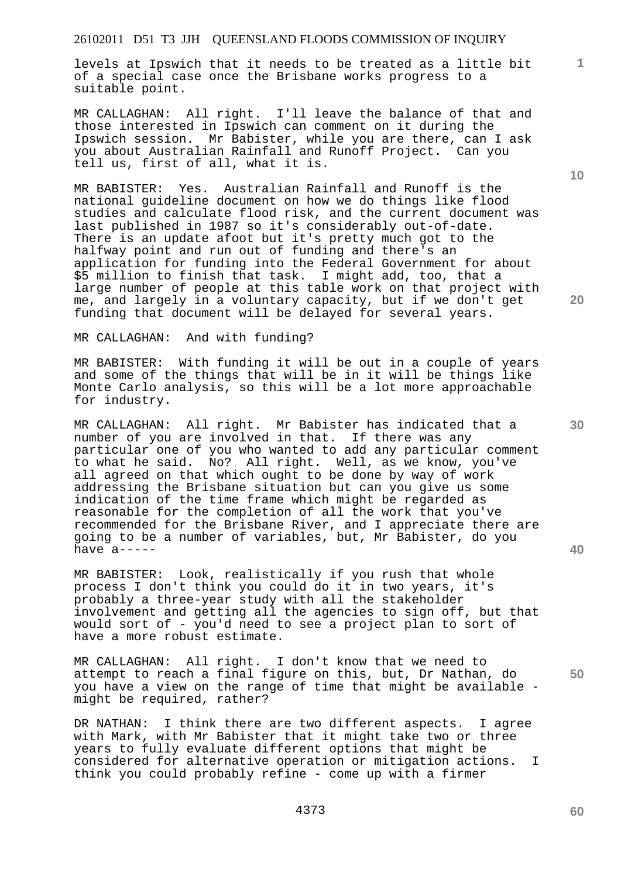levels at Ipswich that it needs to be treated as a little bit of a special case once the Brisbane works progress to a suitable point.

MR CALLAGHAN: All right. I'll leave the balance of that and those interested in Ipswich can comment on it during the Ipswich session. Mr Babister, while you are there, can I ask you about Australian Rainfall and Runoff Project. Can you tell us, first of all, what it is.

MR BABISTER: Yes. Australian Rainfall and Runoff is the national guideline document on how we do things like flood studies and calculate flood risk, and the current document was last published in 1987 so it's considerably out-of-date. There is an update afoot but it's pretty much got to the halfway point and run out of funding and there's an application for funding into the Federal Government for about \$5 million to finish that task. I might add, too, that a large number of people at this table work on that project with me, and largely in a voluntary capacity, but if we don't get funding that document will be delayed for several years.

MR CALLAGHAN: And with funding?

MR BABISTER: With funding it will be out in a couple of years and some of the things that will be in it will be things like Monte Carlo analysis, so this will be a lot more approachable for industry.

MR CALLAGHAN: All right. Mr Babister has indicated that a number of you are involved in that. If there was any particular one of you who wanted to add any particular comment to what he said. No? All right. Well, as we know, you've all agreed on that which ought to be done by way of work addressing the Brisbane situation but can you give us some indication of the time frame which might be regarded as reasonable for the completion of all the work that you've recommended for the Brisbane River, and I appreciate there are going to be a number of variables, but, Mr Babister, do you have a-----

MR BABISTER: Look, realistically if you rush that whole process I don't think you could do it in two years, it's probably a three-year study with all the stakeholder involvement and getting all the agencies to sign off, but that would sort of - you'd need to see a project plan to sort of have a more robust estimate.

MR CALLAGHAN: All right. I don't know that we need to attempt to reach a final figure on this, but, Dr Nathan, do you have a view on the range of time that might be available might be required, rather?

DR NATHAN: I think there are two different aspects. I agree with Mark, with Mr Babister that it might take two or three years to fully evaluate different options that might be considered for alternative operation or mitigation actions. I think you could probably refine - come up with a firmer

**10** 

**1**

**20** 

**40**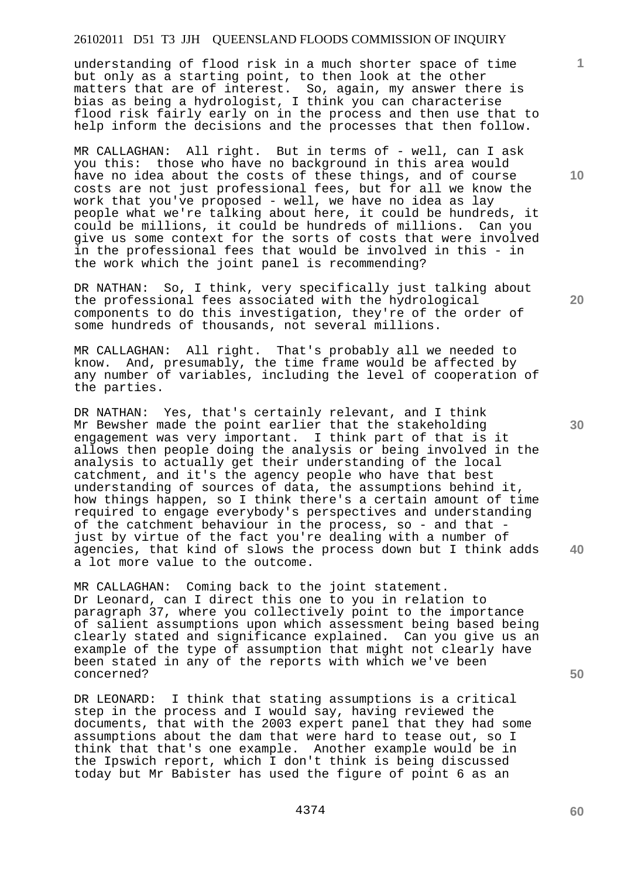understanding of flood risk in a much shorter space of time but only as a starting point, to then look at the other matters that are of interest. So, again, my answer there is bias as being a hydrologist, I think you can characterise flood risk fairly early on in the process and then use that to help inform the decisions and the processes that then follow.

MR CALLAGHAN: All right. But in terms of - well, can I ask you this: those who have no background in this area would have no idea about the costs of these things, and of course costs are not just professional fees, but for all we know the work that you've proposed - well, we have no idea as lay people what we're talking about here, it could be hundreds, it could be millions, it could be hundreds of millions. Can you give us some context for the sorts of costs that were involved in the professional fees that would be involved in this - in the work which the joint panel is recommending?

DR NATHAN: So, I think, very specifically just talking about the professional fees associated with the hydrological components to do this investigation, they're of the order of some hundreds of thousands, not several millions.

MR CALLAGHAN: All right. That's probably all we needed to know. And, presumably, the time frame would be affected by any number of variables, including the level of cooperation of the parties.

DR NATHAN: Yes, that's certainly relevant, and I think Mr Bewsher made the point earlier that the stakeholding engagement was very important. I think part of that is it allows then people doing the analysis or being involved in the analysis to actually get their understanding of the local catchment, and it's the agency people who have that best understanding of sources of data, the assumptions behind it, how things happen, so I think there's a certain amount of time required to engage everybody's perspectives and understanding of the catchment behaviour in the process, so - and that just by virtue of the fact you're dealing with a number of agencies, that kind of slows the process down but I think adds a lot more value to the outcome.

MR CALLAGHAN: Coming back to the joint statement. Dr Leonard, can I direct this one to you in relation to paragraph 37, where you collectively point to the importance of salient assumptions upon which assessment being based being clearly stated and significance explained. Can you give us an example of the type of assumption that might not clearly have been stated in any of the reports with which we've been concerned?

DR LEONARD: I think that stating assumptions is a critical step in the process and I would say, having reviewed the documents, that with the 2003 expert panel that they had some assumptions about the dam that were hard to tease out, so I think that that's one example. Another example would be in the Ipswich report, which I don't think is being discussed today but Mr Babister has used the figure of point 6 as an

**10** 

**1**

**20** 

**50**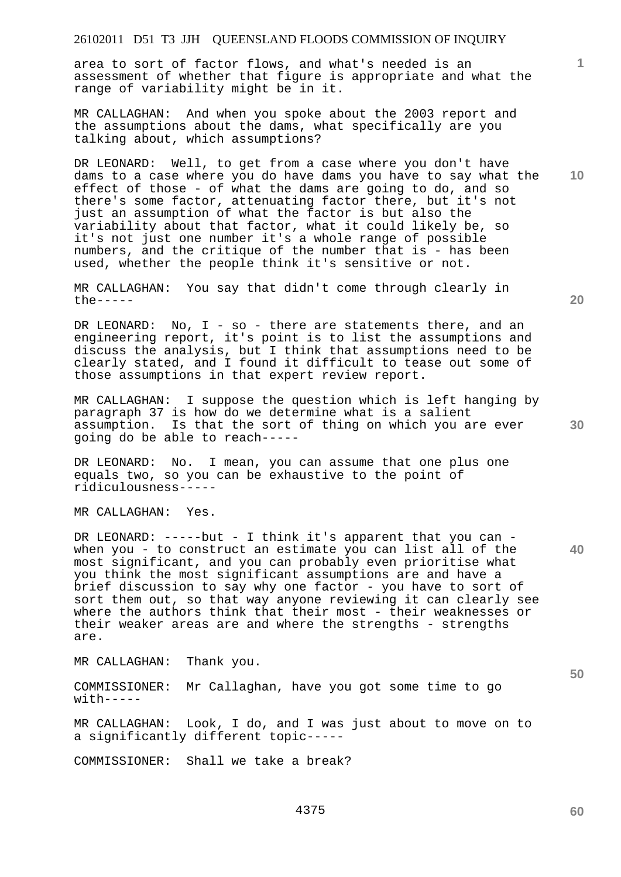area to sort of factor flows, and what's needed is an assessment of whether that figure is appropriate and what the range of variability might be in it.

MR CALLAGHAN: And when you spoke about the 2003 report and the assumptions about the dams, what specifically are you talking about, which assumptions?

DR LEONARD: Well, to get from a case where you don't have dams to a case where you do have dams you have to say what the effect of those - of what the dams are going to do, and so there's some factor, attenuating factor there, but it's not just an assumption of what the factor is but also the variability about that factor, what it could likely be, so it's not just one number it's a whole range of possible numbers, and the critique of the number that is - has been used, whether the people think it's sensitive or not.

MR CALLAGHAN: You say that didn't come through clearly in the-----

**20** 

**30** 

**40** 

**50** 

**1**

**10** 

DR LEONARD: No, I - so - there are statements there, and an engineering report, it's point is to list the assumptions and discuss the analysis, but I think that assumptions need to be clearly stated, and I found it difficult to tease out some of those assumptions in that expert review report.

MR CALLAGHAN: I suppose the question which is left hanging by paragraph 37 is how do we determine what is a salient assumption. Is that the sort of thing on which you are ever going do be able to reach-----

DR LEONARD: No. I mean, you can assume that one plus one equals two, so you can be exhaustive to the point of ridiculousness-----

MR CALLAGHAN: Yes.

DR LEONARD: -----but - I think it's apparent that you can when you - to construct an estimate you can list all of the most significant, and you can probably even prioritise what you think the most significant assumptions are and have a brief discussion to say why one factor - you have to sort of sort them out, so that way anyone reviewing it can clearly see where the authors think that their most - their weaknesses or their weaker areas are and where the strengths - strengths are.

MR CALLAGHAN: Thank you.

COMMISSIONER: Mr Callaghan, have you got some time to go  $with---$ 

MR CALLAGHAN: Look, I do, and I was just about to move on to a significantly different topic-----

COMMISSIONER: Shall we take a break?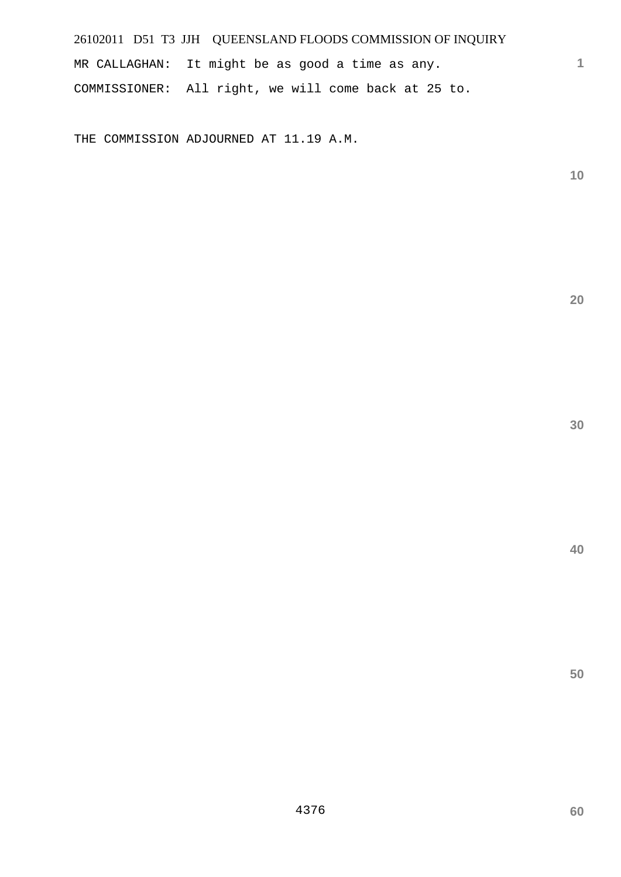MR CALLAGHAN: It might be as good a time as any. COMMISSIONER: All right, we will come back at 25 to.

THE COMMISSION ADJOURNED AT 11.19 A.M.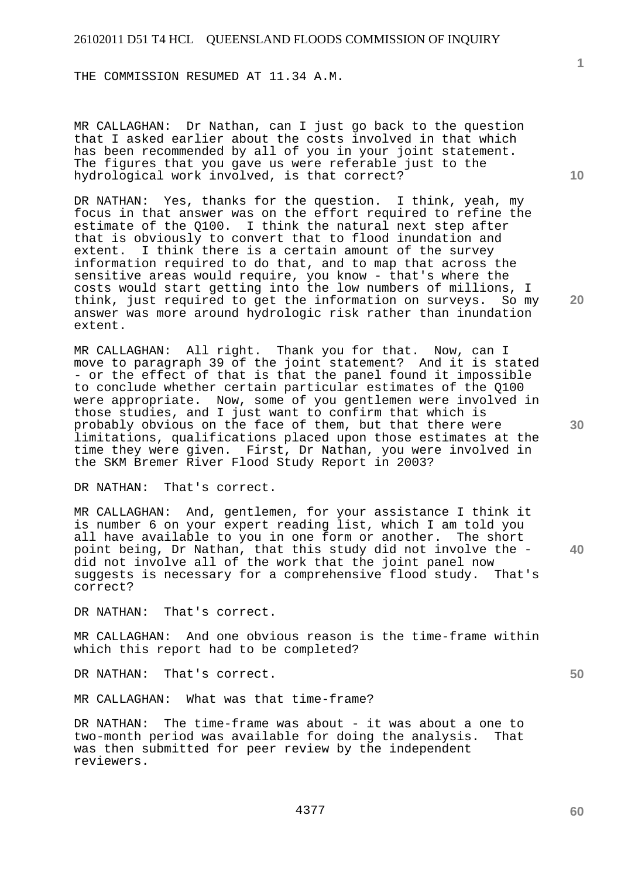THE COMMISSION RESUMED AT 11.34 A.M.

MR CALLAGHAN: Dr Nathan, can I just go back to the question that I asked earlier about the costs involved in that which has been recommended by all of you in your joint statement. The figures that you gave us were referable just to the hydrological work involved, is that correct?

DR NATHAN: Yes, thanks for the question. I think, yeah, my focus in that answer was on the effort required to refine the estimate of the Q100. I think the natural next step after that is obviously to convert that to flood inundation and extent. I think there is a certain amount of the survey information required to do that, and to map that across the sensitive areas would require, you know - that's where the costs would start getting into the low numbers of millions, I think, just required to get the information on surveys. So my answer was more around hydrologic risk rather than inundation extent.

MR CALLAGHAN: All right. Thank you for that. Now, can I move to paragraph 39 of the joint statement? And it is stated - or the effect of that is that the panel found it impossible to conclude whether certain particular estimates of the Q100 were appropriate. Now, some of you gentlemen were involved in those studies, and I just want to confirm that which is probably obvious on the face of them, but that there were limitations, qualifications placed upon those estimates at the time they were given. First, Dr Nathan, you were involved in the SKM Bremer River Flood Study Report in 2003?

DR NATHAN: That's correct.

MR CALLAGHAN: And, gentlemen, for your assistance I think it is number 6 on your expert reading list, which I am told you all have available to you in one form or another. The short point being, Dr Nathan, that this study did not involve the did not involve all of the work that the joint panel now<br>suqqests is necessary for a comprehensive flood study. That's suggests is necessary for a comprehensive flood study. correct?

DR NATHAN: That's correct.

MR CALLAGHAN: And one obvious reason is the time-frame within which this report had to be completed?

DR NATHAN: That's correct.

MR CALLAGHAN: What was that time-frame?

DR NATHAN: The time-frame was about - it was about a one to two-month period was available for doing the analysis. That was then submitted for peer review by the independent reviewers.

**10** 

**1**

**20** 

**40**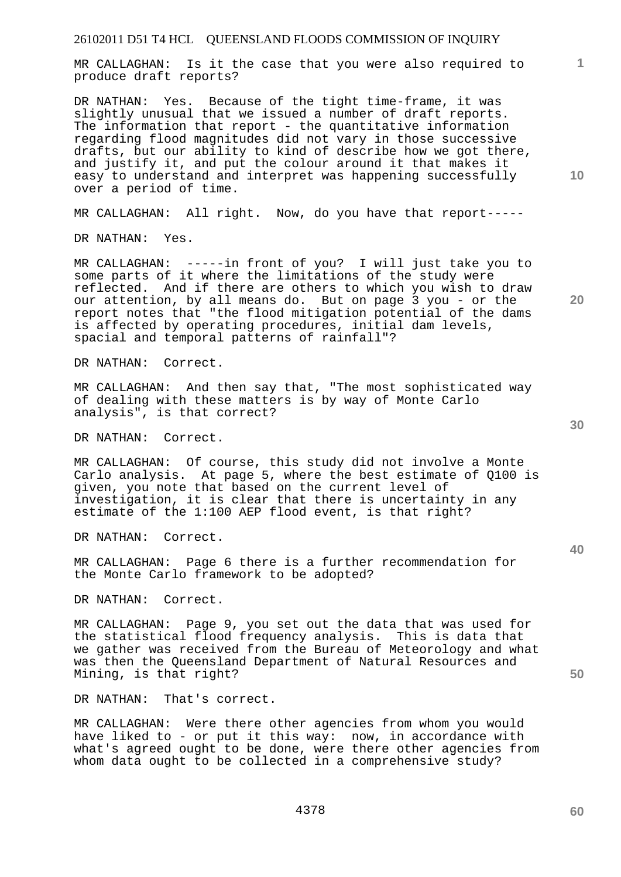MR CALLAGHAN: Is it the case that you were also required to produce draft reports?

DR NATHAN: Yes. Because of the tight time-frame, it was slightly unusual that we issued a number of draft reports. The information that report - the quantitative information regarding flood magnitudes did not vary in those successive drafts, but our ability to kind of describe how we got there, and justify it, and put the colour around it that makes it easy to understand and interpret was happening successfully over a period of time.

MR CALLAGHAN: All right. Now, do you have that report-----

DR NATHAN: Yes.

MR CALLAGHAN: -----in front of you? I will just take you to some parts of it where the limitations of the study were reflected. And if there are others to which you wish to draw our attention, by all means do. But on page 3 you - or the report notes that "the flood mitigation potential of the dams is affected by operating procedures, initial dam levels, spacial and temporal patterns of rainfall"?

DR NATHAN: Correct.

MR CALLAGHAN: And then say that, "The most sophisticated way of dealing with these matters is by way of Monte Carlo analysis", is that correct?

DR NATHAN: Correct.

MR CALLAGHAN: Of course, this study did not involve a Monte Carlo analysis. At page 5, where the best estimate of Q100 is given, you note that based on the current level of investigation, it is clear that there is uncertainty in any estimate of the 1:100 AEP flood event, is that right?

DR NATHAN: Correct.

MR CALLAGHAN: Page 6 there is a further recommendation for the Monte Carlo framework to be adopted?

DR NATHAN: Correct.

MR CALLAGHAN: Page 9, you set out the data that was used for the statistical flood frequency analysis. This is data that we gather was received from the Bureau of Meteorology and what was then the Queensland Department of Natural Resources and Mining, is that right?

DR NATHAN: That's correct.

MR CALLAGHAN: Were there other agencies from whom you would have liked to - or put it this way: now, in accordance with what's agreed ought to be done, were there other agencies from whom data ought to be collected in a comprehensive study?

**30** 

**50** 

**60** 

**10** 

**1**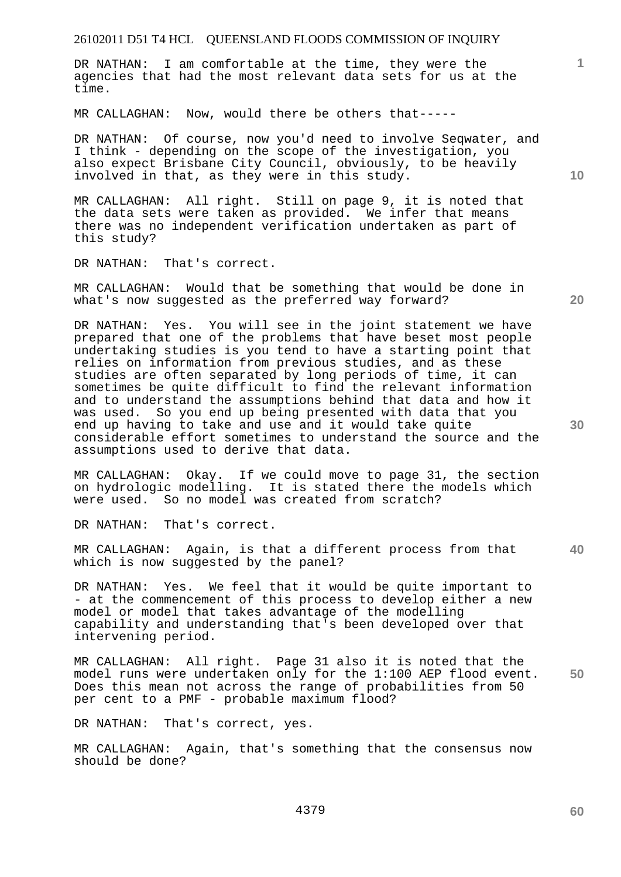DR NATHAN: I am comfortable at the time, they were the agencies that had the most relevant data sets for us at the time.

MR CALLAGHAN: Now, would there be others that-----

DR NATHAN: Of course, now you'd need to involve Seqwater, and I think - depending on the scope of the investigation, you also expect Brisbane City Council, obviously, to be heavily involved in that, as they were in this study.

MR CALLAGHAN: All right. Still on page 9, it is noted that the data sets were taken as provided. We infer that means there was no independent verification undertaken as part of this study?

DR NATHAN: That's correct.

MR CALLAGHAN: Would that be something that would be done in what's now suggested as the preferred way forward?

DR NATHAN: Yes. You will see in the joint statement we have prepared that one of the problems that have beset most people undertaking studies is you tend to have a starting point that relies on information from previous studies, and as these studies are often separated by long periods of time, it can sometimes be quite difficult to find the relevant information and to understand the assumptions behind that data and how it was used. So you end up being presented with data that you end up having to take and use and it would take quite considerable effort sometimes to understand the source and the assumptions used to derive that data.

MR CALLAGHAN: Okay. If we could move to page 31, the section on hydrologic modelling. It is stated there the models which were used. So no model was created from scratch?

DR NATHAN: That's correct.

MR CALLAGHAN: Again, is that a different process from that which is now suggested by the panel?

DR NATHAN: Yes. We feel that it would be quite important to - at the commencement of this process to develop either a new model or model that takes advantage of the modelling capability and understanding that's been developed over that intervening period.

**50**  MR CALLAGHAN: All right. Page 31 also it is noted that the model runs were undertaken only for the 1:100 AEP flood event. Does this mean not across the range of probabilities from 50 per cent to a PMF - probable maximum flood?

DR NATHAN: That's correct, yes.

MR CALLAGHAN: Again, that's something that the consensus now should be done?

**10** 

**1**

**20**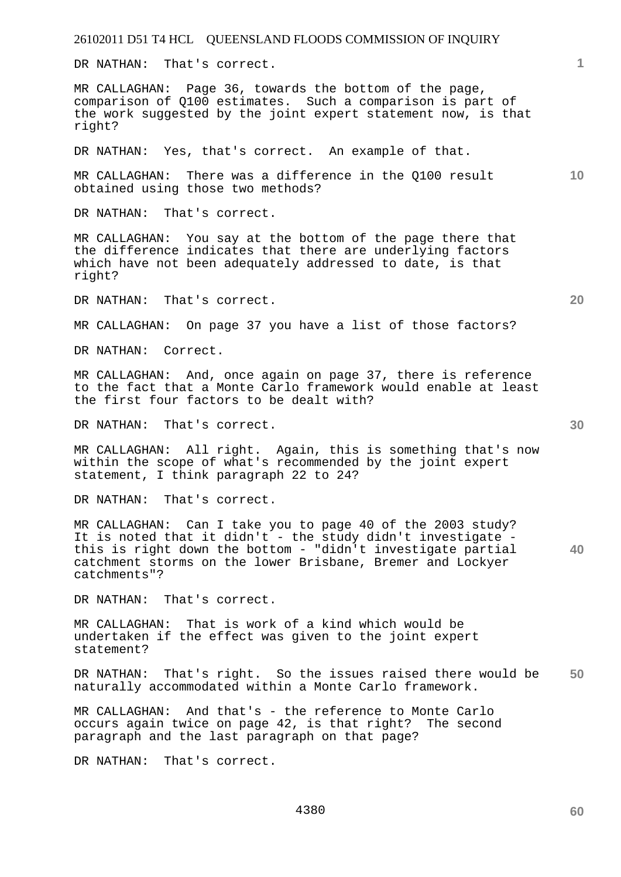DR NATHAN: That's correct.

MR CALLAGHAN: Page 36, towards the bottom of the page, comparison of Q100 estimates. Such a comparison is part of the work suggested by the joint expert statement now, is that right?

DR NATHAN: Yes, that's correct. An example of that.

**10**  MR CALLAGHAN: There was a difference in the Q100 result obtained using those two methods?

DR NATHAN: That's correct.

MR CALLAGHAN: You say at the bottom of the page there that the difference indicates that there are underlying factors which have not been adequately addressed to date, is that right?

DR NATHAN: That's correct.

MR CALLAGHAN: On page 37 you have a list of those factors?

DR NATHAN: Correct.

MR CALLAGHAN: And, once again on page 37, there is reference to the fact that a Monte Carlo framework would enable at least the first four factors to be dealt with?

DR NATHAN: That's correct.

MR CALLAGHAN: All right. Again, this is something that's now within the scope of what's recommended by the joint expert statement, I think paragraph 22 to 24?

DR NATHAN: That's correct.

**40**  MR CALLAGHAN: Can I take you to page 40 of the 2003 study? It is noted that it didn't - the study didn't investigate this is right down the bottom - "didn't investigate partial catchment storms on the lower Brisbane, Bremer and Lockyer catchments"?

DR NATHAN: That's correct.

MR CALLAGHAN: That is work of a kind which would be undertaken if the effect was given to the joint expert statement?

**50**  DR NATHAN: That's right. So the issues raised there would be naturally accommodated within a Monte Carlo framework.

MR CALLAGHAN: And that's - the reference to Monte Carlo occurs again twice on page 42, is that right? The second paragraph and the last paragraph on that page?

DR NATHAN: That's correct.

**1**

**20**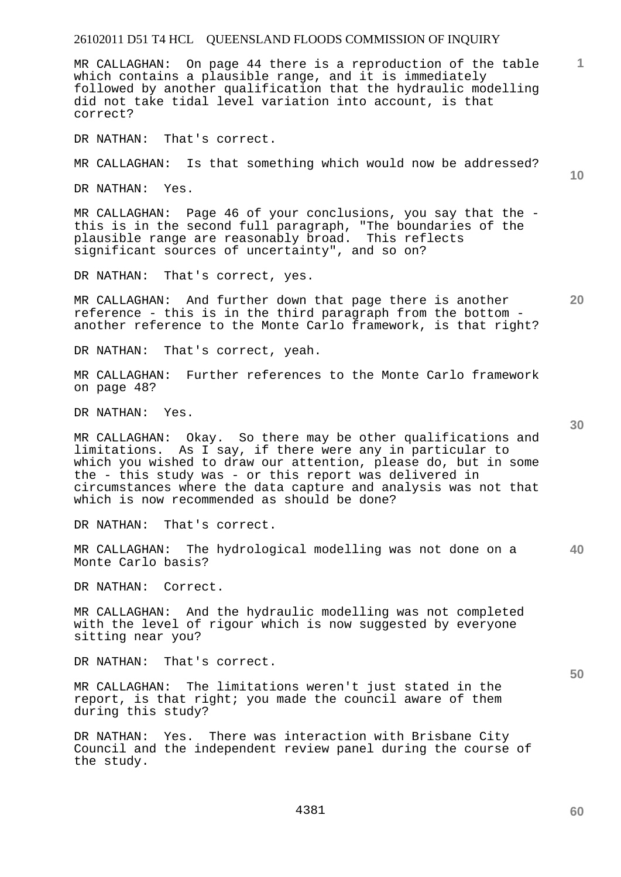MR CALLAGHAN: On page 44 there is a reproduction of the table which contains a plausible range, and it is immediately followed by another qualification that the hydraulic modelling did not take tidal level variation into account, is that correct?

DR NATHAN: That's correct.

MR CALLAGHAN: Is that something which would now be addressed?

DR NATHAN: Yes.

MR CALLAGHAN: Page 46 of your conclusions, you say that the this is in the second full paragraph, "The boundaries of the plausible range are reasonably broad. This reflects significant sources of uncertainty", and so on?

DR NATHAN: That's correct, yes.

MR CALLAGHAN: And further down that page there is another reference - this is in the third paragraph from the bottom another reference to the Monte Carlo framework, is that right?

DR NATHAN: That's correct, yeah.

MR CALLAGHAN: Further references to the Monte Carlo framework on page 48?

DR NATHAN: Yes.

MR CALLAGHAN: Okay. So there may be other qualifications and limitations. As I say, if there were any in particular to which you wished to draw our attention, please do, but in some the - this study was - or this report was delivered in circumstances where the data capture and analysis was not that which is now recommended as should be done?

DR NATHAN: That's correct.

**40**  MR CALLAGHAN: The hydrological modelling was not done on a Monte Carlo basis?

DR NATHAN: Correct.

MR CALLAGHAN: And the hydraulic modelling was not completed with the level of rigour which is now suggested by everyone sitting near you?

DR NATHAN: That's correct.

MR CALLAGHAN: The limitations weren't just stated in the report, is that right; you made the council aware of them during this study?

DR NATHAN: Yes. There was interaction with Brisbane City Council and the independent review panel during the course of the study.

**30** 

**10** 

**20**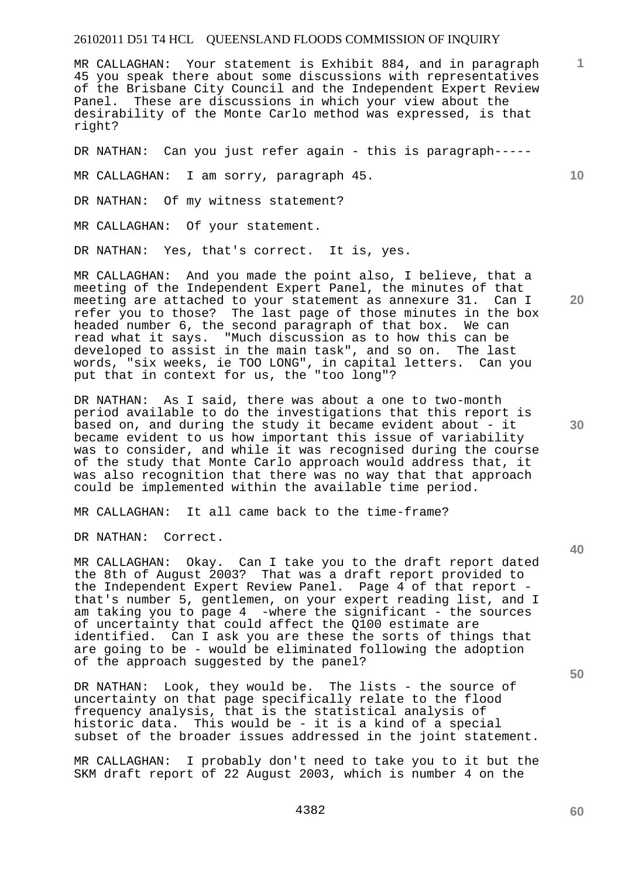MR CALLAGHAN: Your statement is Exhibit 884, and in paragraph 45 you speak there about some discussions with representatives of the Brisbane City Council and the Independent Expert Review Panel. These are discussions in which your view about the desirability of the Monte Carlo method was expressed, is that right?

DR NATHAN: Can you just refer again - this is paragraph-----

MR CALLAGHAN: I am sorry, paragraph 45.

DR NATHAN: Of my witness statement?

MR CALLAGHAN: Of your statement.

DR NATHAN: Yes, that's correct. It is, yes.

MR CALLAGHAN: And you made the point also, I believe, that a meeting of the Independent Expert Panel, the minutes of that meeting are attached to your statement as annexure 31. Can I refer you to those? The last page of those minutes in the box headed number 6, the second paragraph of that box. We can read what it says. "Much discussion as to how this can be developed to assist in the main task", and so on. The last words, "six weeks, ie TOO LONG", in capital letters. Can you put that in context for us, the "too long"?

DR NATHAN: As I said, there was about a one to two-month period available to do the investigations that this report is based on, and during the study it became evident about - it became evident to us how important this issue of variability was to consider, and while it was recognised during the course of the study that Monte Carlo approach would address that, it was also recognition that there was no way that that approach could be implemented within the available time period.

MR CALLAGHAN: It all came back to the time-frame?

DR NATHAN: Correct.

MR CALLAGHAN: Okay. Can I take you to the draft report dated the 8th of August 2003? That was a draft report provided to the Independent Expert Review Panel. Page 4 of that report that's number 5, gentlemen, on your expert reading list, and I am taking you to page 4 -where the significant - the sources of uncertainty that could affect the Q100 estimate are identified. Can I ask you are these the sorts of things that are going to be - would be eliminated following the adoption of the approach suggested by the panel?

DR NATHAN: Look, they would be. The lists - the source of uncertainty on that page specifically relate to the flood frequency analysis, that is the statistical analysis of historic data. This would be - it is a kind of a special subset of the broader issues addressed in the joint statement.

MR CALLAGHAN: I probably don't need to take you to it but the SKM draft report of 22 August 2003, which is number 4 on the

**50** 

**60** 

**40** 

**20** 

**10**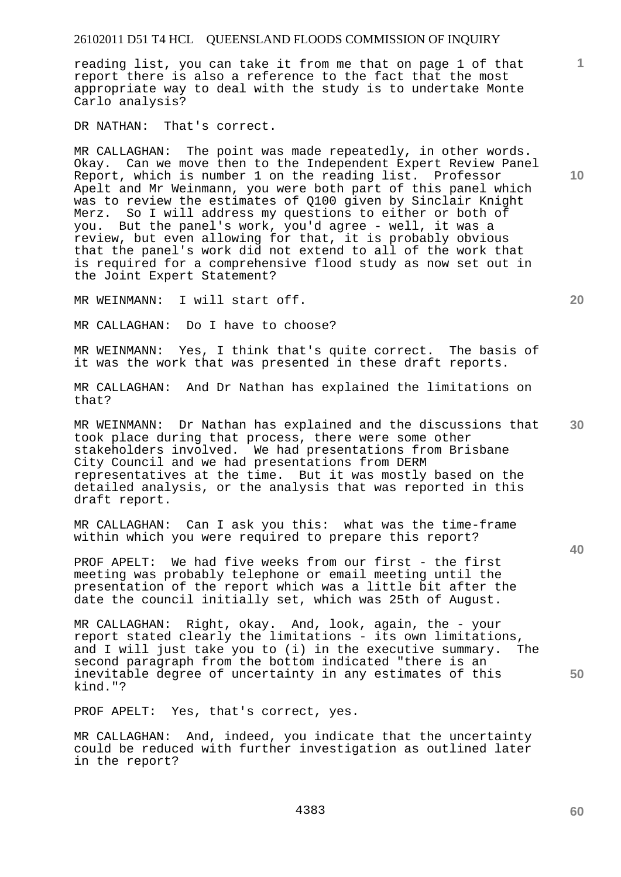reading list, you can take it from me that on page 1 of that report there is also a reference to the fact that the most appropriate way to deal with the study is to undertake Monte Carlo analysis?

DR NATHAN: That's correct.

MR CALLAGHAN: The point was made repeatedly, in other words. Okay. Can we move then to the Independent Expert Review Panel Report, which is number 1 on the reading list. Professor Apelt and Mr Weinmann, you were both part of this panel which was to review the estimates of Q100 given by Sinclair Knight Merz. So I will address my questions to either or both of you. But the panel's work, you'd agree - well, it was a review, but even allowing for that, it is probably obvious that the panel's work did not extend to all of the work that is required for a comprehensive flood study as now set out in the Joint Expert Statement?

MR WEINMANN: I will start off.

MR CALLAGHAN: Do I have to choose?

MR WEINMANN: Yes, I think that's quite correct. The basis of it was the work that was presented in these draft reports.

MR CALLAGHAN: And Dr Nathan has explained the limitations on that?

MR WEINMANN: Dr Nathan has explained and the discussions that took place during that process, there were some other stakeholders involved. We had presentations from Brisbane City Council and we had presentations from DERM representatives at the time. But it was mostly based on the detailed analysis, or the analysis that was reported in this draft report.

MR CALLAGHAN: Can I ask you this: what was the time-frame within which you were required to prepare this report?

PROF APELT: We had five weeks from our first - the first meeting was probably telephone or email meeting until the presentation of the report which was a little bit after the date the council initially set, which was 25th of August.

MR CALLAGHAN: Right, okay. And, look, again, the - your report stated clearly the limitations - its own limitations, and I will just take you to (i) in the executive summary. The second paragraph from the bottom indicated "there is an inevitable degree of uncertainty in any estimates of this kind."?

PROF APELT: Yes, that's correct, yes.

MR CALLAGHAN: And, indeed, you indicate that the uncertainty could be reduced with further investigation as outlined later in the report?

**10** 

**1**

**20** 

**30**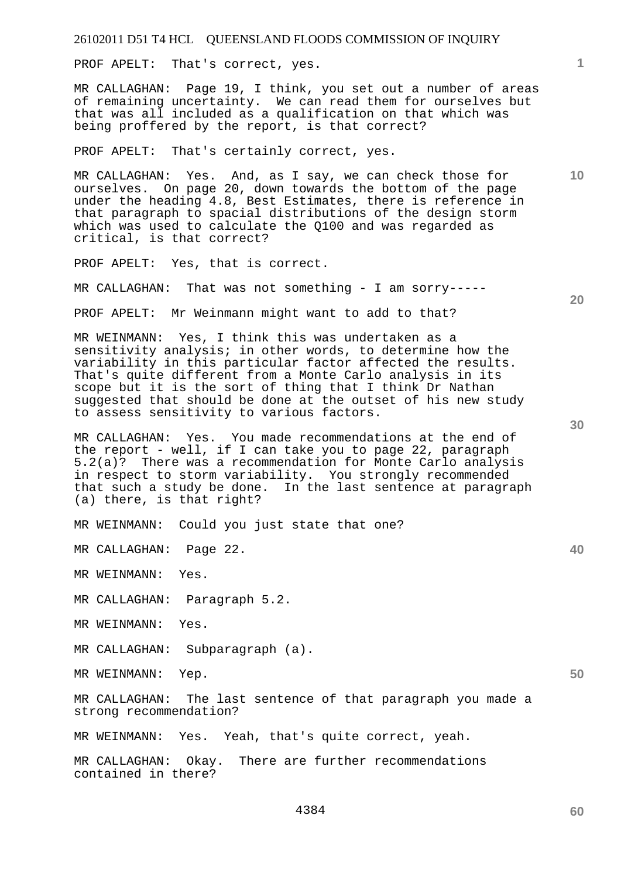PROF APELT: That's correct, yes.

MR CALLAGHAN: Page 19, I think, you set out a number of areas of remaining uncertainty. We can read them for ourselves but that was all included as a qualification on that which was being proffered by the report, is that correct?

PROF APELT: That's certainly correct, yes.

MR CALLAGHAN: Yes. And, as I say, we can check those for ourselves. On page 20, down towards the bottom of the page under the heading 4.8, Best Estimates, there is reference in that paragraph to spacial distributions of the design storm which was used to calculate the Q100 and was regarded as critical, is that correct?

PROF APELT: Yes, that is correct.

MR CALLAGHAN: That was not something - I am sorry-----

PROF APELT: Mr Weinmann might want to add to that?

MR WEINMANN: Yes, I think this was undertaken as a sensitivity analysis; in other words, to determine how the variability in this particular factor affected the results. That's quite different from a Monte Carlo analysis in its scope but it is the sort of thing that I think Dr Nathan suggested that should be done at the outset of his new study to assess sensitivity to various factors.

MR CALLAGHAN: Yes. You made recommendations at the end of the report - well, if I can take you to page 22, paragraph 5.2(a)? There was a recommendation for Monte Carlo analysis in respect to storm variability. You strongly recommended that such a study be done. In the last sentence at paragraph (a) there, is that right?

MR WEINMANN: Could you just state that one?

MR CALLAGHAN: Page 22.

MR WEINMANN: Yes.

MR CALLAGHAN: Paragraph 5.2.

MR WEINMANN: Yes.

MR CALLAGHAN: Subparagraph (a).

MR WEINMANN: Yep.

MR CALLAGHAN: The last sentence of that paragraph you made a strong recommendation?

MR WEINMANN: Yes. Yeah, that's quite correct, yeah.

MR CALLAGHAN: Okay. There are further recommendations contained in there?

**30** 

**40** 

**1**

**20**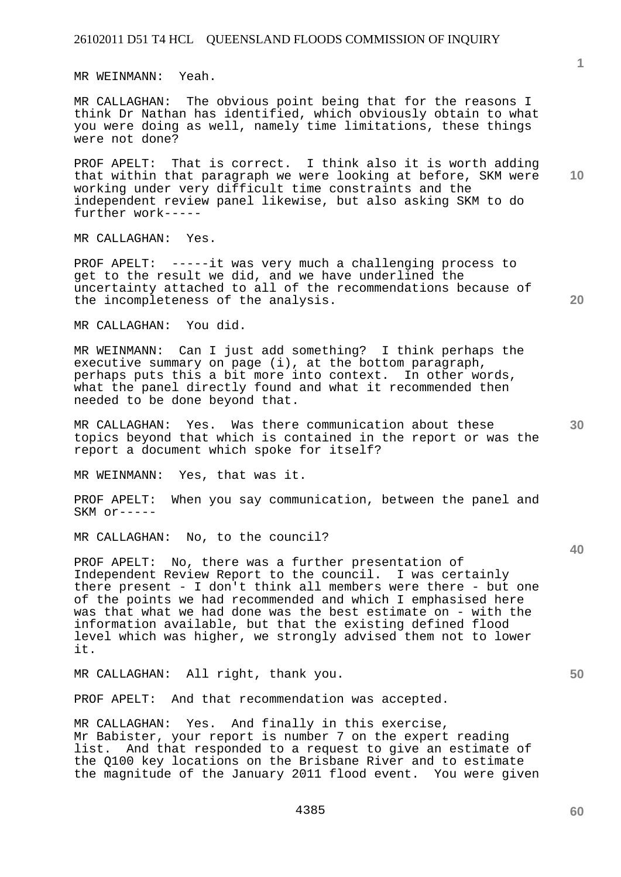MR WEINMANN: Yeah.

MR CALLAGHAN: The obvious point being that for the reasons I think Dr Nathan has identified, which obviously obtain to what you were doing as well, namely time limitations, these things were not done?

**10**  PROF APELT: That is correct. I think also it is worth adding that within that paragraph we were looking at before, SKM were working under very difficult time constraints and the independent review panel likewise, but also asking SKM to do further work-----

MR CALLAGHAN: Yes.

PROF APELT: -----it was very much a challenging process to get to the result we did, and we have underlined the uncertainty attached to all of the recommendations because of the incompleteness of the analysis.

MR CALLAGHAN: You did.

MR WEINMANN: Can I just add something? I think perhaps the executive summary on page (i), at the bottom paragraph, perhaps puts this a bit more into context. In other words, what the panel directly found and what it recommended then needed to be done beyond that.

MR CALLAGHAN: Yes. Was there communication about these topics beyond that which is contained in the report or was the report a document which spoke for itself?

MR WEINMANN: Yes, that was it.

PROF APELT: When you say communication, between the panel and SKM or-----

MR CALLAGHAN: No, to the council?

PROF APELT: No, there was a further presentation of Independent Review Report to the council. I was certainly there present - I don't think all members were there - but one of the points we had recommended and which I emphasised here was that what we had done was the best estimate on - with the information available, but that the existing defined flood level which was higher, we strongly advised them not to lower it.

MR CALLAGHAN: All right, thank you.

PROF APELT: And that recommendation was accepted.

MR CALLAGHAN: Yes. And finally in this exercise, Mr Babister, your report is number 7 on the expert reading list. And that responded to a request to give an estimate of the Q100 key locations on the Brisbane River and to estimate the magnitude of the January 2011 flood event. You were given

**20** 

**1**

**30**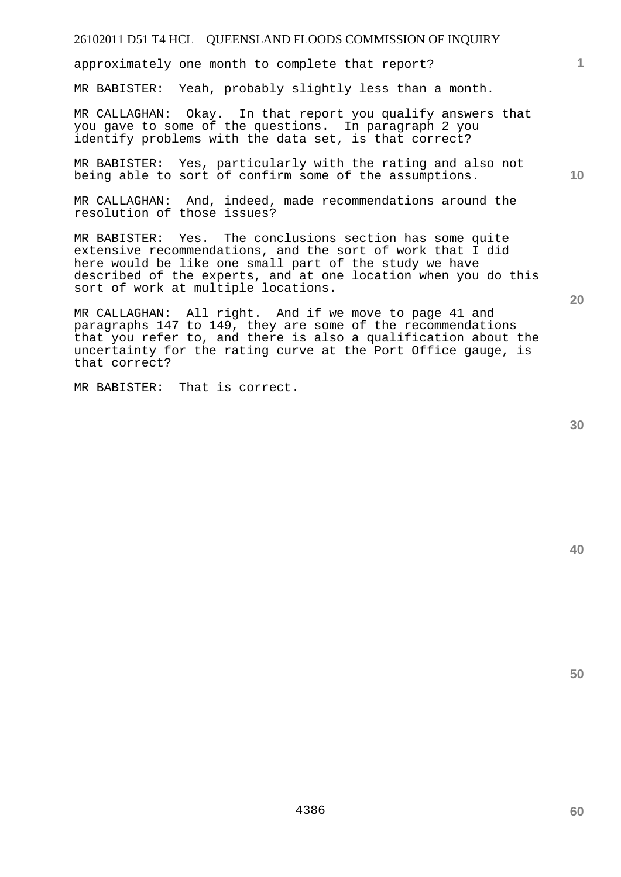approximately one month to complete that report?

MR BABISTER: Yeah, probably slightly less than a month.

MR CALLAGHAN: Okay. In that report you qualify answers that you gave to some of the questions. In paragraph 2 you identify problems with the data set, is that correct?

MR BABISTER: Yes, particularly with the rating and also not being able to sort of confirm some of the assumptions.

MR CALLAGHAN: And, indeed, made recommendations around the resolution of those issues?

MR BABISTER: Yes. The conclusions section has some quite extensive recommendations, and the sort of work that I did here would be like one small part of the study we have described of the experts, and at one location when you do this sort of work at multiple locations.

MR CALLAGHAN: All right. And if we move to page 41 and paragraphs 147 to 149, they are some of the recommendations that you refer to, and there is also a qualification about the uncertainty for the rating curve at the Port Office gauge, is that correct?

MR BABISTER: That is correct.

**30** 

**20** 

**40** 

**50** 

**1**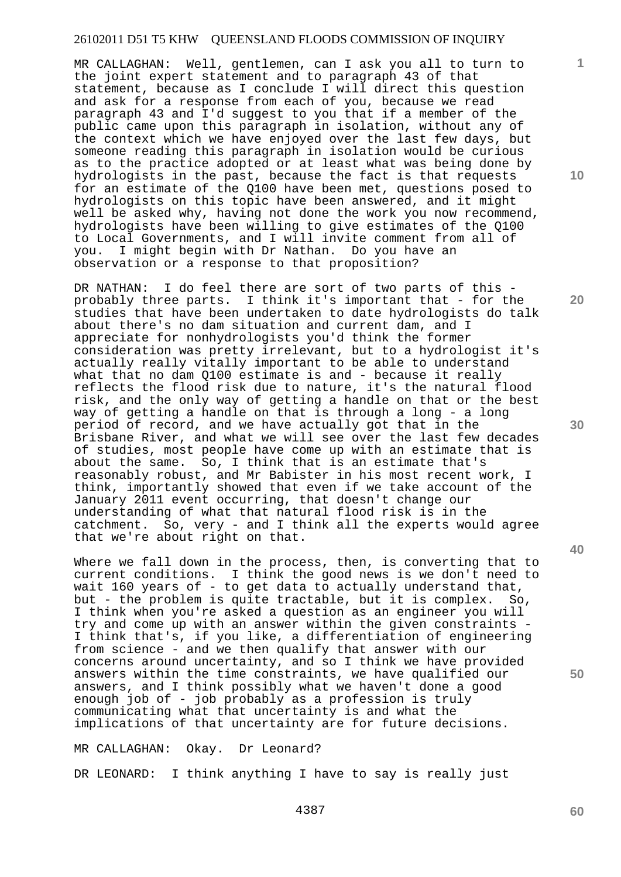MR CALLAGHAN: Well, gentlemen, can I ask you all to turn to the joint expert statement and to paragraph 43 of that statement, because as I conclude I will direct this question and ask for a response from each of you, because we read paragraph 43 and I'd suggest to you that if a member of the public came upon this paragraph in isolation, without any of the context which we have enjoyed over the last few days, but someone reading this paragraph in isolation would be curious as to the practice adopted or at least what was being done by hydrologists in the past, because the fact is that requests for an estimate of the Q100 have been met, questions posed to hydrologists on this topic have been answered, and it might well be asked why, having not done the work you now recommend, hydrologists have been willing to give estimates of the Q100 to Local Governments, and I will invite comment from all of you. I might begin with Dr Nathan. Do you have an observation or a response to that proposition?

DR NATHAN: I do feel there are sort of two parts of this probably three parts. I think it's important that - for the studies that have been undertaken to date hydrologists do talk about there's no dam situation and current dam, and I appreciate for nonhydrologists you'd think the former consideration was pretty irrelevant, but to a hydrologist it's actually really vitally important to be able to understand what that no dam Q100 estimate is and - because it really reflects the flood risk due to nature, it's the natural flood risk, and the only way of getting a handle on that or the best way of getting a handle on that is through a long - a long period of record, and we have actually got that in the Brisbane River, and what we will see over the last few decades of studies, most people have come up with an estimate that is about the same. So, I think that is an estimate that's reasonably robust, and Mr Babister in his most recent work, I think, importantly showed that even if we take account of the January 2011 event occurring, that doesn't change our understanding of what that natural flood risk is in the catchment. So, very - and I think all the experts would agree that we're about right on that.

Where we fall down in the process, then, is converting that to current conditions. I think the good news is we don't need to wait 160 years of - to get data to actually understand that, but - the problem is quite tractable, but it is complex. So, I think when you're asked a question as an engineer you will try and come up with an answer within the given constraints - I think that's, if you like, a differentiation of engineering from science - and we then qualify that answer with our concerns around uncertainty, and so I think we have provided answers within the time constraints, we have qualified our answers, and I think possibly what we haven't done a good enough job of - job probably as a profession is truly communicating what that uncertainty is and what the implications of that uncertainty are for future decisions.

MR CALLAGHAN: Okay. Dr Leonard? DR LEONARD: I think anything I have to say is really just

4387

**60** 

**10** 

**1**

**20** 

**40**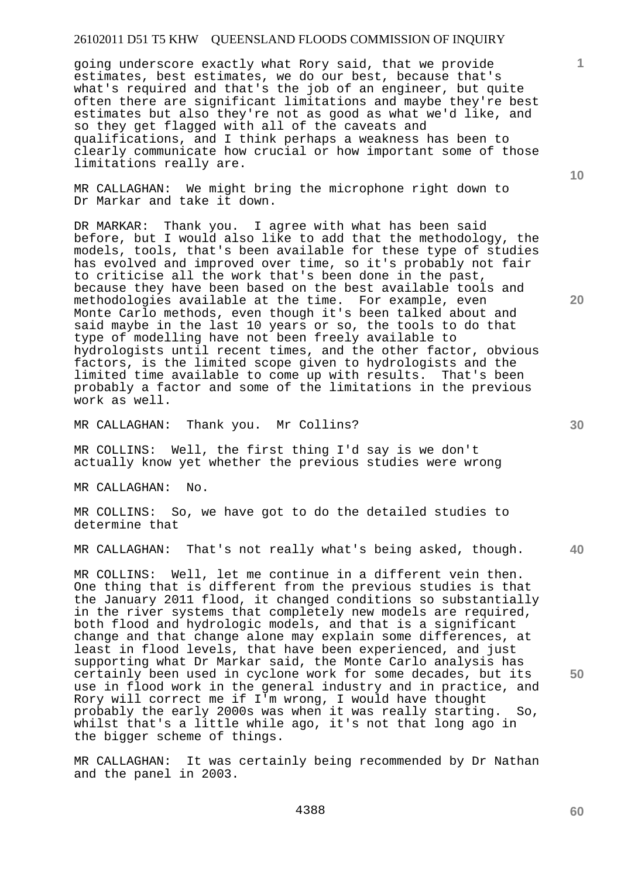going underscore exactly what Rory said, that we provide estimates, best estimates, we do our best, because that's what's required and that's the job of an engineer, but quite often there are significant limitations and maybe they're best estimates but also they're not as good as what we'd like, and so they get flagged with all of the caveats and qualifications, and I think perhaps a weakness has been to clearly communicate how crucial or how important some of those limitations really are.

MR CALLAGHAN: We might bring the microphone right down to Dr Markar and take it down.

DR MARKAR: Thank you. I agree with what has been said before, but I would also like to add that the methodology, the models, tools, that's been available for these type of studies has evolved and improved over time, so it's probably not fair to criticise all the work that's been done in the past, because they have been based on the best available tools and methodologies available at the time. For example, even Monte Carlo methods, even though it's been talked about and said maybe in the last 10 years or so, the tools to do that type of modelling have not been freely available to hydrologists until recent times, and the other factor, obvious factors, is the limited scope given to hydrologists and the limited time available to come up with results. That's been probably a factor and some of the limitations in the previous work as well.

MR CALLAGHAN: Thank you. Mr Collins?

MR COLLINS: Well, the first thing I'd say is we don't actually know yet whether the previous studies were wrong

MR CALLAGHAN: No.

MR COLLINS: So, we have got to do the detailed studies to determine that

**40**  MR CALLAGHAN: That's not really what's being asked, though.

MR COLLINS: Well, let me continue in a different vein then. One thing that is different from the previous studies is that the January 2011 flood, it changed conditions so substantially in the river systems that completely new models are required, both flood and hydrologic models, and that is a significant change and that change alone may explain some differences, at least in flood levels, that have been experienced, and just supporting what Dr Markar said, the Monte Carlo analysis has certainly been used in cyclone work for some decades, but its use in flood work in the general industry and in practice, and Rory will correct me if I'm wrong, I would have thought probably the early 2000s was when it was really starting. So, whilst that's a little while ago, it's not that long ago in the bigger scheme of things.

MR CALLAGHAN: It was certainly being recommended by Dr Nathan and the panel in 2003.

**10** 

**1**

**20**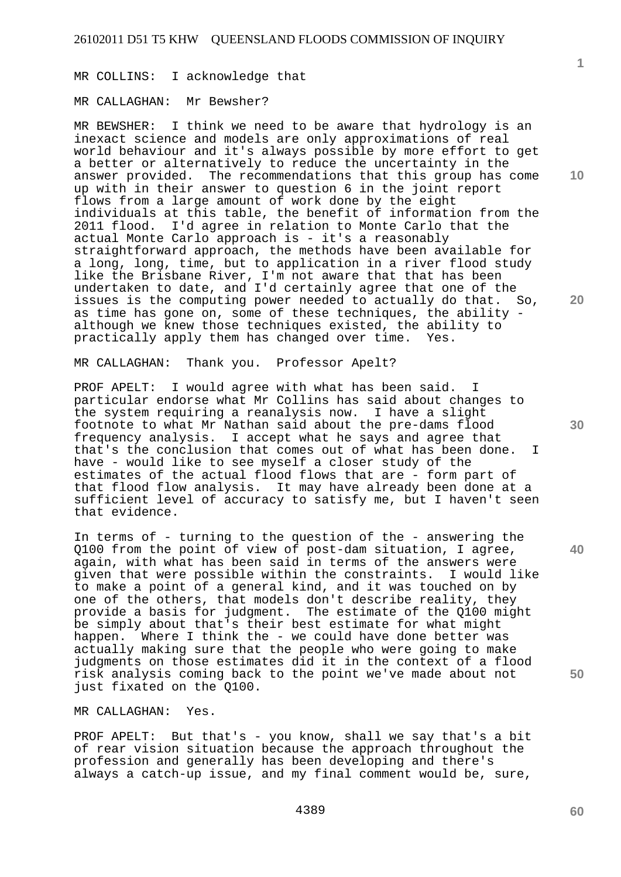MR COLLINS: I acknowledge that

MR CALLAGHAN: Mr Bewsher?

MR BEWSHER: I think we need to be aware that hydrology is an inexact science and models are only approximations of real world behaviour and it's always possible by more effort to get a better or alternatively to reduce the uncertainty in the answer provided. The recommendations that this group has come up with in their answer to question 6 in the joint report flows from a large amount of work done by the eight individuals at this table, the benefit of information from the 2011 flood. I'd agree in relation to Monte Carlo that the actual Monte Carlo approach is - it's a reasonably straightforward approach, the methods have been available for a long, long, time, but to application in a river flood study like the Brisbane River, I'm not aware that that has been undertaken to date, and I'd certainly agree that one of the issues is the computing power needed to actually do that. So, as time has gone on, some of these techniques, the ability although we knew those techniques existed, the ability to practically apply them has changed over time. Yes.

MR CALLAGHAN: Thank you. Professor Apelt?

PROF APELT: I would agree with what has been said. I particular endorse what Mr Collins has said about changes to the system requiring a reanalysis now. I have a slight footnote to what Mr Nathan said about the pre-dams flood frequency analysis. I accept what he says and agree that that's the conclusion that comes out of what has been done. I have - would like to see myself a closer study of the estimates of the actual flood flows that are - form part of that flood flow analysis. It may have already been done at a sufficient level of accuracy to satisfy me, but I haven't seen that evidence.

In terms of - turning to the question of the - answering the Q100 from the point of view of post-dam situation, I agree, again, with what has been said in terms of the answers were given that were possible within the constraints. I would like to make a point of a general kind, and it was touched on by one of the others, that models don't describe reality, they provide a basis for judgment. The estimate of the Q100 might be simply about that's their best estimate for what might happen. Where I think the - we could have done better was actually making sure that the people who were going to make judgments on those estimates did it in the context of a flood risk analysis coming back to the point we've made about not just fixated on the Q100.

MR CALLAGHAN: Yes.

PROF APELT: But that's - you know, shall we say that's a bit of rear vision situation because the approach throughout the profession and generally has been developing and there's always a catch-up issue, and my final comment would be, sure,

**10** 

**1**

**30** 

**20** 

**40** 

**60**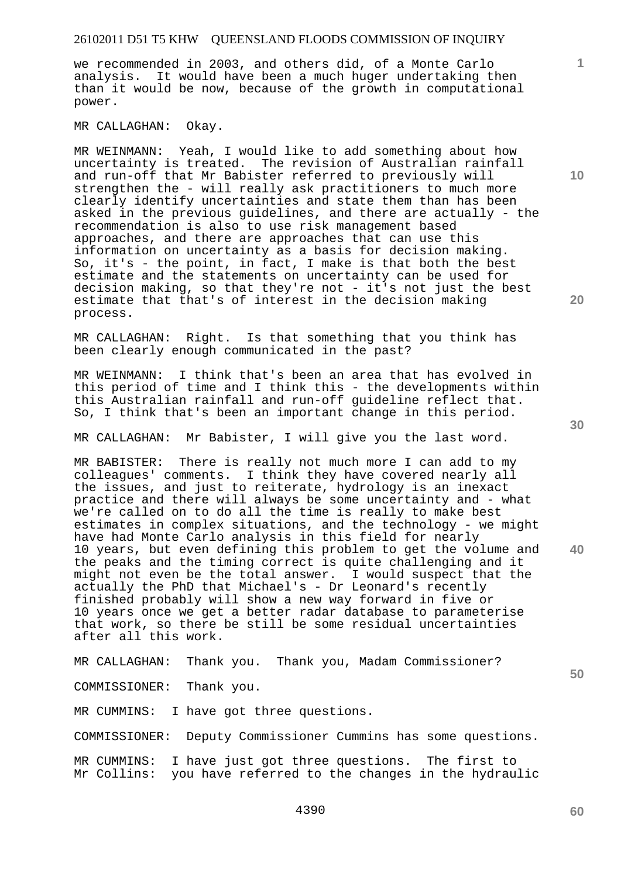we recommended in 2003, and others did, of a Monte Carlo analysis. It would have been a much huger undertaking then than it would be now, because of the growth in computational power.

MR CALLAGHAN: Okay.

MR WEINMANN: Yeah, I would like to add something about how uncertainty is treated. The revision of Australian rainfall and run-off that Mr Babister referred to previously will strengthen the - will really ask practitioners to much more clearly identify uncertainties and state them than has been asked in the previous guidelines, and there are actually - the recommendation is also to use risk management based approaches, and there are approaches that can use this information on uncertainty as a basis for decision making. So, it's - the point, in fact, I make is that both the best estimate and the statements on uncertainty can be used for decision making, so that they're not - it's not just the best estimate that that's of interest in the decision making process.

MR CALLAGHAN: Right. Is that something that you think has been clearly enough communicated in the past?

MR WEINMANN: I think that's been an area that has evolved in this period of time and I think this - the developments within this Australian rainfall and run-off guideline reflect that. So, I think that's been an important change in this period.

MR CALLAGHAN: Mr Babister, I will give you the last word.

MR BABISTER: There is really not much more I can add to my colleagues' comments. I think they have covered nearly all the issues, and just to reiterate, hydrology is an inexact practice and there will always be some uncertainty and - what we're called on to do all the time is really to make best estimates in complex situations, and the technology - we might have had Monte Carlo analysis in this field for nearly 10 years, but even defining this problem to get the volume and the peaks and the timing correct is quite challenging and it might not even be the total answer. I would suspect that the actually the PhD that Michael's - Dr Leonard's recently finished probably will show a new way forward in five or 10 years once we get a better radar database to parameterise that work, so there be still be some residual uncertainties after all this work.

MR CALLAGHAN: Thank you. Thank you, Madam Commissioner?

COMMISSIONER: Thank you.

MR CUMMINS: I have got three questions.

COMMISSIONER: Deputy Commissioner Cummins has some questions.

MR CUMMINS: I have just got three questions. The first to Mr Collins: you have referred to the changes in the hydraulic **10** 

**1**

**20** 

**40**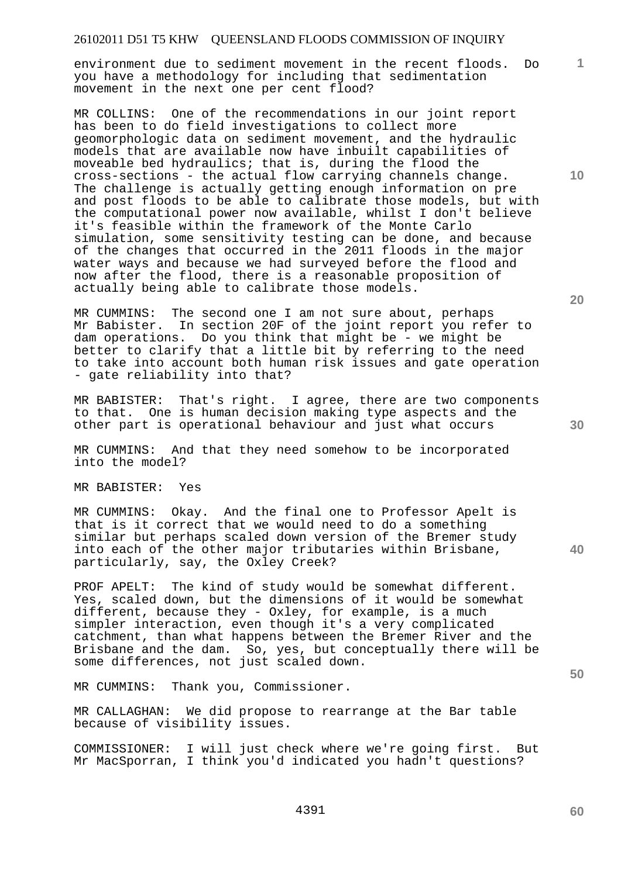environment due to sediment movement in the recent floods. Do you have a methodology for including that sedimentation movement in the next one per cent flood?

MR COLLINS: One of the recommendations in our joint report has been to do field investigations to collect more geomorphologic data on sediment movement, and the hydraulic models that are available now have inbuilt capabilities of moveable bed hydraulics; that is, during the flood the cross-sections - the actual flow carrying channels change. The challenge is actually getting enough information on pre and post floods to be able to calibrate those models, but with the computational power now available, whilst I don't believe it's feasible within the framework of the Monte Carlo simulation, some sensitivity testing can be done, and because of the changes that occurred in the 2011 floods in the major water ways and because we had surveyed before the flood and now after the flood, there is a reasonable proposition of actually being able to calibrate those models.

MR CUMMINS: The second one I am not sure about, perhaps Mr Babister. In section 20F of the joint report you refer to dam operations. Do you think that might be - we might be better to clarify that a little bit by referring to the need to take into account both human risk issues and gate operation - gate reliability into that?

MR BABISTER: That's right. I agree, there are two components to that. One is human decision making type aspects and the other part is operational behaviour and just what occurs

MR CUMMINS: And that they need somehow to be incorporated into the model?

MR BABISTER: Yes

MR CUMMINS: Okay. And the final one to Professor Apelt is that is it correct that we would need to do a something similar but perhaps scaled down version of the Bremer study into each of the other major tributaries within Brisbane, particularly, say, the Oxley Creek?

PROF APELT: The kind of study would be somewhat different. Yes, scaled down, but the dimensions of it would be somewhat different, because they - Oxley, for example, is a much simpler interaction, even though it's a very complicated catchment, than what happens between the Bremer River and the Brisbane and the dam. So, yes, but conceptually there will be some differences, not just scaled down.

MR CUMMINS: Thank you, Commissioner.

MR CALLAGHAN: We did propose to rearrange at the Bar table because of visibility issues.

COMMISSIONER: I will just check where we're going first. But Mr MacSporran, I think you'd indicated you hadn't questions?

**10** 

**1**

**20** 

**40**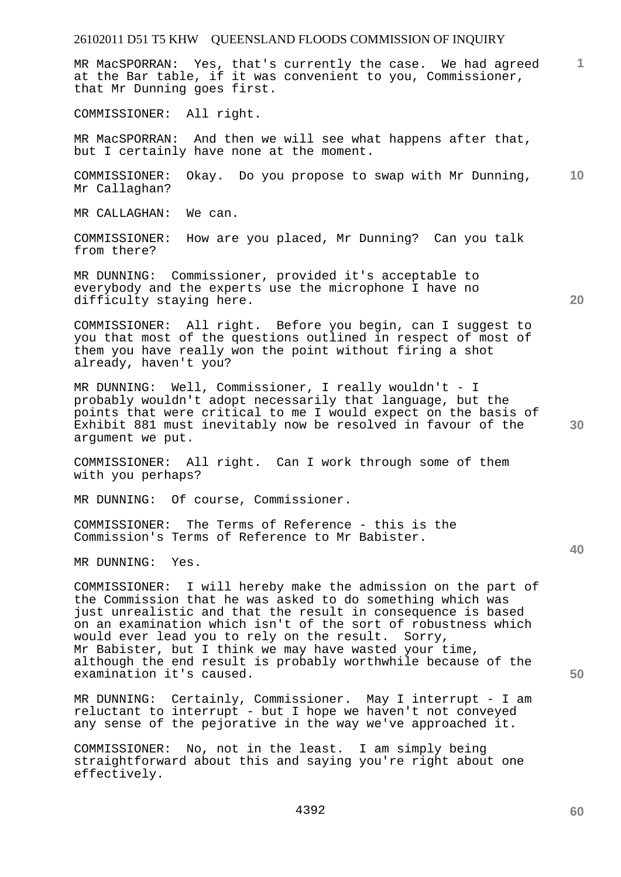# 26102011 D51 T5 KHW QUEENSLAND FLOODS COMMISSION OF INQUIRY **1 10 20 30 40 50**  MR MacSPORRAN: Yes, that's currently the case. We had agreed at the Bar table, if it was convenient to you, Commissioner, that Mr Dunning goes first. COMMISSIONER: All right. MR MacSPORRAN: And then we will see what happens after that, but I certainly have none at the moment. COMMISSIONER: Okay. Do you propose to swap with Mr Dunning, Mr Callaghan? MR CALLAGHAN: We can. COMMISSIONER: How are you placed, Mr Dunning? Can you talk from there? MR DUNNING: Commissioner, provided it's acceptable to everybody and the experts use the microphone I have no difficulty staying here. COMMISSIONER: All right. Before you begin, can I suggest to you that most of the questions outlined in respect of most of them you have really won the point without firing a shot already, haven't you? MR DUNNING: Well, Commissioner, I really wouldn't - I probably wouldn't adopt necessarily that language, but the points that were critical to me I would expect on the basis of Exhibit 881 must inevitably now be resolved in favour of the argument we put. COMMISSIONER: All right. Can I work through some of them with you perhaps? MR DUNNING: Of course, Commissioner. COMMISSIONER: The Terms of Reference - this is the Commission's Terms of Reference to Mr Babister. MR DUNNING: Yes. COMMISSIONER: I will hereby make the admission on the part of the Commission that he was asked to do something which was just unrealistic and that the result in consequence is based on an examination which isn't of the sort of robustness which would ever lead you to rely on the result. Sorry, Mr Babister, but I think we may have wasted your time, although the end result is probably worthwhile because of the examination it's caused. MR DUNNING: Certainly, Commissioner. May I interrupt - I am reluctant to interrupt - but I hope we haven't not conveyed any sense of the pejorative in the way we've approached it. COMMISSIONER: No, not in the least. I am simply being straightforward about this and saying you're right about one effectively.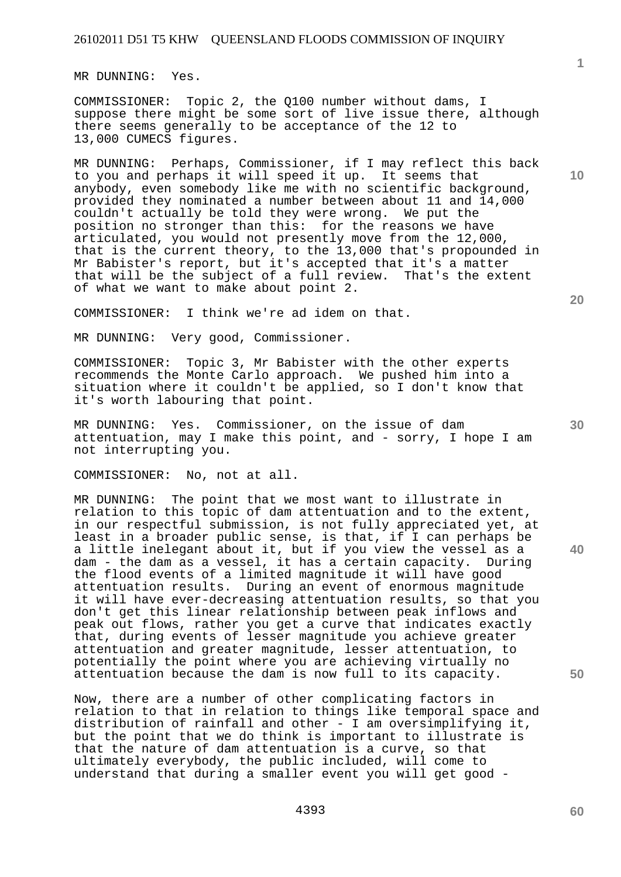MR DUNNING: Yes.

COMMISSIONER: Topic 2, the Q100 number without dams, I suppose there might be some sort of live issue there, although there seems generally to be acceptance of the 12 to 13,000 CUMECS figures.

MR DUNNING: Perhaps, Commissioner, if I may reflect this back to you and perhaps it will speed it up. It seems that anybody, even somebody like me with no scientific background, provided they nominated a number between about 11 and 14,000 couldn't actually be told they were wrong. We put the position no stronger than this: for the reasons we have articulated, you would not presently move from the 12,000, that is the current theory, to the 13,000 that's propounded in Mr Babister's report, but it's accepted that it's a matter that will be the subject of a full review. That's the extent of what we want to make about point 2.

COMMISSIONER: I think we're ad idem on that.

MR DUNNING: Very good, Commissioner.

COMMISSIONER: Topic 3, Mr Babister with the other experts recommends the Monte Carlo approach. We pushed him into a situation where it couldn't be applied, so I don't know that it's worth labouring that point.

MR DUNNING: Yes. Commissioner, on the issue of dam attentuation, may I make this point, and - sorry, I hope I am not interrupting you.

COMMISSIONER: No, not at all.

MR DUNNING: The point that we most want to illustrate in relation to this topic of dam attentuation and to the extent, in our respectful submission, is not fully appreciated yet, at least in a broader public sense, is that, if I can perhaps be a little inelegant about it, but if you view the vessel as a dam - the dam as a vessel, it has a certain capacity. During the flood events of a limited magnitude it will have good attentuation results. During an event of enormous magnitude it will have ever-decreasing attentuation results, so that you don't get this linear relationship between peak inflows and peak out flows, rather you get a curve that indicates exactly that, during events of lesser magnitude you achieve greater attentuation and greater magnitude, lesser attentuation, to potentially the point where you are achieving virtually no attentuation because the dam is now full to its capacity.

Now, there are a number of other complicating factors in relation to that in relation to things like temporal space and distribution of rainfall and other - I am oversimplifying it, but the point that we do think is important to illustrate is that the nature of dam attentuation is a curve, so that ultimately everybody, the public included, will come to understand that during a smaller event you will get good -

**1**

**10**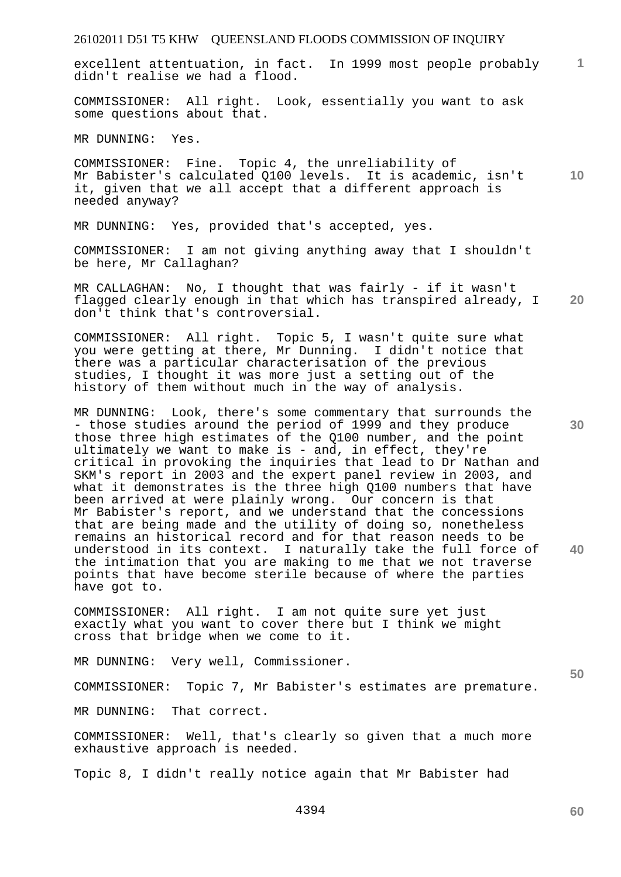**1** excellent attentuation, in fact. In 1999 most people probably didn't realise we had a flood.

COMMISSIONER: All right. Look, essentially you want to ask some questions about that.

MR DUNNING: Yes.

**10**  COMMISSIONER: Fine. Topic 4, the unreliability of Mr Babister's calculated Q100 levels. It is academic, isn't it, given that we all accept that a different approach is needed anyway?

MR DUNNING: Yes, provided that's accepted, yes.

COMMISSIONER: I am not giving anything away that I shouldn't be here, Mr Callaghan?

**20**  MR CALLAGHAN: No, I thought that was fairly - if it wasn't flagged clearly enough in that which has transpired already, I don't think that's controversial.

COMMISSIONER: All right. Topic 5, I wasn't quite sure what you were getting at there, Mr Dunning. I didn't notice that there was a particular characterisation of the previous studies, I thought it was more just a setting out of the history of them without much in the way of analysis.

MR DUNNING: Look, there's some commentary that surrounds the - those studies around the period of 1999 and they produce those three high estimates of the Q100 number, and the point ultimately we want to make is - and, in effect, they're critical in provoking the inquiries that lead to Dr Nathan and SKM's report in 2003 and the expert panel review in 2003, and what it demonstrates is the three high Q100 numbers that have been arrived at were plainly wrong. Our concern is that Mr Babister's report, and we understand that the concessions that are being made and the utility of doing so, nonetheless remains an historical record and for that reason needs to be understood in its context. I naturally take the full force of the intimation that you are making to me that we not traverse points that have become sterile because of where the parties have got to.

COMMISSIONER: All right. I am not quite sure yet just exactly what you want to cover there but I think we might cross that bridge when we come to it.

MR DUNNING: Very well, Commissioner.

COMMISSIONER: Topic 7, Mr Babister's estimates are premature.

MR DUNNING: That correct.

COMMISSIONER: Well, that's clearly so given that a much more exhaustive approach is needed.

Topic 8, I didn't really notice again that Mr Babister had

**30** 

**40**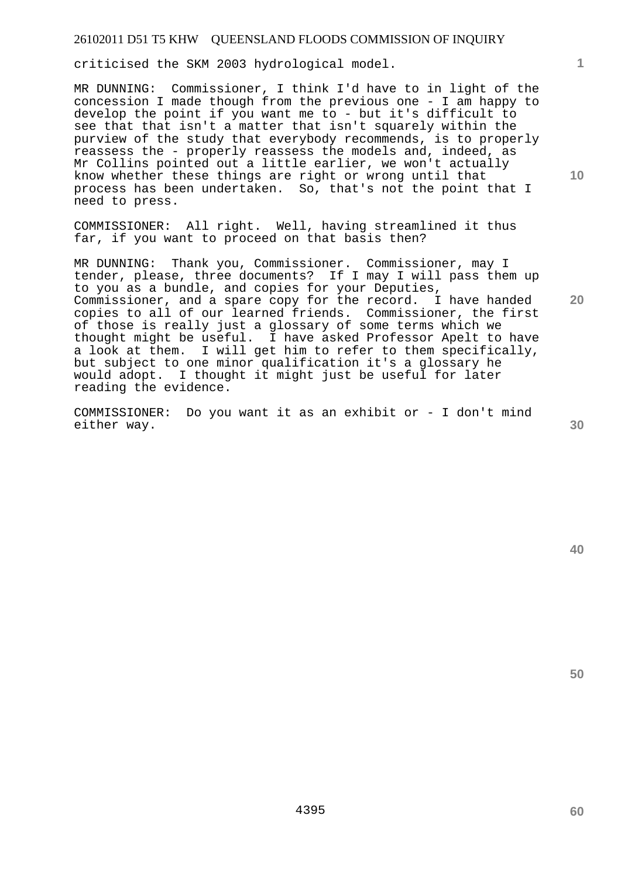criticised the SKM 2003 hydrological model.

MR DUNNING: Commissioner, I think I'd have to in light of the concession I made though from the previous one - I am happy to develop the point if you want me to - but it's difficult to see that that isn't a matter that isn't squarely within the purview of the study that everybody recommends, is to properly reassess the - properly reassess the models and, indeed, as Mr Collins pointed out a little earlier, we won't actually know whether these things are right or wrong until that process has been undertaken. So, that's not the point that I need to press.

COMMISSIONER: All right. Well, having streamlined it thus far, if you want to proceed on that basis then?

MR DUNNING: Thank you, Commissioner. Commissioner, may I tender, please, three documents? If I may I will pass them up to you as a bundle, and copies for your Deputies, Commissioner, and a spare copy for the record. I have handed copies to all of our learned friends. Commissioner, the first of those is really just a glossary of some terms which we thought might be useful. I have asked Professor Apelt to have a look at them. I will get him to refer to them specifically, but subject to one minor qualification it's a glossary he would adopt. I thought it might just be useful for later reading the evidence.

COMMISSIONER: Do you want it as an exhibit or - I don't mind either way.

**10** 

**1**

**30** 

**20**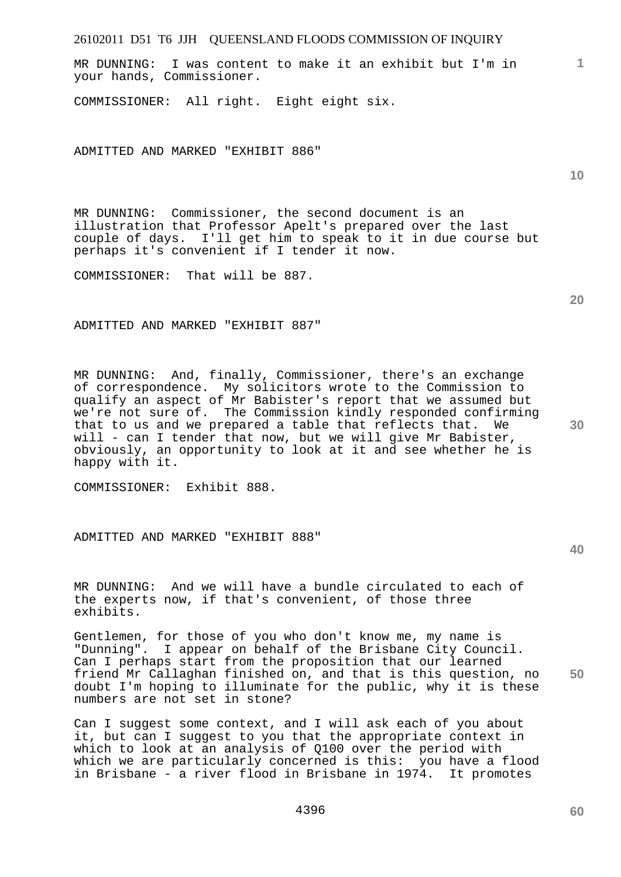MR DUNNING: I was content to make it an exhibit but I'm in your hands, Commissioner.

COMMISSIONER: All right. Eight eight six.

ADMITTED AND MARKED "EXHIBIT 886"

MR DUNNING: Commissioner, the second document is an illustration that Professor Apelt's prepared over the last couple of days. I'll get him to speak to it in due course but perhaps it's convenient if I tender it now.

COMMISSIONER: That will be 887.

ADMITTED AND MARKED "EXHIBIT 887"

MR DUNNING: And, finally, Commissioner, there's an exchange of correspondence. My solicitors wrote to the Commission to qualify an aspect of Mr Babister's report that we assumed but we're not sure of. The Commission kindly responded confirming that to us and we prepared a table that reflects that. We will - can I tender that now, but we will give Mr Babister, obviously, an opportunity to look at it and see whether he is happy with it.

COMMISSIONER: Exhibit 888.

ADMITTED AND MARKED "EXHIBIT 888"

MR DUNNING: And we will have a bundle circulated to each of the experts now, if that's convenient, of those three exhibits.

Gentlemen, for those of you who don't know me, my name is "Dunning". I appear on behalf of the Brisbane City Council. Can I perhaps start from the proposition that our learned friend Mr Callaghan finished on, and that is this question, no doubt I'm hoping to illuminate for the public, why it is these numbers are not set in stone?

Can I suggest some context, and I will ask each of you about it, but can I suggest to you that the appropriate context in which to look at an analysis of Q100 over the period with which we are particularly concerned is this: you have a flood in Brisbane - a river flood in Brisbane in 1974. It promotes

**20** 

**10** 

**40** 

**60**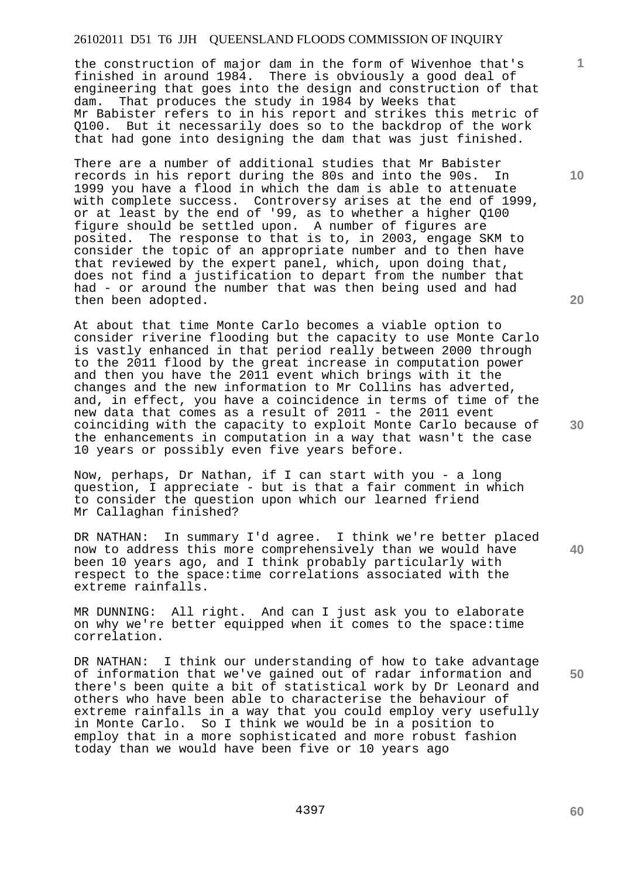the construction of major dam in the form of Wivenhoe that's finished in around 1984. There is obviously a good deal of engineering that goes into the design and construction of that dam. That produces the study in 1984 by Weeks that Mr Babister refers to in his report and strikes this metric of Q100. But it necessarily does so to the backdrop of the work that had gone into designing the dam that was just finished.

There are a number of additional studies that Mr Babister records in his report during the 80s and into the 90s. In 1999 you have a flood in which the dam is able to attenuate with complete success. Controversy arises at the end of 1999, or at least by the end of '99, as to whether a higher Q100 figure should be settled upon. A number of figures are posited. The response to that is to, in 2003, engage SKM to consider the topic of an appropriate number and to then have that reviewed by the expert panel, which, upon doing that, does not find a justification to depart from the number that had - or around the number that was then being used and had then been adopted.

At about that time Monte Carlo becomes a viable option to consider riverine flooding but the capacity to use Monte Carlo is vastly enhanced in that period really between 2000 through to the 2011 flood by the great increase in computation power and then you have the 2011 event which brings with it the changes and the new information to Mr Collins has adverted, and, in effect, you have a coincidence in terms of time of the new data that comes as a result of 2011 - the 2011 event coinciding with the capacity to exploit Monte Carlo because of the enhancements in computation in a way that wasn't the case 10 years or possibly even five years before.

Now, perhaps, Dr Nathan, if I can start with you - a long question, I appreciate - but is that a fair comment in which to consider the question upon which our learned friend Mr Callaghan finished?

DR NATHAN: In summary I'd agree. I think we're better placed now to address this more comprehensively than we would have been 10 years ago, and I think probably particularly with respect to the space:time correlations associated with the extreme rainfalls.

MR DUNNING: All right. And can I just ask you to elaborate on why we're better equipped when it comes to the space:time correlation.

DR NATHAN: I think our understanding of how to take advantage of information that we've gained out of radar information and there's been quite a bit of statistical work by Dr Leonard and others who have been able to characterise the behaviour of extreme rainfalls in a way that you could employ very usefully in Monte Carlo. So I think we would be in a position to employ that in a more sophisticated and more robust fashion today than we would have been five or 10 years ago

**20** 

**10** 

**1**

**30**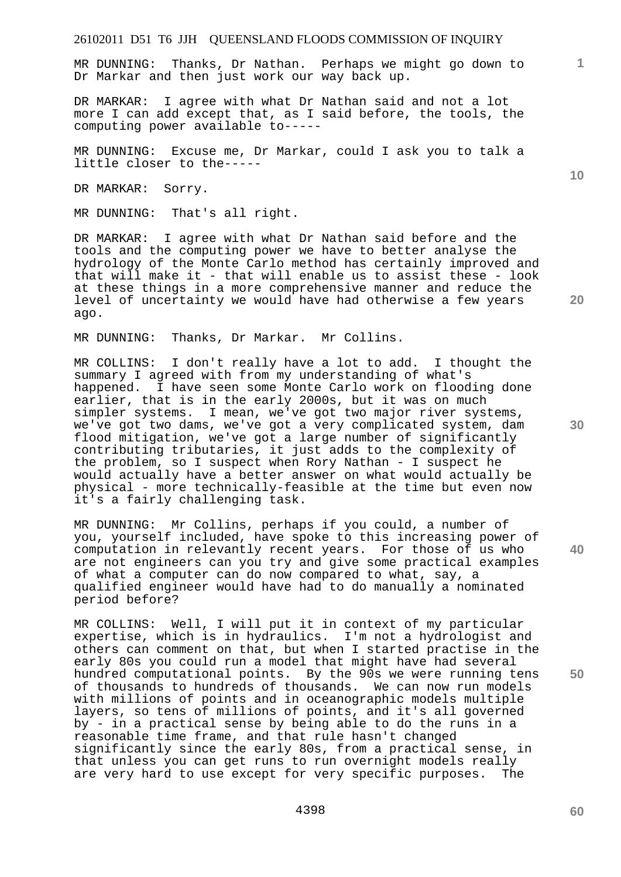MR DUNNING: Thanks, Dr Nathan. Perhaps we might go down to Dr Markar and then just work our way back up.

DR MARKAR: I agree with what Dr Nathan said and not a lot more I can add except that, as I said before, the tools, the computing power available to-----

MR DUNNING: Excuse me, Dr Markar, could I ask you to talk a little closer to the-----

DR MARKAR: Sorry.

MR DUNNING: That's all right.

DR MARKAR: I agree with what Dr Nathan said before and the tools and the computing power we have to better analyse the hydrology of the Monte Carlo method has certainly improved and that will make it - that will enable us to assist these - look at these things in a more comprehensive manner and reduce the level of uncertainty we would have had otherwise a few years ago.

MR DUNNING: Thanks, Dr Markar. Mr Collins.

MR COLLINS: I don't really have a lot to add. I thought the summary I agreed with from my understanding of what's happened. I have seen some Monte Carlo work on flooding done earlier, that is in the early 2000s, but it was on much simpler systems. I mean, we've got two major river systems, we've got two dams, we've got a very complicated system, dam flood mitigation, we've got a large number of significantly contributing tributaries, it just adds to the complexity of the problem, so I suspect when Rory Nathan - I suspect he would actually have a better answer on what would actually be physical - more technically-feasible at the time but even now it's a fairly challenging task.

MR DUNNING: Mr Collins, perhaps if you could, a number of you, yourself included, have spoke to this increasing power of computation in relevantly recent years. For those of us who are not engineers can you try and give some practical examples of what a computer can do now compared to what, say, a qualified engineer would have had to do manually a nominated period before?

MR COLLINS: Well, I will put it in context of my particular expertise, which is in hydraulics. I'm not a hydrologist and others can comment on that, but when I started practise in the early 80s you could run a model that might have had several hundred computational points. By the 90s we were running tens of thousands to hundreds of thousands. We can now run models with millions of points and in oceanographic models multiple layers, so tens of millions of points, and it's all governed by - in a practical sense by being able to do the runs in a reasonable time frame, and that rule hasn't changed significantly since the early 80s, from a practical sense, in that unless you can get runs to run overnight models really are very hard to use except for very specific purposes. The

**10** 

**1**

**20** 

**40**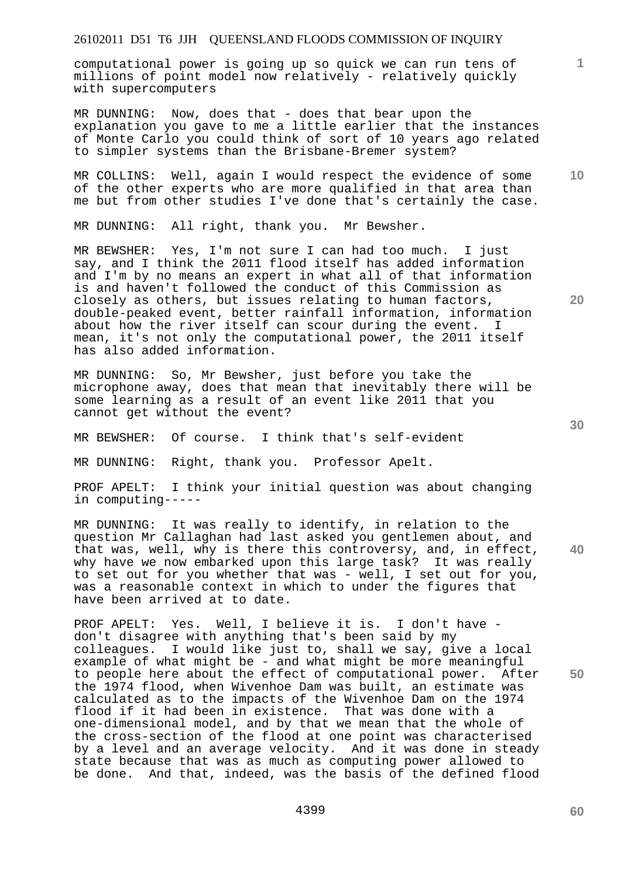computational power is going up so quick we can run tens of millions of point model now relatively - relatively quickly with supercomputers

MR DUNNING: Now, does that - does that bear upon the explanation you gave to me a little earlier that the instances of Monte Carlo you could think of sort of 10 years ago related to simpler systems than the Brisbane-Bremer system?

MR COLLINS: Well, again I would respect the evidence of some of the other experts who are more qualified in that area than me but from other studies I've done that's certainly the case.

MR DUNNING: All right, thank you. Mr Bewsher.

MR BEWSHER: Yes, I'm not sure I can had too much. I just say, and I think the 2011 flood itself has added information and I'm by no means an expert in what all of that information is and haven't followed the conduct of this Commission as closely as others, but issues relating to human factors, double-peaked event, better rainfall information, information about how the river itself can scour during the event. I mean, it's not only the computational power, the 2011 itself has also added information.

MR DUNNING: So, Mr Bewsher, just before you take the microphone away, does that mean that inevitably there will be some learning as a result of an event like 2011 that you cannot get without the event?

MR BEWSHER: Of course. I think that's self-evident

MR DUNNING: Right, thank you. Professor Apelt.

PROF APELT: I think your initial question was about changing in computing-----

MR DUNNING: It was really to identify, in relation to the question Mr Callaghan had last asked you gentlemen about, and that was, well, why is there this controversy, and, in effect, why have we now embarked upon this large task? It was really to set out for you whether that was - well, I set out for you, was a reasonable context in which to under the figures that have been arrived at to date.

PROF APELT: Yes. Well, I believe it is. I don't have don't disagree with anything that's been said by my colleagues. I would like just to, shall we say, give a local example of what might be - and what might be more meaningful to people here about the effect of computational power. After the 1974 flood, when Wivenhoe Dam was built, an estimate was calculated as to the impacts of the Wivenhoe Dam on the 1974 flood if it had been in existence. That was done with a one-dimensional model, and by that we mean that the whole of the cross-section of the flood at one point was characterised by a level and an average velocity. And it was done in steady state because that was as much as computing power allowed to be done. And that, indeed, was the basis of the defined flood **30** 

**1**

**20** 

**50** 

**60**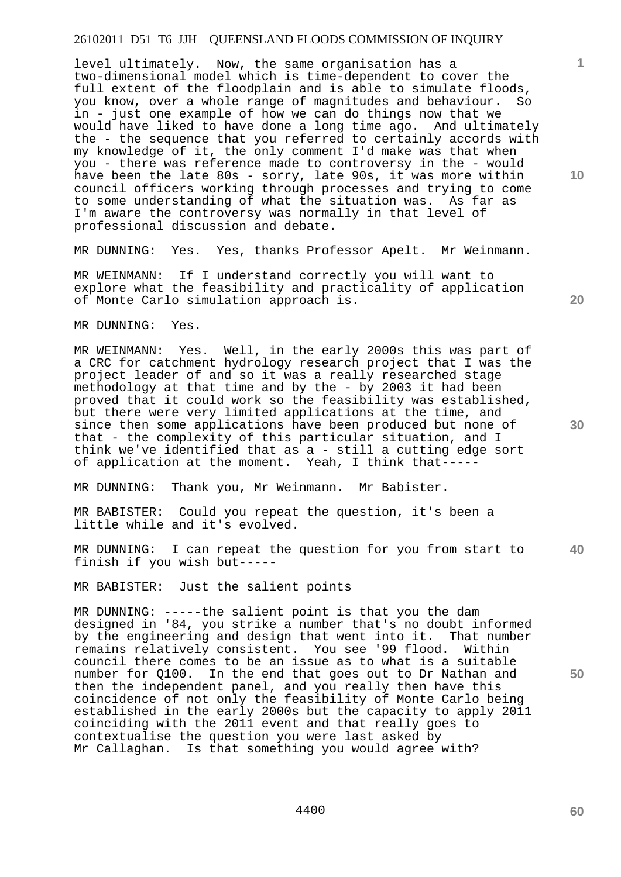level ultimately. Now, the same organisation has a two-dimensional model which is time-dependent to cover the full extent of the floodplain and is able to simulate floods, you know, over a whole range of magnitudes and behaviour. So in - just one example of how we can do things now that we would have liked to have done a long time ago. And ultimately the - the sequence that you referred to certainly accords with my knowledge of it, the only comment I'd make was that when you - there was reference made to controversy in the - would have been the late 80s - sorry, late 90s, it was more within council officers working through processes and trying to come to some understanding of what the situation was. As far as I'm aware the controversy was normally in that level of professional discussion and debate.

MR DUNNING: Yes. Yes, thanks Professor Apelt. Mr Weinmann.

MR WEINMANN: If I understand correctly you will want to explore what the feasibility and practicality of application of Monte Carlo simulation approach is.

MR DUNNING: Yes.

MR WEINMANN: Yes. Well, in the early 2000s this was part of a CRC for catchment hydrology research project that I was the project leader of and so it was a really researched stage methodology at that time and by the - by 2003 it had been proved that it could work so the feasibility was established, but there were very limited applications at the time, and since then some applications have been produced but none of that - the complexity of this particular situation, and I think we've identified that as a - still a cutting edge sort of application at the moment. Yeah, I think that-----

MR DUNNING: Thank you, Mr Weinmann. Mr Babister.

MR BABISTER: Could you repeat the question, it's been a little while and it's evolved.

**40**  MR DUNNING: I can repeat the question for you from start to finish if you wish but-----

MR BABISTER: Just the salient points

MR DUNNING: -----the salient point is that you the dam designed in '84, you strike a number that's no doubt informed by the engineering and design that went into it. That number remains relatively consistent. You see '99 flood. Within council there comes to be an issue as to what is a suitable number for Q100. In the end that goes out to Dr Nathan and then the independent panel, and you really then have this coincidence of not only the feasibility of Monte Carlo being established in the early 2000s but the capacity to apply 2011 coinciding with the 2011 event and that really goes to contextualise the question you were last asked by Mr Callaghan. Is that something you would agree with?

**10** 

**1**

**20**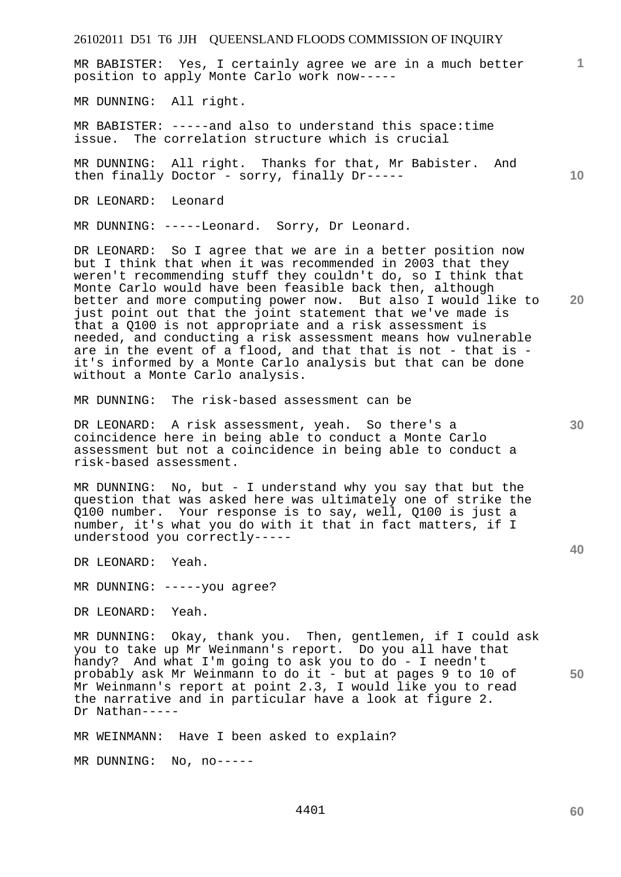MR BABISTER: Yes, I certainly agree we are in a much better position to apply Monte Carlo work now-----

MR DUNNING: All right.

MR BABISTER: -----and also to understand this space:time issue. The correlation structure which is crucial

MR DUNNING: All right. Thanks for that, Mr Babister. And then finally Doctor - sorry, finally Dr-----

DR LEONARD: Leonard

MR DUNNING: -----Leonard. Sorry, Dr Leonard.

**20**  DR LEONARD: So I agree that we are in a better position now but I think that when it was recommended in 2003 that they weren't recommending stuff they couldn't do, so I think that Monte Carlo would have been feasible back then, although better and more computing power now. But also I would like to just point out that the joint statement that we've made is that a Q100 is not appropriate and a risk assessment is needed, and conducting a risk assessment means how vulnerable are in the event of a flood, and that that is not - that is it's informed by a Monte Carlo analysis but that can be done without a Monte Carlo analysis.

MR DUNNING: The risk-based assessment can be

DR LEONARD: A risk assessment, yeah. So there's a coincidence here in being able to conduct a Monte Carlo assessment but not a coincidence in being able to conduct a risk-based assessment.

MR DUNNING: No, but - I understand why you say that but the question that was asked here was ultimately one of strike the Q100 number. Your response is to say, well, Q100 is just a number, it's what you do with it that in fact matters, if I understood you correctly-----

DR LEONARD: Yeah.

MR DUNNING: -----you agree?

DR LEONARD: Yeah.

**50**  MR DUNNING: Okay, thank you. Then, gentlemen, if I could ask you to take up Mr Weinmann's report. Do you all have that handy? And what I'm going to ask you to do - I needn't probably ask Mr Weinmann to do it - but at pages 9 to 10 of Mr Weinmann's report at point 2.3, I would like you to read the narrative and in particular have a look at figure 2. Dr Nathan-----

MR WEINMANN: Have I been asked to explain?

MR DUNNING: No, no-----

**10** 

**1**

**30**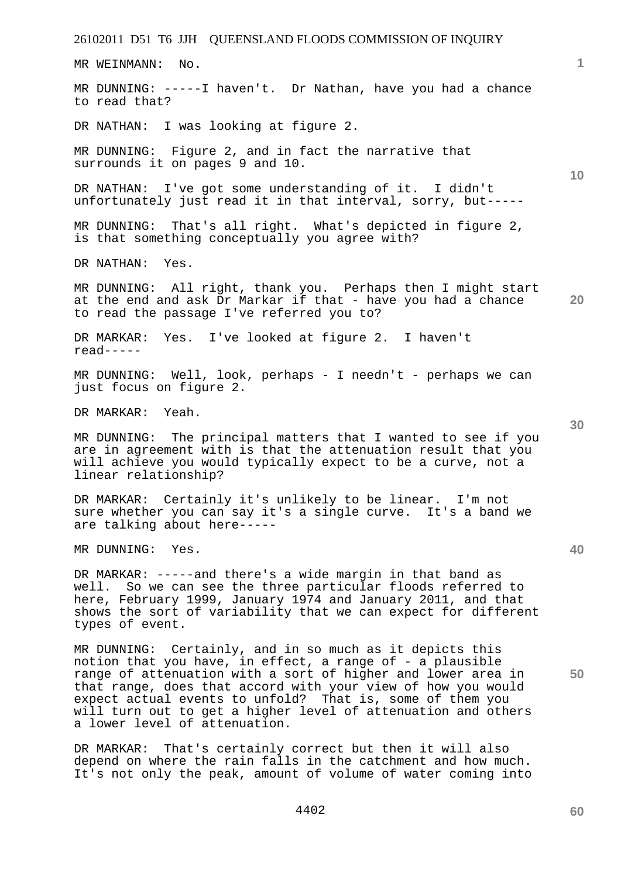26102011 D51 T6 JJH QUEENSLAND FLOODS COMMISSION OF INQUIRY **1 10 20 30 40 50**  MR WEINMANN: No. MR DUNNING: -----I haven't. Dr Nathan, have you had a chance to read that? DR NATHAN: I was looking at figure 2. MR DUNNING: Figure 2, and in fact the narrative that surrounds it on pages 9 and 10. DR NATHAN: I've got some understanding of it. I didn't unfortunately just read it in that interval, sorry, but----- MR DUNNING: That's all right. What's depicted in figure 2, is that something conceptually you agree with? DR NATHAN: Yes. MR DUNNING: All right, thank you. Perhaps then I might start at the end and ask Dr Markar if that - have you had a chance to read the passage I've referred you to? DR MARKAR: Yes. I've looked at figure 2. I haven't read----- MR DUNNING: Well, look, perhaps - I needn't - perhaps we can just focus on figure 2. DR MARKAR: Yeah. MR DUNNING: The principal matters that I wanted to see if you are in agreement with is that the attenuation result that you will achieve you would typically expect to be a curve, not a linear relationship? DR MARKAR: Certainly it's unlikely to be linear. I'm not sure whether you can say it's a single curve. It's a band we are talking about here----- MR DUNNING: Yes. DR MARKAR: -----and there's a wide margin in that band as well. So we can see the three particular floods referred to here, February 1999, January 1974 and January 2011, and that shows the sort of variability that we can expect for different types of event. MR DUNNING: Certainly, and in so much as it depicts this notion that you have, in effect, a range of - a plausible range of attenuation with a sort of higher and lower area in that range, does that accord with your view of how you would expect actual events to unfold? That is, some of them you will turn out to get a higher level of attenuation and others a lower level of attenuation.

DR MARKAR: That's certainly correct but then it will also depend on where the rain falls in the catchment and how much. It's not only the peak, amount of volume of water coming into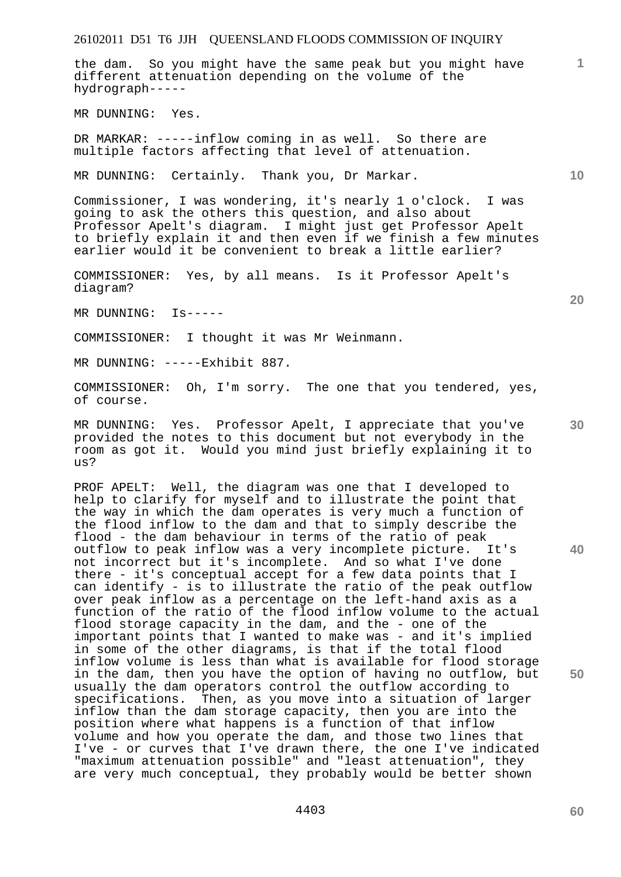the dam. So you might have the same peak but you might have different attenuation depending on the volume of the hydrograph-----

MR DUNNING: Yes.

DR MARKAR: -----inflow coming in as well. So there are multiple factors affecting that level of attenuation.

MR DUNNING: Certainly. Thank you, Dr Markar.

Commissioner, I was wondering, it's nearly 1 o'clock. I was going to ask the others this question, and also about Professor Apelt's diagram. I might just get Professor Apelt to briefly explain it and then even if we finish a few minutes earlier would it be convenient to break a little earlier?

COMMISSIONER: Yes, by all means. Is it Professor Apelt's diagram?

MR DUNNING: Is-----

COMMISSIONER: I thought it was Mr Weinmann.

MR DUNNING: -----Exhibit 887.

COMMISSIONER: Oh, I'm sorry. The one that you tendered, yes, of course.

MR DUNNING: Yes. Professor Apelt, I appreciate that you've provided the notes to this document but not everybody in the room as got it. Would you mind just briefly explaining it to us?

PROF APELT: Well, the diagram was one that I developed to help to clarify for myself and to illustrate the point that the way in which the dam operates is very much a function of the flood inflow to the dam and that to simply describe the flood - the dam behaviour in terms of the ratio of peak<br>outflow to peak inflow was a very incomplete picture. It's outflow to peak inflow was a very incomplete picture. not incorrect but it's incomplete. And so what I've done there - it's conceptual accept for a few data points that I can identify - is to illustrate the ratio of the peak outflow over peak inflow as a percentage on the left-hand axis as a function of the ratio of the flood inflow volume to the actual flood storage capacity in the dam, and the - one of the important points that I wanted to make was - and it's implied in some of the other diagrams, is that if the total flood inflow volume is less than what is available for flood storage in the dam, then you have the option of having no outflow, but usually the dam operators control the outflow according to specifications. Then, as you move into a situation of larger inflow than the dam storage capacity, then you are into the position where what happens is a function of that inflow volume and how you operate the dam, and those two lines that I've - or curves that I've drawn there, the one I've indicated "maximum attenuation possible" and "least attenuation", they are very much conceptual, they probably would be better shown

**10** 

**20** 

**1**

**30**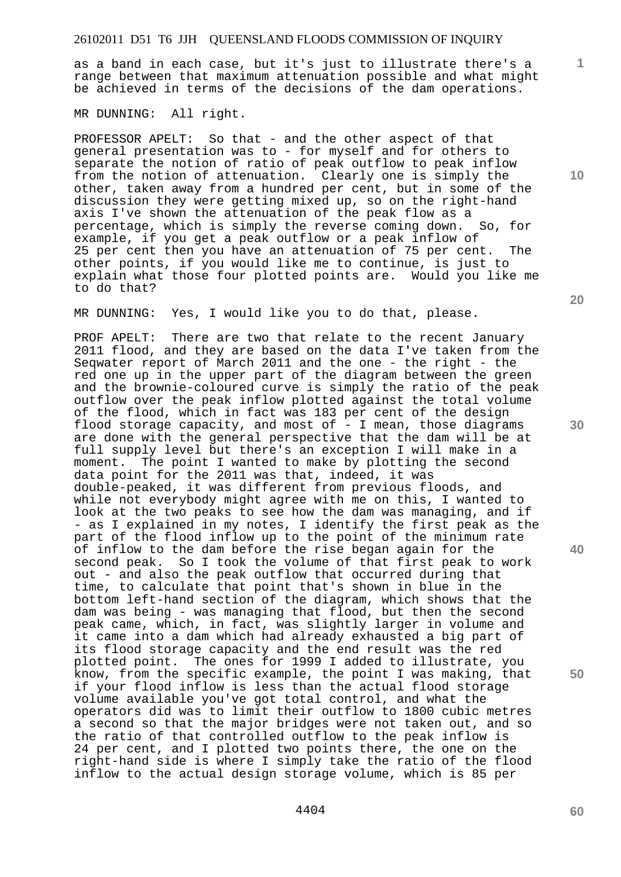as a band in each case, but it's just to illustrate there's a range between that maximum attenuation possible and what might be achieved in terms of the decisions of the dam operations.

MR DUNNING: All right.

PROFESSOR APELT: So that - and the other aspect of that general presentation was to - for myself and for others to separate the notion of ratio of peak outflow to peak inflow from the notion of attenuation. Clearly one is simply the other, taken away from a hundred per cent, but in some of the discussion they were getting mixed up, so on the right-hand axis I've shown the attenuation of the peak flow as a percentage, which is simply the reverse coming down. So, for example, if you get a peak outflow or a peak inflow of 25 per cent then you have an attenuation of 75 per cent. The other points, if you would like me to continue, is just to explain what those four plotted points are. Would you like me to do that?

MR DUNNING: Yes, I would like you to do that, please.

PROF APELT: There are two that relate to the recent January 2011 flood, and they are based on the data I've taken from the Seqwater report of March 2011 and the one - the right - the red one up in the upper part of the diagram between the green and the brownie-coloured curve is simply the ratio of the peak outflow over the peak inflow plotted against the total volume of the flood, which in fact was 183 per cent of the design flood storage capacity, and most of  $-$  I mean, those diagrams are done with the general perspective that the dam will be at full supply level but there's an exception I will make in a<br>moment. The point I wanted to make by plotting the second The point I wanted to make by plotting the second data point for the 2011 was that, indeed, it was double-peaked, it was different from previous floods, and while not everybody might agree with me on this, I wanted to look at the two peaks to see how the dam was managing, and if - as I explained in my notes, I identify the first peak as the part of the flood inflow up to the point of the minimum rate of inflow to the dam before the rise began again for the second peak. So I took the volume of that first peak to work out - and also the peak outflow that occurred during that time, to calculate that point that's shown in blue in the bottom left-hand section of the diagram, which shows that the dam was being - was managing that flood, but then the second peak came, which, in fact, was slightly larger in volume and it came into a dam which had already exhausted a big part of its flood storage capacity and the end result was the red plotted point. The ones for 1999 I added to illustrate, you know, from the specific example, the point I was making, that if your flood inflow is less than the actual flood storage volume available you've got total control, and what the operators did was to limit their outflow to 1800 cubic metres a second so that the major bridges were not taken out, and so the ratio of that controlled outflow to the peak inflow is 24 per cent, and I plotted two points there, the one on the right-hand side is where I simply take the ratio of the flood inflow to the actual design storage volume, which is 85 per

**10** 

**1**

**20** 

**30** 

**40** 

**60**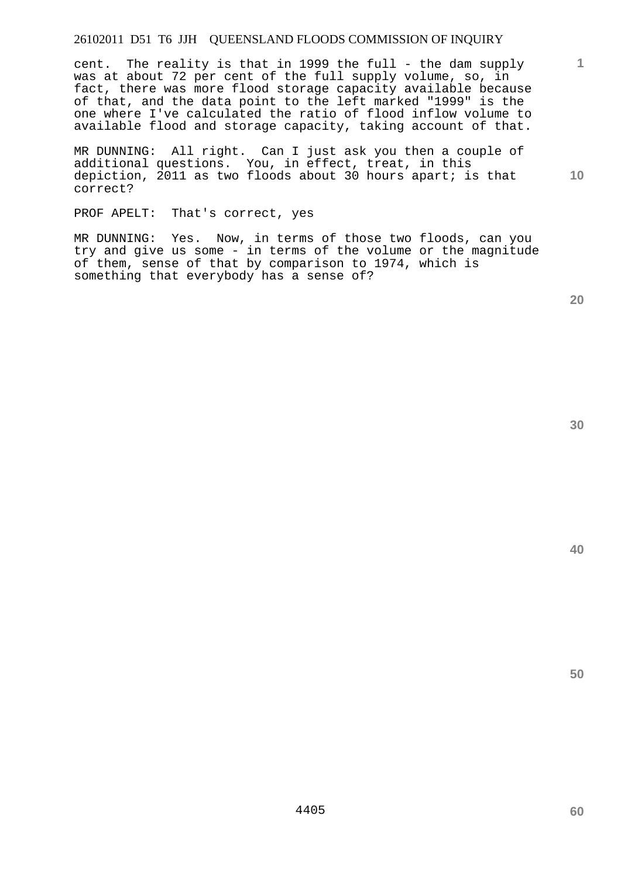cent. The reality is that in 1999 the full - the dam supply was at about 72 per cent of the full supply volume, so, in fact, there was more flood storage capacity available because of that, and the data point to the left marked "1999" is the one where I've calculated the ratio of flood inflow volume to available flood and storage capacity, taking account of that.

MR DUNNING: All right. Can I just ask you then a couple of additional questions. You, in effect, treat, in this depiction, 2011 as two floods about 30 hours apart; is that correct?

PROF APELT: That's correct, yes

MR DUNNING: Yes. Now, in terms of those two floods, can you try and give us some - in terms of the volume or the magnitude of them, sense of that by comparison to 1974, which is something that everybody has a sense of?

**20** 

**10** 

**40** 

**60** 

**50**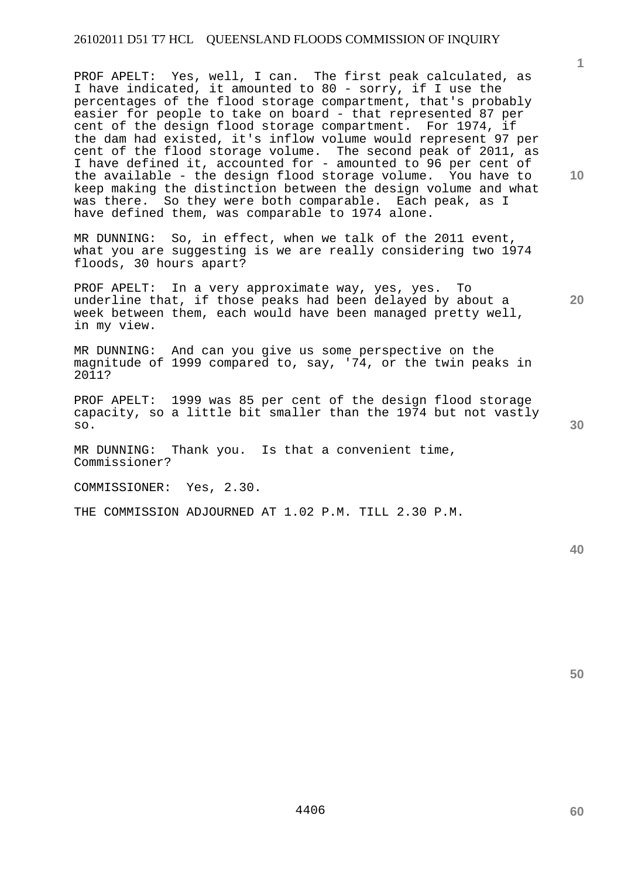PROF APELT: Yes, well, I can. The first peak calculated, as I have indicated, it amounted to 80 - sorry, if I use the percentages of the flood storage compartment, that's probably easier for people to take on board - that represented 87 per cent of the design flood storage compartment. For 1974, if the dam had existed, it's inflow volume would represent 97 per cent of the flood storage volume. The second peak of 2011, as I have defined it, accounted for - amounted to 96 per cent of the available - the design flood storage volume. You have to keep making the distinction between the design volume and what was there. So they were both comparable. Each peak, as I have defined them, was comparable to 1974 alone.

MR DUNNING: So, in effect, when we talk of the 2011 event, what you are suggesting is we are really considering two 1974 floods, 30 hours apart?

PROF APELT: In a very approximate way, yes, yes. To underline that, if those peaks had been delayed by about a week between them, each would have been managed pretty well, in my view.

MR DUNNING: And can you give us some perspective on the magnitude of 1999 compared to, say, '74, or the twin peaks in 2011?

PROF APELT: 1999 was 85 per cent of the design flood storage capacity, so a little bit smaller than the 1974 but not vastly so.

MR DUNNING: Thank you. Is that a convenient time, Commissioner?

COMMISSIONER: Yes, 2.30.

THE COMMISSION ADJOURNED AT 1.02 P.M. TILL 2.30 P.M.

**40** 

**50** 

**10** 

**1**

**20**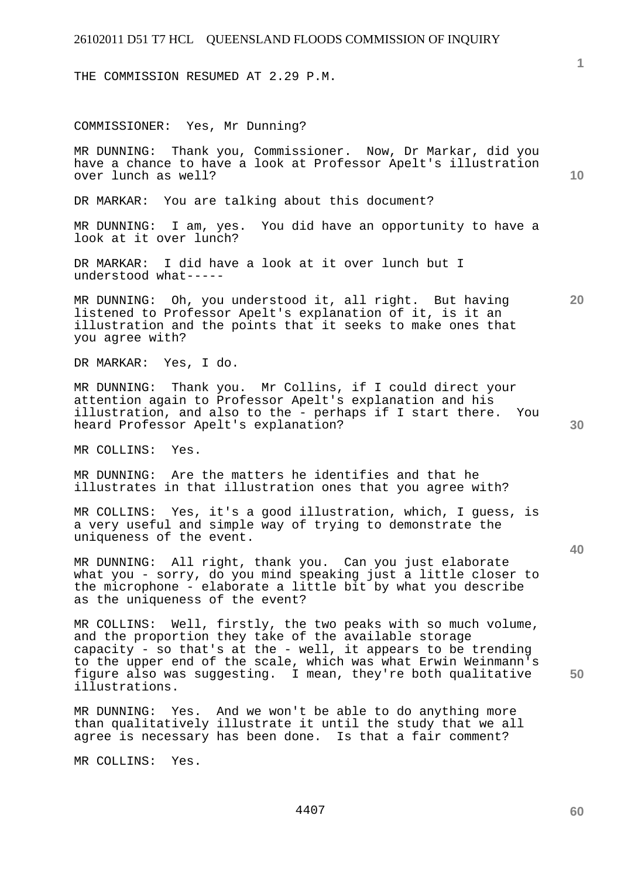THE COMMISSION RESUMED AT 2.29 P.M.

COMMISSIONER: Yes, Mr Dunning?

MR DUNNING: Thank you, Commissioner. Now, Dr Markar, did you have a chance to have a look at Professor Apelt's illustration over lunch as well?

DR MARKAR: You are talking about this document?

MR DUNNING: I am, yes. You did have an opportunity to have a look at it over lunch?

DR MARKAR: I did have a look at it over lunch but I understood what-----

MR DUNNING: Oh, you understood it, all right. But having listened to Professor Apelt's explanation of it, is it an illustration and the points that it seeks to make ones that you agree with?

DR MARKAR: Yes, I do.

MR DUNNING: Thank you. Mr Collins, if I could direct your attention again to Professor Apelt's explanation and his illustration, and also to the - perhaps if I start there. You heard Professor Apelt's explanation?

MR COLLINS: Yes.

MR DUNNING: Are the matters he identifies and that he illustrates in that illustration ones that you agree with?

MR COLLINS: Yes, it's a good illustration, which, I guess, is a very useful and simple way of trying to demonstrate the uniqueness of the event.

MR DUNNING: All right, thank you. Can you just elaborate what you - sorry, do you mind speaking just a little closer to the microphone - elaborate a little bit by what you describe as the uniqueness of the event?

MR COLLINS: Well, firstly, the two peaks with so much volume, and the proportion they take of the available storage capacity - so that's at the - well, it appears to be trending to the upper end of the scale, which was what Erwin Weinmann's figure also was suggesting. I mean, they're both qualitative illustrations.

MR DUNNING: Yes. And we won't be able to do anything more than qualitatively illustrate it until the study that we all agree is necessary has been done. Is that a fair comment?

MR COLLINS: Yes.

**10** 

**1**

**20** 

**40**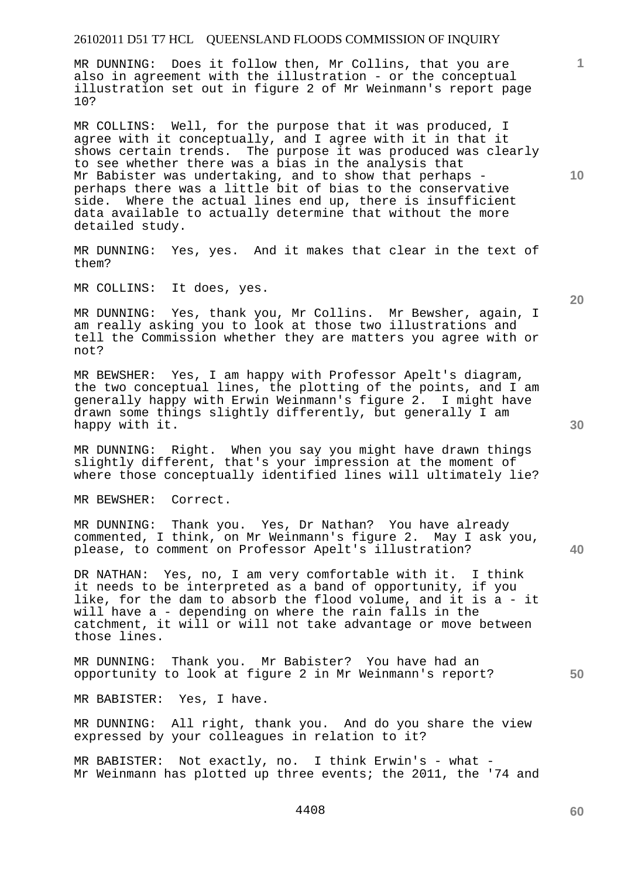MR DUNNING: Does it follow then, Mr Collins, that you are also in agreement with the illustration - or the conceptual illustration set out in figure 2 of Mr Weinmann's report page 10?

MR COLLINS: Well, for the purpose that it was produced, I agree with it conceptually, and I agree with it in that it shows certain trends. The purpose it was produced was clearly to see whether there was a bias in the analysis that Mr Babister was undertaking, and to show that perhaps perhaps there was a little bit of bias to the conservative side. Where the actual lines end up, there is insufficient data available to actually determine that without the more detailed study.

MR DUNNING: Yes, yes. And it makes that clear in the text of them?

MR COLLINS: It does, yes.

MR DUNNING: Yes, thank you, Mr Collins. Mr Bewsher, again, I am really asking you to look at those two illustrations and tell the Commission whether they are matters you agree with or not?

MR BEWSHER: Yes, I am happy with Professor Apelt's diagram, the two conceptual lines, the plotting of the points, and I am generally happy with Erwin Weinmann's figure 2. I might have drawn some things slightly differently, but generally I am happy with it.

MR DUNNING: Right. When you say you might have drawn things slightly different, that's your impression at the moment of where those conceptually identified lines will ultimately lie?

MR BEWSHER: Correct.

MR DUNNING: Thank you. Yes, Dr Nathan? You have already commented, I think, on Mr Weinmann's figure 2. May I ask you, please, to comment on Professor Apelt's illustration?

DR NATHAN: Yes, no, I am very comfortable with it. I think it needs to be interpreted as a band of opportunity, if you like, for the dam to absorb the flood volume, and it is a - it will have a - depending on where the rain falls in the catchment, it will or will not take advantage or move between those lines.

MR DUNNING: Thank you. Mr Babister? You have had an opportunity to look at figure 2 in Mr Weinmann's report?

MR BABISTER: Yes, I have.

MR DUNNING: All right, thank you. And do you share the view expressed by your colleagues in relation to it?

MR BABISTER: Not exactly, no. I think Erwin's - what -Mr Weinmann has plotted up three events; the 2011, the '74 and

**20** 

**1**

**10** 

**40** 

**50**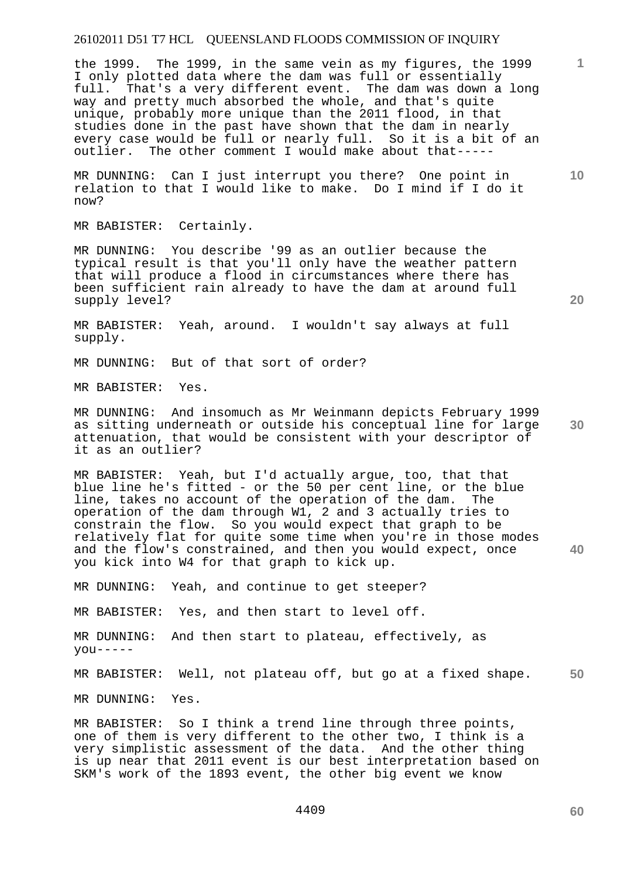the 1999. The 1999, in the same vein as my figures, the 1999 I only plotted data where the dam was full or essentially full. That's a very different event. The dam was down a long way and pretty much absorbed the whole, and that's quite unique, probably more unique than the 2011 flood, in that studies done in the past have shown that the dam in nearly every case would be full or nearly full. So it is a bit of an outlier. The other comment I would make about that-----

MR DUNNING: Can I just interrupt you there? One point in relation to that I would like to make. Do I mind if I do it now?

MR BABISTER: Certainly.

MR DUNNING: You describe '99 as an outlier because the typical result is that you'll only have the weather pattern that will produce a flood in circumstances where there has been sufficient rain already to have the dam at around full supply level?

MR BABISTER: Yeah, around. I wouldn't say always at full supply.

MR DUNNING: But of that sort of order?

MR BABISTER: Yes.

**30**  MR DUNNING: And insomuch as Mr Weinmann depicts February 1999 as sitting underneath or outside his conceptual line for large attenuation, that would be consistent with your descriptor of it as an outlier?

**40**  MR BABISTER: Yeah, but I'd actually argue, too, that that blue line he's fitted - or the 50 per cent line, or the blue line, takes no account of the operation of the dam. The operation of the dam through W1, 2 and 3 actually tries to constrain the flow. So you would expect that graph to be relatively flat for quite some time when you're in those modes and the flow's constrained, and then you would expect, once you kick into W4 for that graph to kick up.

MR DUNNING: Yeah, and continue to get steeper?

MR BABISTER: Yes, and then start to level off.

MR DUNNING: And then start to plateau, effectively, as  $you---$ 

**50**  MR BABISTER: Well, not plateau off, but go at a fixed shape.

MR DUNNING: Yes.

MR BABISTER: So I think a trend line through three points, one of them is very different to the other two, I think is a very simplistic assessment of the data. And the other thing is up near that 2011 event is our best interpretation based on SKM's work of the 1893 event, the other big event we know

**10** 

**1**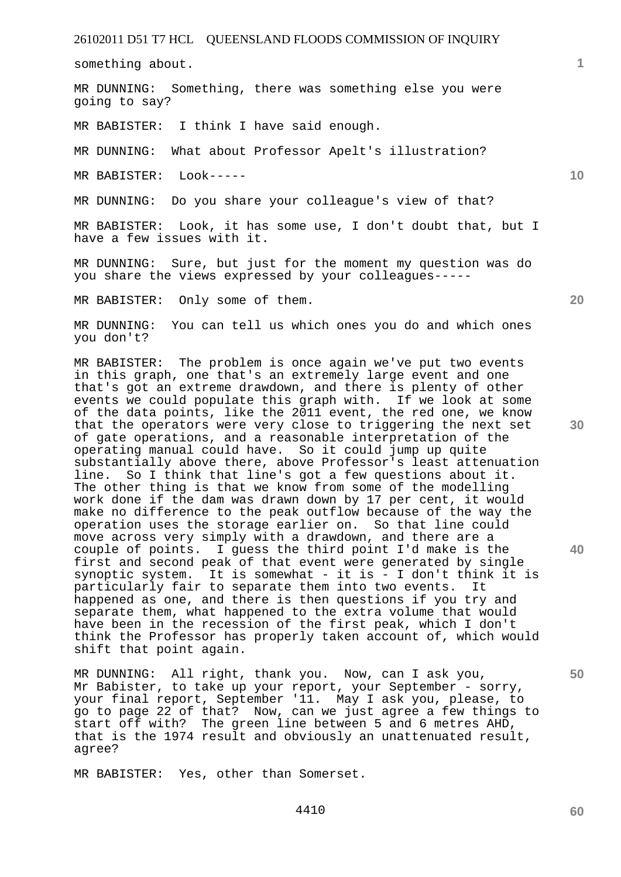something about.

MR DUNNING: Something, there was something else you were going to say?

MR BABISTER: I think I have said enough.

MR DUNNING: What about Professor Apelt's illustration?

MR BABISTER: Look-----

MR DUNNING: Do you share your colleague's view of that?

MR BABISTER: Look, it has some use, I don't doubt that, but I have a few issues with it.

MR DUNNING: Sure, but just for the moment my question was do you share the views expressed by your colleagues-----

MR BABISTER: Only some of them.

MR DUNNING: You can tell us which ones you do and which ones you don't?

MR BABISTER: The problem is once again we've put two events in this graph, one that's an extremely large event and one that's got an extreme drawdown, and there is plenty of other events we could populate this graph with. If we look at some of the data points, like the 2011 event, the red one, we know that the operators were very close to triggering the next set of gate operations, and a reasonable interpretation of the operating manual could have. So it could jump up quite substantially above there, above Professor's least attenuation line. So I think that line's got a few questions about it. The other thing is that we know from some of the modelling work done if the dam was drawn down by 17 per cent, it would make no difference to the peak outflow because of the way the operation uses the storage earlier on. So that line could move across very simply with a drawdown, and there are a couple of points. I guess the third point I'd make is the first and second peak of that event were generated by single synoptic system. It is somewhat - it is - I don't think it is particularly fair to separate them into two events. It happened as one, and there is then questions if you try and separate them, what happened to the extra volume that would have been in the recession of the first peak, which I don't think the Professor has properly taken account of, which would shift that point again.

MR DUNNING: All right, thank you. Now, can I ask you, Mr Babister, to take up your report, your September - sorry, your final report, September '11. May I ask you, please, to go to page 22 of that? Now, can we just agree a few things to start off with? The green line between 5 and 6 metres AHD, that is the 1974 result and obviously an unattenuated result, agree?

MR BABISTER: Yes, other than Somerset.

**30** 

**1**

**10** 

**20** 

**40**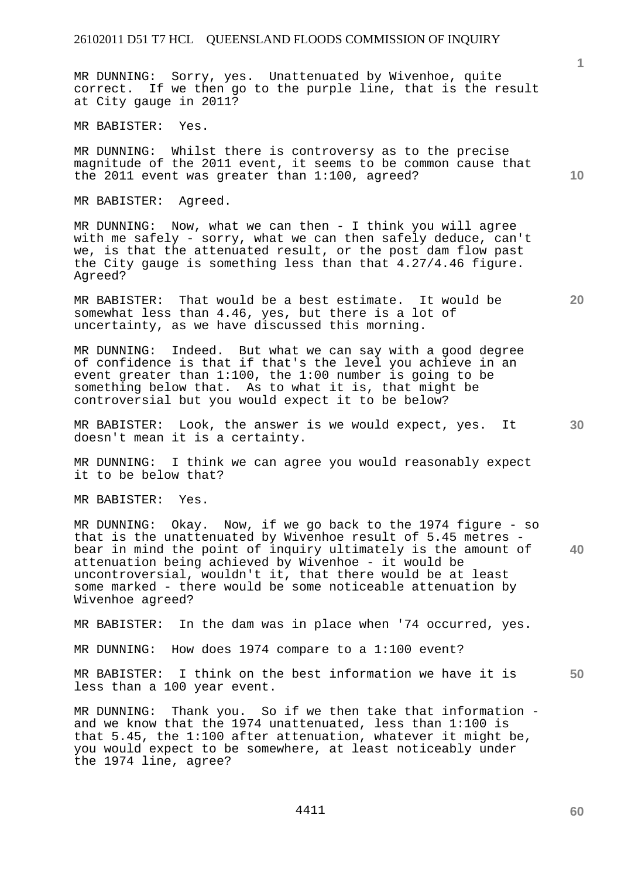MR DUNNING: Sorry, yes. Unattenuated by Wivenhoe, quite correct. If we then go to the purple line, that is the result at City gauge in 2011?

MR BABISTER: Yes.

MR DUNNING: Whilst there is controversy as to the precise magnitude of the 2011 event, it seems to be common cause that the 2011 event was greater than 1:100, agreed?

MR BABISTER: Agreed.

MR DUNNING: Now, what we can then - I think you will agree with me safely - sorry, what we can then safely deduce, can't we, is that the attenuated result, or the post dam flow past the City gauge is something less than that 4.27/4.46 figure. Agreed?

MR BABISTER: That would be a best estimate. It would be somewhat less than 4.46, yes, but there is a lot of uncertainty, as we have discussed this morning.

MR DUNNING: Indeed. But what we can say with a good degree of confidence is that if that's the level you achieve in an event greater than 1:100, the 1:00 number is going to be something below that. As to what it is, that might be controversial but you would expect it to be below?

MR BABISTER: Look, the answer is we would expect, yes. It doesn't mean it is a certainty.

MR DUNNING: I think we can agree you would reasonably expect it to be below that?

MR BABISTER: Yes.

**40**  MR DUNNING: Okay. Now, if we go back to the 1974 figure - so that is the unattenuated by Wivenhoe result of 5.45 metres bear in mind the point of inquiry ultimately is the amount of attenuation being achieved by Wivenhoe - it would be uncontroversial, wouldn't it, that there would be at least some marked - there would be some noticeable attenuation by Wivenhoe agreed?

MR BABISTER: In the dam was in place when '74 occurred, yes.

MR DUNNING: How does 1974 compare to a 1:100 event?

MR BABISTER: I think on the best information we have it is less than a 100 year event.

MR DUNNING: Thank you. So if we then take that information and we know that the 1974 unattenuated, less than 1:100 is that 5.45, the 1:100 after attenuation, whatever it might be, you would expect to be somewhere, at least noticeably under the 1974 line, agree?

**10** 

**1**

**20**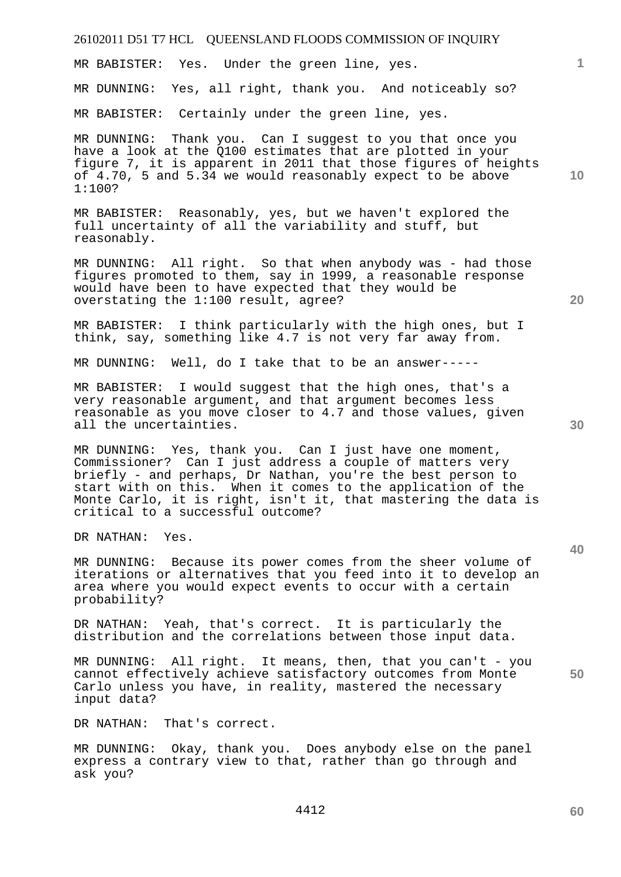MR BABISTER: Yes. Under the green line, yes.

MR DUNNING: Yes, all right, thank you. And noticeably so?

MR BABISTER: Certainly under the green line, yes.

MR DUNNING: Thank you. Can I suggest to you that once you have a look at the Q100 estimates that are plotted in your figure 7, it is apparent in 2011 that those figures of heights of 4.70, 5 and 5.34 we would reasonably expect to be above 1:100?

MR BABISTER: Reasonably, yes, but we haven't explored the full uncertainty of all the variability and stuff, but reasonably.

MR DUNNING: All right. So that when anybody was - had those figures promoted to them, say in 1999, a reasonable response would have been to have expected that they would be overstating the 1:100 result, agree?

MR BABISTER: I think particularly with the high ones, but I think, say, something like 4.7 is not very far away from.

MR DUNNING: Well, do I take that to be an answer-----

MR BABISTER: I would suggest that the high ones, that's a very reasonable argument, and that argument becomes less reasonable as you move closer to 4.7 and those values, given all the uncertainties.

MR DUNNING: Yes, thank you. Can I just have one moment, Commissioner? Can I just address a couple of matters very briefly - and perhaps, Dr Nathan, you're the best person to start with on this. When it comes to the application of the Monte Carlo, it is right, isn't it, that mastering the data is critical to a successful outcome?

DR NATHAN: Yes.

MR DUNNING: Because its power comes from the sheer volume of iterations or alternatives that you feed into it to develop an area where you would expect events to occur with a certain probability?

DR NATHAN: Yeah, that's correct. It is particularly the distribution and the correlations between those input data.

MR DUNNING: All right. It means, then, that you can't - you cannot effectively achieve satisfactory outcomes from Monte Carlo unless you have, in reality, mastered the necessary input data?

DR NATHAN: That's correct.

MR DUNNING: Okay, thank you. Does anybody else on the panel express a contrary view to that, rather than go through and ask you?

**30** 

**10** 

**20**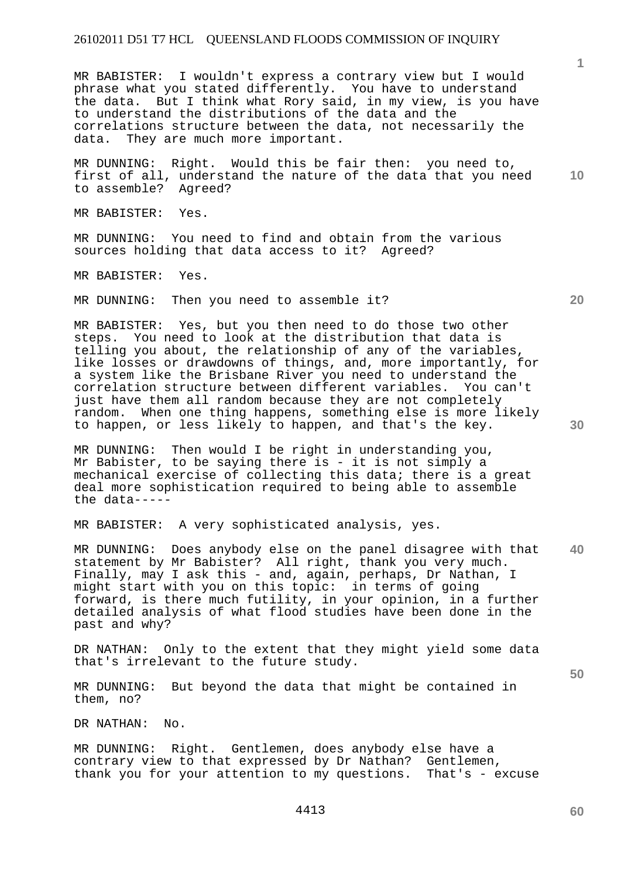MR BABISTER: I wouldn't express a contrary view but I would phrase what you stated differently. You have to understand the data. But I think what Rory said, in my view, is you have to understand the distributions of the data and the correlations structure between the data, not necessarily the data. They are much more important.

**10**  MR DUNNING: Right. Would this be fair then: you need to, first of all, understand the nature of the data that you need to assemble? Agreed?

MR BABISTER: Yes.

MR DUNNING: You need to find and obtain from the various sources holding that data access to it? Agreed?

MR BABISTER: Yes.

MR DUNNING: Then you need to assemble it?

MR BABISTER: Yes, but you then need to do those two other steps. You need to look at the distribution that data is telling you about, the relationship of any of the variables, like losses or drawdowns of things, and, more importantly, for a system like the Brisbane River you need to understand the correlation structure between different variables. You can't just have them all random because they are not completely random. When one thing happens, something else is more likely to happen, or less likely to happen, and that's the key.

MR DUNNING: Then would I be right in understanding you, Mr Babister, to be saying there is - it is not simply a mechanical exercise of collecting this data; there is a great deal more sophistication required to being able to assemble the data-----

MR BABISTER: A very sophisticated analysis, yes.

**40**  MR DUNNING: Does anybody else on the panel disagree with that statement by Mr Babister? All right, thank you very much. Finally, may I ask this - and, again, perhaps, Dr Nathan, I might start with you on this topic: in terms of going forward, is there much futility, in your opinion, in a further detailed analysis of what flood studies have been done in the past and why?

DR NATHAN: Only to the extent that they might yield some data that's irrelevant to the future study.

MR DUNNING: But beyond the data that might be contained in them, no?

DR NATHAN: No.

MR DUNNING: Right. Gentlemen, does anybody else have a contrary view to that expressed by Dr Nathan? Gentlemen, thank you for your attention to my questions. That's - excuse **50** 

**20**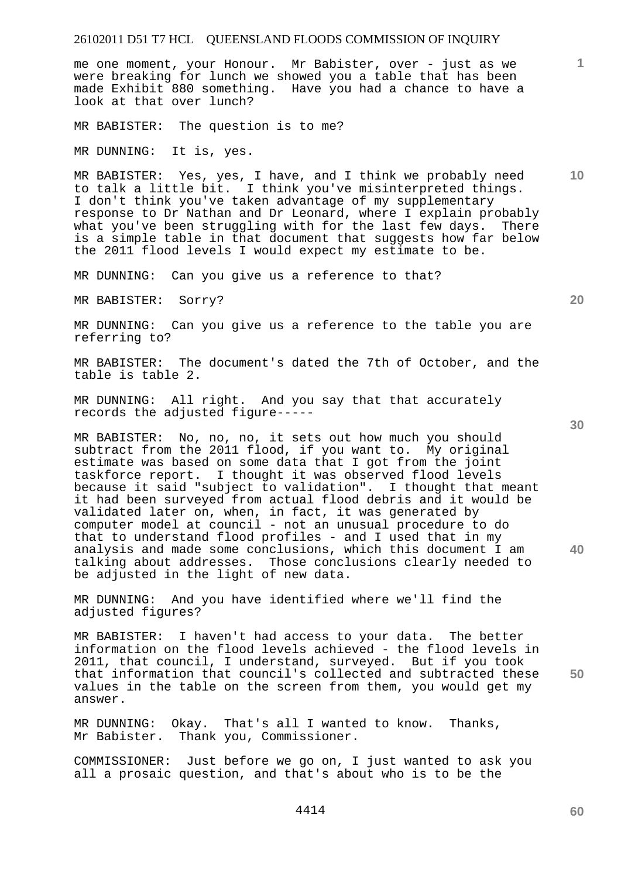me one moment, your Honour. Mr Babister, over - just as we were breaking for lunch we showed you a table that has been made Exhibit 880 something. Have you had a chance to have a look at that over lunch?

MR BABISTER: The question is to me?

MR DUNNING: It is, yes.

MR BABISTER: Yes, yes, I have, and I think we probably need to talk a little bit. I think you've misinterpreted things. I don't think you've taken advantage of my supplementary response to Dr Nathan and Dr Leonard, where I explain probably what you've been struggling with for the last few days. There is a simple table in that document that suggests how far below the 2011 flood levels I would expect my estimate to be.

MR DUNNING: Can you give us a reference to that?

MR BABISTER: Sorry?

MR DUNNING: Can you give us a reference to the table you are referring to?

MR BABISTER: The document's dated the 7th of October, and the table is table 2.

MR DUNNING: All right. And you say that that accurately records the adjusted figure-----

MR BABISTER: No, no, no, it sets out how much you should subtract from the 2011 flood, if you want to. My original estimate was based on some data that I got from the joint taskforce report. I thought it was observed flood levels because it said "subject to validation". I thought that meant it had been surveyed from actual flood debris and it would be validated later on, when, in fact, it was generated by computer model at council - not an unusual procedure to do that to understand flood profiles - and I used that in my analysis and made some conclusions, which this document I am talking about addresses. Those conclusions clearly needed to be adjusted in the light of new data.

MR DUNNING: And you have identified where we'll find the adjusted figures?

MR BABISTER: I haven't had access to your data. The better information on the flood levels achieved - the flood levels in 2011, that council, I understand, surveyed. But if you took that information that council's collected and subtracted these values in the table on the screen from them, you would get my answer.

MR DUNNING: Okay. That's all I wanted to know. Thanks, Mr Babister. Thank you, Commissioner.

COMMISSIONER: Just before we go on, I just wanted to ask you all a prosaic question, and that's about who is to be the

4414

**30** 

**40** 

**50** 

**1**

**20**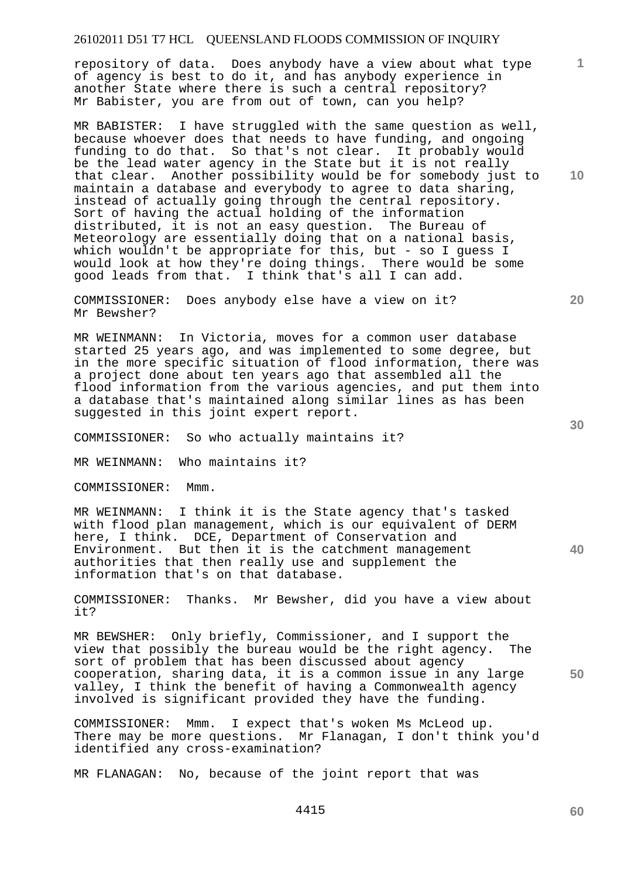repository of data. Does anybody have a view about what type of agency is best to do it, and has anybody experience in another State where there is such a central repository? Mr Babister, you are from out of town, can you help?

MR BABISTER: I have struggled with the same question as well, because whoever does that needs to have funding, and ongoing funding to do that. So that's not clear. It probably would be the lead water agency in the State but it is not really that clear. Another possibility would be for somebody just to maintain a database and everybody to agree to data sharing, instead of actually going through the central repository. Sort of having the actual holding of the information<br>distributed, it is not an easy question. The Bureau of distributed, it is not an easy question. Meteorology are essentially doing that on a national basis, which wouldn't be appropriate for this, but - so I guess I would look at how they're doing things. There would be some good leads from that. I think that's all I can add.

COMMISSIONER: Does anybody else have a view on it? Mr Bewsher?

MR WEINMANN: In Victoria, moves for a common user database started 25 years ago, and was implemented to some degree, but in the more specific situation of flood information, there was a project done about ten years ago that assembled all the flood information from the various agencies, and put them into a database that's maintained along similar lines as has been suggested in this joint expert report.

COMMISSIONER: So who actually maintains it?

MR WEINMANN: Who maintains it?

COMMISSIONER: Mmm.

MR WEINMANN: I think it is the State agency that's tasked with flood plan management, which is our equivalent of DERM here, I think. DCE, Department of Conservation and Environment. But then it is the catchment management authorities that then really use and supplement the information that's on that database.

COMMISSIONER: Thanks. Mr Bewsher, did you have a view about it?

MR BEWSHER: Only briefly, Commissioner, and I support the view that possibly the bureau would be the right agency. The sort of problem that has been discussed about agency cooperation, sharing data, it is a common issue in any large valley, I think the benefit of having a Commonwealth agency involved is significant provided they have the funding.

COMMISSIONER: Mmm. I expect that's woken Ms McLeod up. There may be more questions. Mr Flanagan, I don't think you'd identified any cross-examination?

MR FLANAGAN: No, because of the joint report that was

**20** 

**10** 

**1**

**40**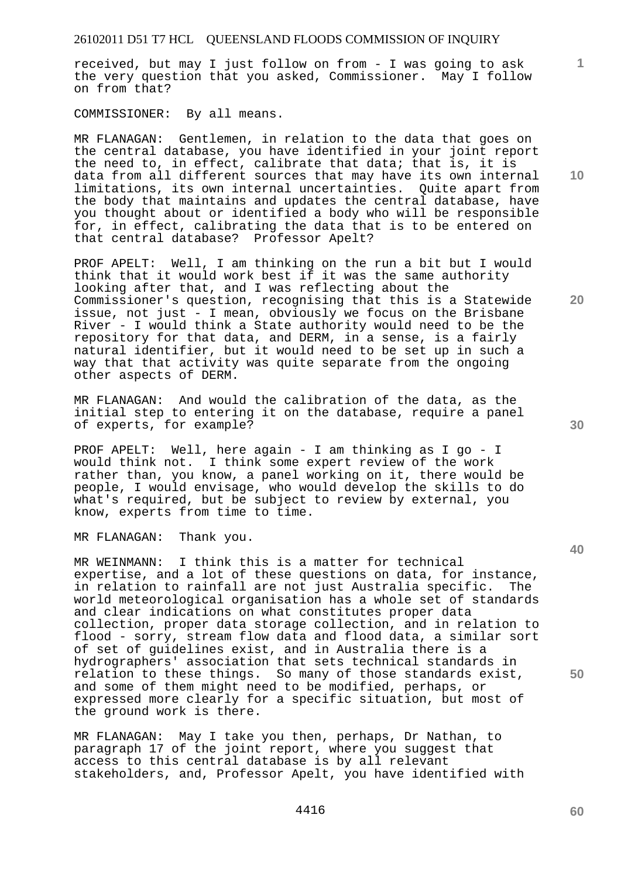received, but may I just follow on from - I was going to ask the very question that you asked, Commissioner. May I follow on from that?

COMMISSIONER: By all means.

MR FLANAGAN: Gentlemen, in relation to the data that goes on the central database, you have identified in your joint report the need to, in effect, calibrate that data; that is, it is data from all different sources that may have its own internal limitations, its own internal uncertainties. Quite apart from the body that maintains and updates the central database, have you thought about or identified a body who will be responsible for, in effect, calibrating the data that is to be entered on that central database? Professor Apelt?

PROF APELT: Well, I am thinking on the run a bit but I would think that it would work best if it was the same authority looking after that, and I was reflecting about the Commissioner's question, recognising that this is a Statewide issue, not just - I mean, obviously we focus on the Brisbane River - I would think a State authority would need to be the repository for that data, and DERM, in a sense, is a fairly natural identifier, but it would need to be set up in such a way that that activity was quite separate from the ongoing other aspects of DERM.

MR FLANAGAN: And would the calibration of the data, as the initial step to entering it on the database, require a panel of experts, for example?

PROF APELT: Well, here again - I am thinking as I go - I would think not. I think some expert review of the work rather than, you know, a panel working on it, there would be people, I would envisage, who would develop the skills to do what's required, but be subject to review by external, you know, experts from time to time.

MR FLANAGAN: Thank you.

MR WEINMANN: I think this is a matter for technical expertise, and a lot of these questions on data, for instance, in relation to rainfall are not just Australia specific. The world meteorological organisation has a whole set of standards and clear indications on what constitutes proper data collection, proper data storage collection, and in relation to flood - sorry, stream flow data and flood data, a similar sort of set of guidelines exist, and in Australia there is a hydrographers' association that sets technical standards in relation to these things. So many of those standards exist, and some of them might need to be modified, perhaps, or expressed more clearly for a specific situation, but most of the ground work is there.

MR FLANAGAN: May I take you then, perhaps, Dr Nathan, to paragraph 17 of the joint report, where you suggest that access to this central database is by all relevant stakeholders, and, Professor Apelt, you have identified with **10** 

**1**

**20** 

**40**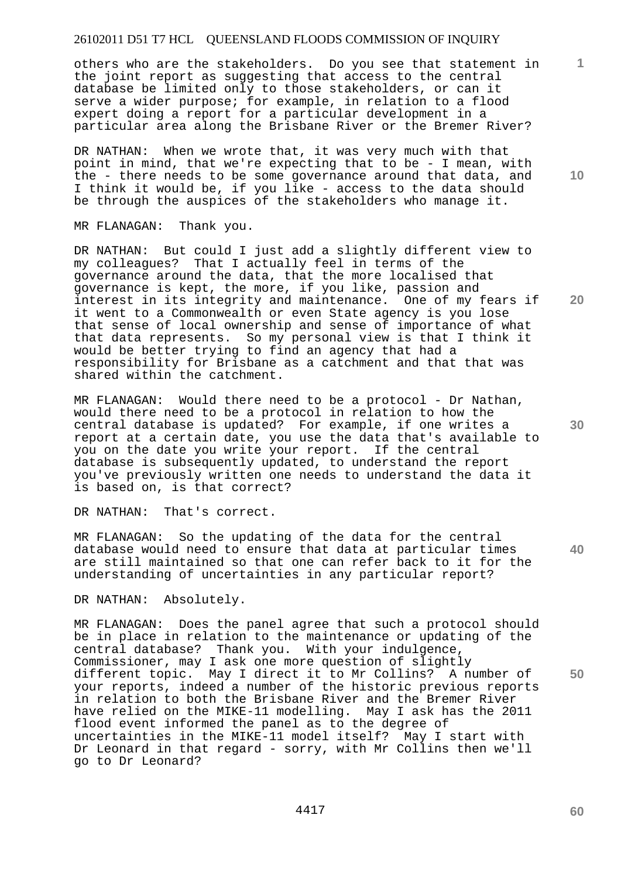others who are the stakeholders. Do you see that statement in the joint report as suggesting that access to the central database be limited only to those stakeholders, or can it serve a wider purpose; for example, in relation to a flood expert doing a report for a particular development in a particular area along the Brisbane River or the Bremer River?

DR NATHAN: When we wrote that, it was very much with that point in mind, that we're expecting that to be - I mean, with the - there needs to be some governance around that data, and I think it would be, if you like - access to the data should be through the auspices of the stakeholders who manage it.

MR FLANAGAN: Thank you.

DR NATHAN: But could I just add a slightly different view to my colleagues? That I actually feel in terms of the governance around the data, that the more localised that governance is kept, the more, if you like, passion and interest in its integrity and maintenance. One of my fears if it went to a Commonwealth or even State agency is you lose that sense of local ownership and sense of importance of what that data represents. So my personal view is that I think it would be better trying to find an agency that had a responsibility for Brisbane as a catchment and that that was shared within the catchment.

MR FLANAGAN: Would there need to be a protocol - Dr Nathan, would there need to be a protocol in relation to how the central database is updated? For example, if one writes a report at a certain date, you use the data that's available to you on the date you write your report. If the central database is subsequently updated, to understand the report you've previously written one needs to understand the data it is based on, is that correct?

DR NATHAN: That's correct.

MR FLANAGAN: So the updating of the data for the central database would need to ensure that data at particular times are still maintained so that one can refer back to it for the understanding of uncertainties in any particular report?

DR NATHAN: Absolutely.

**50**  MR FLANAGAN: Does the panel agree that such a protocol should be in place in relation to the maintenance or updating of the central database? Thank you. With your indulgence, Commissioner, may I ask one more question of slightly different topic. May I direct it to Mr Collins? A number of your reports, indeed a number of the historic previous reports in relation to both the Brisbane River and the Bremer River have relied on the MIKE-11 modelling. May I ask has the 2011 flood event informed the panel as to the degree of uncertainties in the MIKE-11 model itself? May I start with Dr Leonard in that regard - sorry, with Mr Collins then we'll go to Dr Leonard?

**10** 

**1**

**30** 

**20**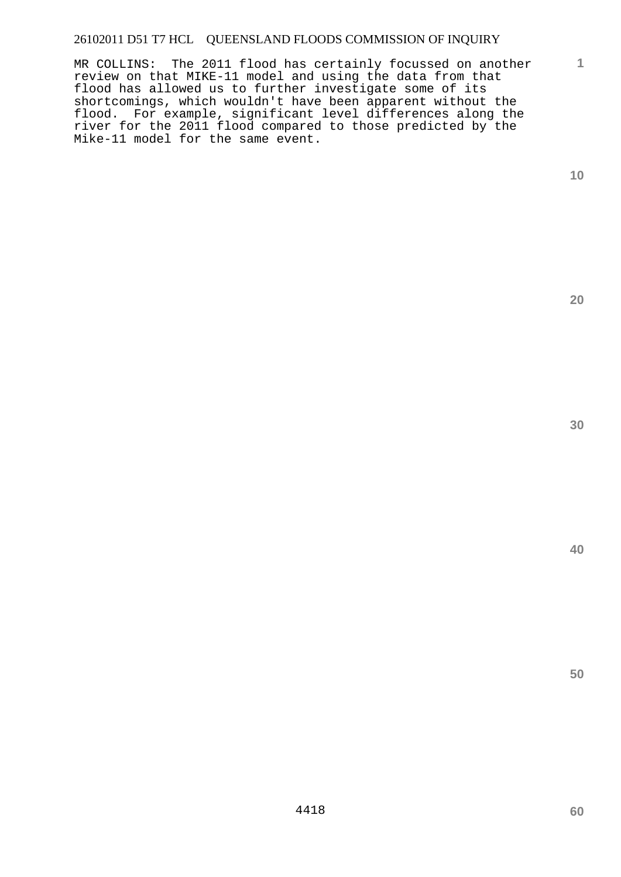MR COLLINS: The 2011 flood has certainly focussed on another review on that MIKE-11 model and using the data from that flood has allowed us to further investigate some of its shortcomings, which wouldn't have been apparent without the flood. For example, significant level differences along the river for the 2011 flood compared to those predicted by the Mike-11 model for the same event.

**10** 

**1**

**30** 

**20** 

**40**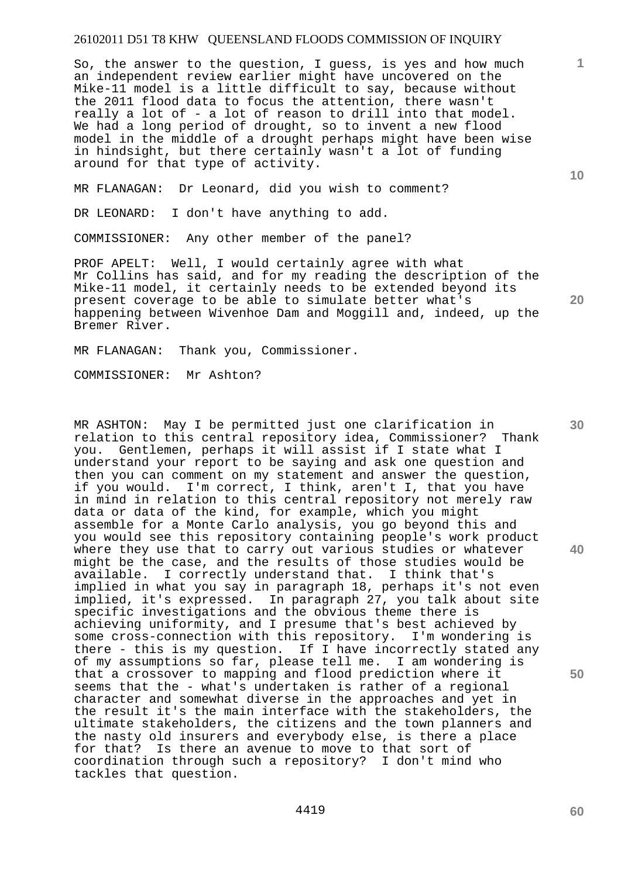So, the answer to the question, I guess, is yes and how much an independent review earlier might have uncovered on the Mike-11 model is a little difficult to say, because without the 2011 flood data to focus the attention, there wasn't really a lot of - a lot of reason to drill into that model. We had a long period of drought, so to invent a new flood model in the middle of a drought perhaps might have been wise in hindsight, but there certainly wasn't a lot of funding around for that type of activity.

MR FLANAGAN: Dr Leonard, did you wish to comment?

DR LEONARD: I don't have anything to add.

COMMISSIONER: Any other member of the panel?

PROF APELT: Well, I would certainly agree with what Mr Collins has said, and for my reading the description of the Mike-11 model, it certainly needs to be extended beyond its present coverage to be able to simulate better what's happening between Wivenhoe Dam and Moggill and, indeed, up the Bremer River.

MR FLANAGAN: Thank you, Commissioner.

COMMISSIONER: Mr Ashton?

MR ASHTON: May I be permitted just one clarification in relation to this central repository idea, Commissioner? Thank<br>you. Gentlemen, perhaps it will assist if I state what I Gentlemen, perhaps it will assist if I state what I understand your report to be saying and ask one question and then you can comment on my statement and answer the question, if you would. I'm correct, I think, aren't I, that you have in mind in relation to this central repository not merely raw data or data of the kind, for example, which you might assemble for a Monte Carlo analysis, you go beyond this and you would see this repository containing people's work product where they use that to carry out various studies or whatever might be the case, and the results of those studies would be available. I correctly understand that. I think that's implied in what you say in paragraph 18, perhaps it's not even implied, it's expressed. In paragraph 27, you talk about site specific investigations and the obvious theme there is achieving uniformity, and I presume that's best achieved by some cross-connection with this repository. I'm wondering is there - this is my question. If I have incorrectly stated any of my assumptions so far, please tell me. I am wondering is that a crossover to mapping and flood prediction where it seems that the - what's undertaken is rather of a regional character and somewhat diverse in the approaches and yet in the result it's the main interface with the stakeholders, the ultimate stakeholders, the citizens and the town planners and the nasty old insurers and everybody else, is there a place<br>for that? Is there an avenue to move to that sort of Is there an avenue to move to that sort of coordination through such a repository? I don't mind who tackles that question.

4419

**30** 

**1**

**10** 

**20** 

**40** 

**60**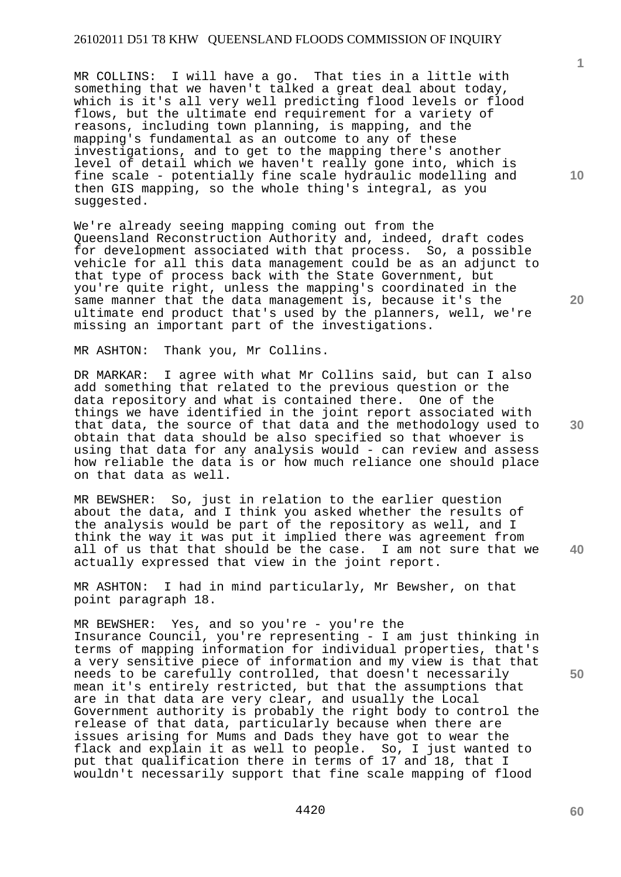MR COLLINS: I will have a go. That ties in a little with something that we haven't talked a great deal about today, which is it's all very well predicting flood levels or flood flows, but the ultimate end requirement for a variety of reasons, including town planning, is mapping, and the mapping's fundamental as an outcome to any of these investigations, and to get to the mapping there's another level of detail which we haven't really gone into, which is fine scale - potentially fine scale hydraulic modelling and then GIS mapping, so the whole thing's integral, as you suggested.

We're already seeing mapping coming out from the Queensland Reconstruction Authority and, indeed, draft codes for development associated with that process. So, a possible vehicle for all this data management could be as an adjunct to that type of process back with the State Government, but you're quite right, unless the mapping's coordinated in the same manner that the data management is, because it's the ultimate end product that's used by the planners, well, we're missing an important part of the investigations.

MR ASHTON: Thank you, Mr Collins.

DR MARKAR: I agree with what Mr Collins said, but can I also add something that related to the previous question or the data repository and what is contained there. One of the things we have identified in the joint report associated with that data, the source of that data and the methodology used to obtain that data should be also specified so that whoever is using that data for any analysis would - can review and assess how reliable the data is or how much reliance one should place on that data as well.

MR BEWSHER: So, just in relation to the earlier question about the data, and I think you asked whether the results of the analysis would be part of the repository as well, and I think the way it was put it implied there was agreement from all of us that that should be the case. I am not sure that we actually expressed that view in the joint report.

MR ASHTON: I had in mind particularly, Mr Bewsher, on that point paragraph 18.

MR BEWSHER: Yes, and so you're - you're the Insurance Council, you're representing - I am just thinking in terms of mapping information for individual properties, that's a very sensitive piece of information and my view is that that needs to be carefully controlled, that doesn't necessarily mean it's entirely restricted, but that the assumptions that are in that data are very clear, and usually the Local Government authority is probably the right body to control the release of that data, particularly because when there are issues arising for Mums and Dads they have got to wear the flack and explain it as well to people. So, I just wanted to put that qualification there in terms of 17 and 18, that I wouldn't necessarily support that fine scale mapping of flood

**1**

**10** 

**20** 

**40** 

**60**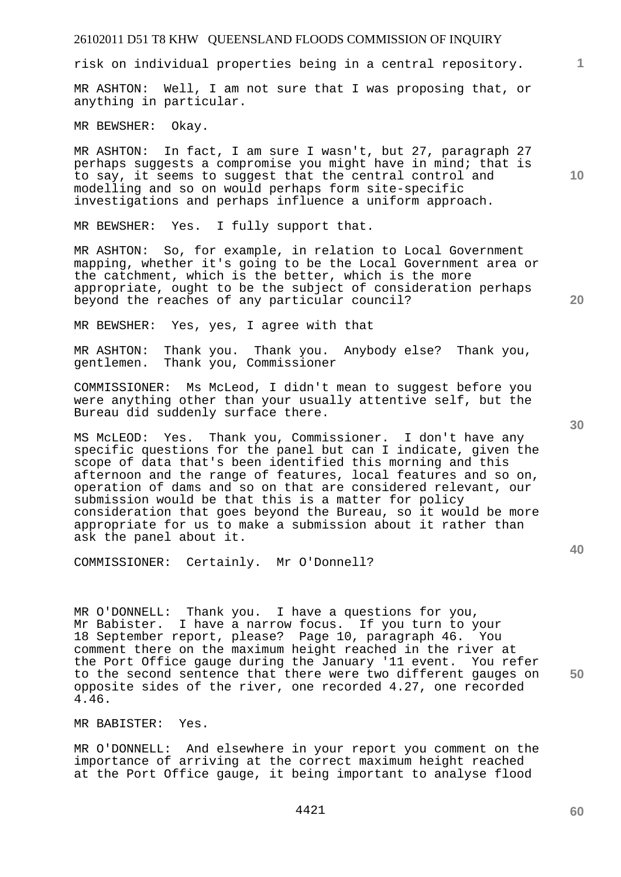risk on individual properties being in a central repository.

MR ASHTON: Well, I am not sure that I was proposing that, or anything in particular.

MR BEWSHER: Okay.

MR ASHTON: In fact, I am sure I wasn't, but 27, paragraph 27 perhaps suggests a compromise you might have in mind; that is to say, it seems to suggest that the central control and modelling and so on would perhaps form site-specific investigations and perhaps influence a uniform approach.

MR BEWSHER: Yes. I fully support that.

MR ASHTON: So, for example, in relation to Local Government mapping, whether it's going to be the Local Government area or the catchment, which is the better, which is the more appropriate, ought to be the subject of consideration perhaps beyond the reaches of any particular council?

MR BEWSHER: Yes, yes, I agree with that

MR ASHTON: Thank you. Thank you. Anybody else? Thank you, gentlemen. Thank you, Commissioner

COMMISSIONER: Ms McLeod, I didn't mean to suggest before you were anything other than your usually attentive self, but the Bureau did suddenly surface there.

MS McLEOD: Yes. Thank you, Commissioner. I don't have any specific questions for the panel but can I indicate, given the scope of data that's been identified this morning and this afternoon and the range of features, local features and so on, operation of dams and so on that are considered relevant, our submission would be that this is a matter for policy consideration that goes beyond the Bureau, so it would be more appropriate for us to make a submission about it rather than ask the panel about it.

COMMISSIONER: Certainly. Mr O'Donnell?

MR O'DONNELL: Thank you. I have a questions for you, Mr Babister. I have a narrow focus. If you turn to your 18 September report, please? Page 10, paragraph 46. You comment there on the maximum height reached in the river at the Port Office gauge during the January '11 event. You refer to the second sentence that there were two different gauges on opposite sides of the river, one recorded 4.27, one recorded 4.46.

MR BABISTER: Yes.

MR O'DONNELL: And elsewhere in your report you comment on the importance of arriving at the correct maximum height reached at the Port Office gauge, it being important to analyse flood

**30** 

**20** 

**10** 

**1**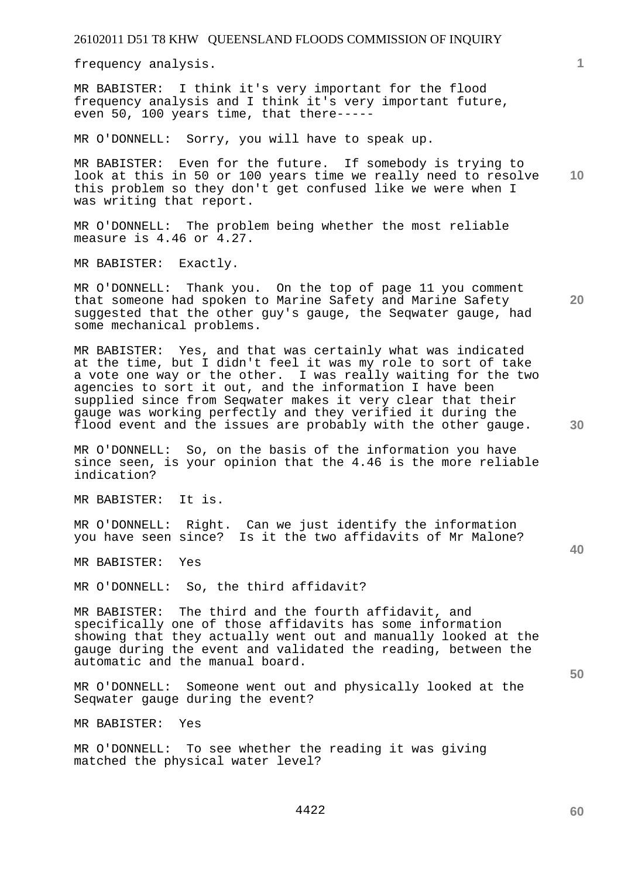frequency analysis.

MR BABISTER: I think it's very important for the flood frequency analysis and I think it's very important future, even 50, 100 years time, that there-----

MR O'DONNELL: Sorry, you will have to speak up.

**10**  MR BABISTER: Even for the future. If somebody is trying to look at this in 50 or 100 years time we really need to resolve this problem so they don't get confused like we were when I was writing that report.

MR O'DONNELL: The problem being whether the most reliable measure is  $4.46$  or  $4.27$ .

MR BABISTER: Exactly.

MR O'DONNELL: Thank you. On the top of page 11 you comment that someone had spoken to Marine Safety and Marine Safety suggested that the other guy's gauge, the Seqwater gauge, had some mechanical problems.

MR BABISTER: Yes, and that was certainly what was indicated at the time, but I didn't feel it was my role to sort of take a vote one way or the other. I was really waiting for the two agencies to sort it out, and the information I have been supplied since from Seqwater makes it very clear that their gauge was working perfectly and they verified it during the flood event and the issues are probably with the other gauge.

MR O'DONNELL: So, on the basis of the information you have since seen, is your opinion that the 4.46 is the more reliable indication?

MR BABISTER: It is.

MR O'DONNELL: Right. Can we just identify the information you have seen since? Is it the two affidavits of Mr Malone?

MR BABISTER: Yes

MR O'DONNELL: So, the third affidavit?

MR BABISTER: The third and the fourth affidavit, and specifically one of those affidavits has some information showing that they actually went out and manually looked at the gauge during the event and validated the reading, between the automatic and the manual board.

MR O'DONNELL: Someone went out and physically looked at the Seqwater gauge during the event?

MR BABISTER: Yes

MR O'DONNELL: To see whether the reading it was giving matched the physical water level?

4422

**30** 

**20** 

**40** 

**50**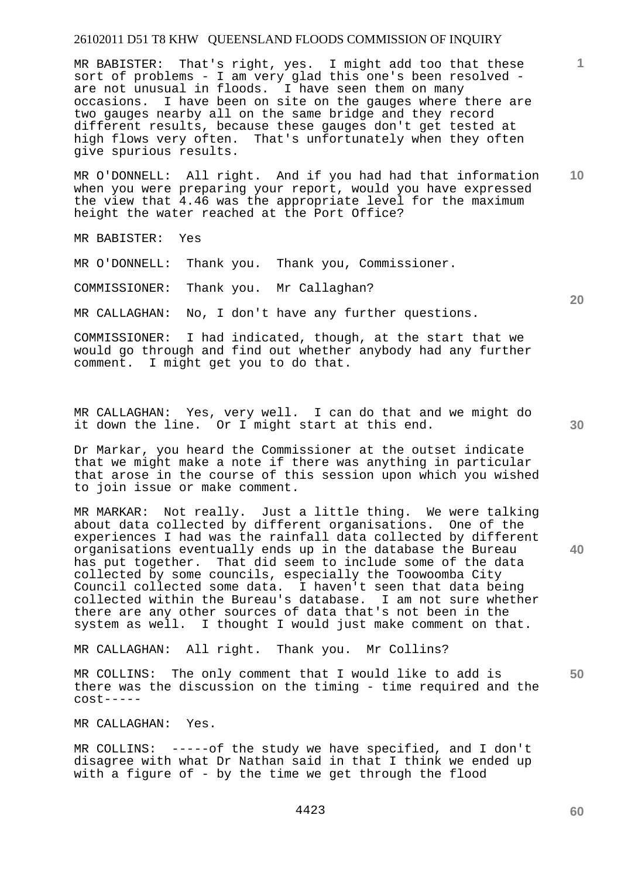MR BABISTER: That's right, yes. I might add too that these sort of problems - I am very glad this one's been resolved are not unusual in floods. I have seen them on many occasions. I have been on site on the gauges where there are two gauges nearby all on the same bridge and they record different results, because these gauges don't get tested at high flows very often. That's unfortunately when they often give spurious results.

**10**  MR O'DONNELL: All right. And if you had had that information when you were preparing your report, would you have expressed the view that 4.46 was the appropriate level for the maximum height the water reached at the Port Office?

MR BABISTER: Yes

MR O'DONNELL: Thank you. Thank you, Commissioner.

COMMISSIONER: Thank you. Mr Callaghan?

MR CALLAGHAN: No, I don't have any further questions.

COMMISSIONER: I had indicated, though, at the start that we would go through and find out whether anybody had any further comment. I might get you to do that.

MR CALLAGHAN: Yes, very well. I can do that and we might do it down the line. Or I might start at this end.

Dr Markar, you heard the Commissioner at the outset indicate that we might make a note if there was anything in particular that arose in the course of this session upon which you wished to join issue or make comment.

MR MARKAR: Not really. Just a little thing. We were talking about data collected by different organisations. One of the experiences I had was the rainfall data collected by different organisations eventually ends up in the database the Bureau has put together. That did seem to include some of the data collected by some councils, especially the Toowoomba City Council collected some data. I haven't seen that data being collected within the Bureau's database. I am not sure whether there are any other sources of data that's not been in the system as well. I thought I would just make comment on that.

MR CALLAGHAN: All right. Thank you. Mr Collins?

MR COLLINS: The only comment that I would like to add is there was the discussion on the timing - time required and the cost-----

MR CALLAGHAN: Yes.

MR COLLINS: -----of the study we have specified, and I don't disagree with what Dr Nathan said in that I think we ended up with a figure of - by the time we get through the flood

**30** 

**20** 

**1**

**40**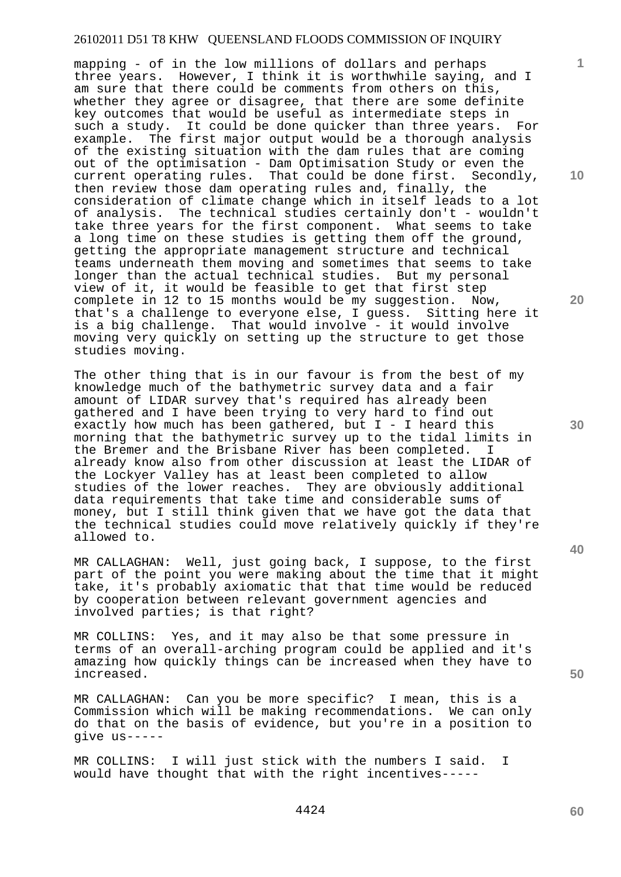mapping - of in the low millions of dollars and perhaps three years. However, I think it is worthwhile saying, and I am sure that there could be comments from others on this, whether they agree or disagree, that there are some definite key outcomes that would be useful as intermediate steps in such a study. It could be done quicker than three years. For example. The first major output would be a thorough analysis of the existing situation with the dam rules that are coming out of the optimisation - Dam Optimisation Study or even the current operating rules. That could be done first. Secondly, then review those dam operating rules and, finally, the consideration of climate change which in itself leads to a lot of analysis. The technical studies certainly don't - wouldn't take three years for the first component. What seems to take a long time on these studies is getting them off the ground, getting the appropriate management structure and technical teams underneath them moving and sometimes that seems to take longer than the actual technical studies. But my personal view of it, it would be feasible to get that first step complete in 12 to 15 months would be my suggestion. Now, that's a challenge to everyone else, I guess. Sitting here it is a big challenge. That would involve - it would involve moving very quickly on setting up the structure to get those studies moving.

The other thing that is in our favour is from the best of my knowledge much of the bathymetric survey data and a fair amount of LIDAR survey that's required has already been gathered and I have been trying to very hard to find out exactly how much has been gathered, but I - I heard this morning that the bathymetric survey up to the tidal limits in the Bremer and the Brisbane River has been completed. I already know also from other discussion at least the LIDAR of the Lockyer Valley has at least been completed to allow studies of the lower reaches. They are obviously additional data requirements that take time and considerable sums of money, but I still think given that we have got the data that the technical studies could move relatively quickly if they're allowed to.

MR CALLAGHAN: Well, just going back, I suppose, to the first part of the point you were making about the time that it might take, it's probably axiomatic that that time would be reduced by cooperation between relevant government agencies and involved parties; is that right?

MR COLLINS: Yes, and it may also be that some pressure in terms of an overall-arching program could be applied and it's amazing how quickly things can be increased when they have to increased.

MR CALLAGHAN: Can you be more specific? I mean, this is a Commission which will be making recommendations. We can only do that on the basis of evidence, but you're in a position to give us-----

MR COLLINS: I will just stick with the numbers I said. I would have thought that with the right incentives-----

4424

**30** 

**20** 

**40** 

**50** 

**10**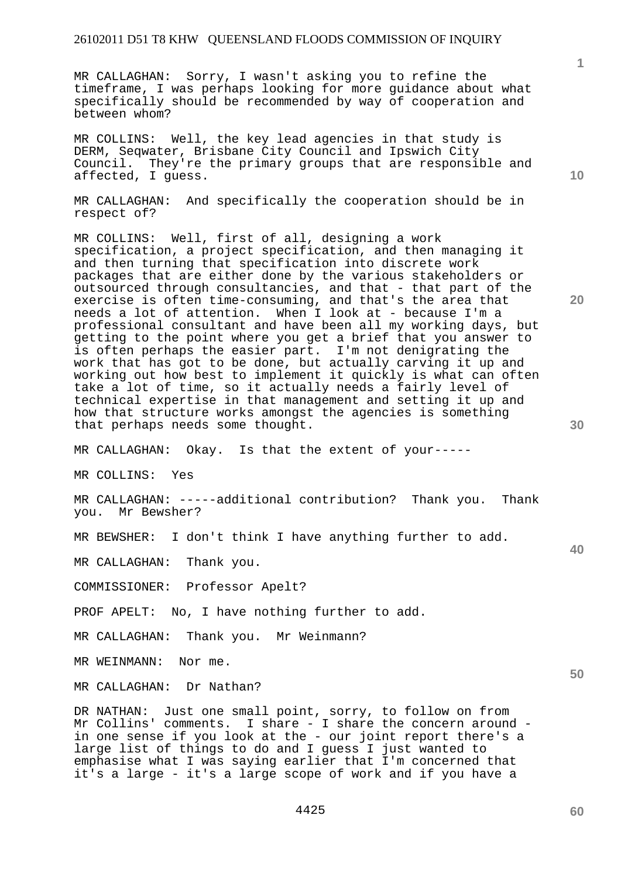MR CALLAGHAN: Sorry, I wasn't asking you to refine the timeframe, I was perhaps looking for more guidance about what specifically should be recommended by way of cooperation and between whom?

MR COLLINS: Well, the key lead agencies in that study is DERM, Seqwater, Brisbane City Council and Ipswich City Council. They're the primary groups that are responsible and affected, I guess.

MR CALLAGHAN: And specifically the cooperation should be in respect of?

MR COLLINS: Well, first of all, designing a work specification, a project specification, and then managing it and then turning that specification into discrete work packages that are either done by the various stakeholders or outsourced through consultancies, and that - that part of the exercise is often time-consuming, and that's the area that needs a lot of attention. When I look at - because I'm a professional consultant and have been all my working days, but getting to the point where you get a brief that you answer to is often perhaps the easier part. I'm not denigrating the work that has got to be done, but actually carving it up and working out how best to implement it quickly is what can often take a lot of time, so it actually needs a fairly level of technical expertise in that management and setting it up and how that structure works amongst the agencies is something that perhaps needs some thought.

MR CALLAGHAN: Okay. Is that the extent of your-----

MR COLLINS: Yes

MR CALLAGHAN: -----additional contribution? Thank you. Thank you. Mr Bewsher?

MR BEWSHER: I don't think I have anything further to add.

MR CALLAGHAN: Thank you.

COMMISSIONER: Professor Apelt?

PROF APELT: No, I have nothing further to add.

MR CALLAGHAN: Thank you. Mr Weinmann?

MR WEINMANN: Nor me.

MR CALLAGHAN: Dr Nathan?

DR NATHAN: Just one small point, sorry, to follow on from Mr Collins' comments. I share - I share the concern around in one sense if you look at the - our joint report there's a large list of things to do and I guess I just wanted to emphasise what I was saying earlier that I'm concerned that it's a large - it's a large scope of work and if you have a

**10** 

**1**

**20** 

**30** 

**40**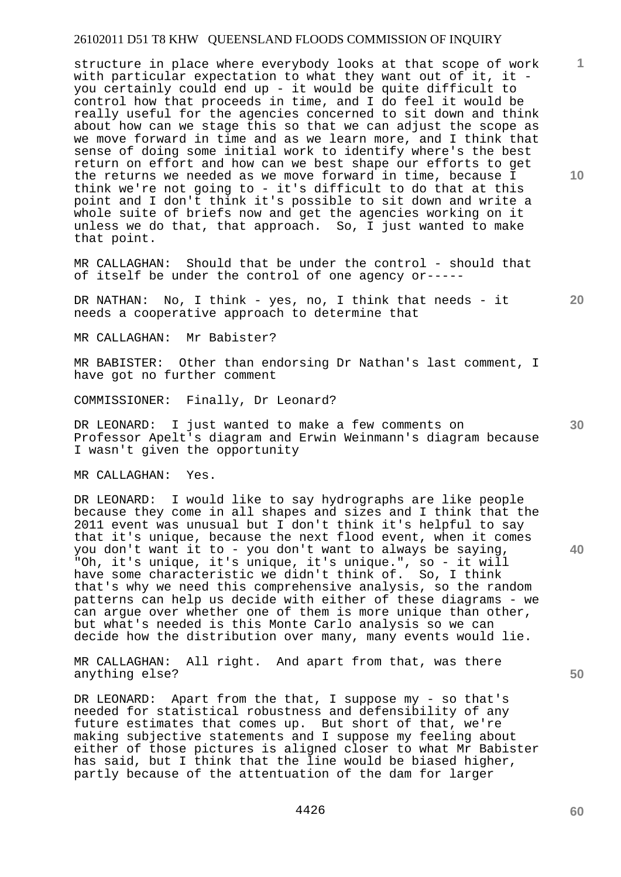structure in place where everybody looks at that scope of work with particular expectation to what they want out of it, it you certainly could end up - it would be quite difficult to control how that proceeds in time, and I do feel it would be really useful for the agencies concerned to sit down and think about how can we stage this so that we can adjust the scope as we move forward in time and as we learn more, and I think that sense of doing some initial work to identify where's the best return on effort and how can we best shape our efforts to get the returns we needed as we move forward in time, because I think we're not going to - it's difficult to do that at this point and I don't think it's possible to sit down and write a whole suite of briefs now and get the agencies working on it unless we do that, that approach. So, I just wanted to make that point.

MR CALLAGHAN: Should that be under the control - should that of itself be under the control of one agency or-----

DR NATHAN: No, I think - yes, no, I think that needs - it needs a cooperative approach to determine that

MR CALLAGHAN: Mr Babister?

MR BABISTER: Other than endorsing Dr Nathan's last comment, I have got no further comment

COMMISSIONER: Finally, Dr Leonard?

DR LEONARD: I just wanted to make a few comments on Professor Apelt's diagram and Erwin Weinmann's diagram because I wasn't given the opportunity

MR CALLAGHAN: Yes.

DR LEONARD: I would like to say hydrographs are like people because they come in all shapes and sizes and I think that the 2011 event was unusual but I don't think it's helpful to say that it's unique, because the next flood event, when it comes you don't want it to - you don't want to always be saying, "Oh, it's unique, it's unique, it's unique.", so - it will have some characteristic we didn't think of. So, I think that's why we need this comprehensive analysis, so the random patterns can help us decide with either of these diagrams - we can argue over whether one of them is more unique than other, but what's needed is this Monte Carlo analysis so we can decide how the distribution over many, many events would lie.

MR CALLAGHAN: All right. And apart from that, was there anything else?

DR LEONARD: Apart from the that, I suppose my - so that's needed for statistical robustness and defensibility of any future estimates that comes up. But short of that, we're making subjective statements and I suppose my feeling about either of those pictures is aligned closer to what Mr Babister has said, but I think that the line would be biased higher, partly because of the attentuation of the dam for larger

**10** 

**1**

**20** 

**40**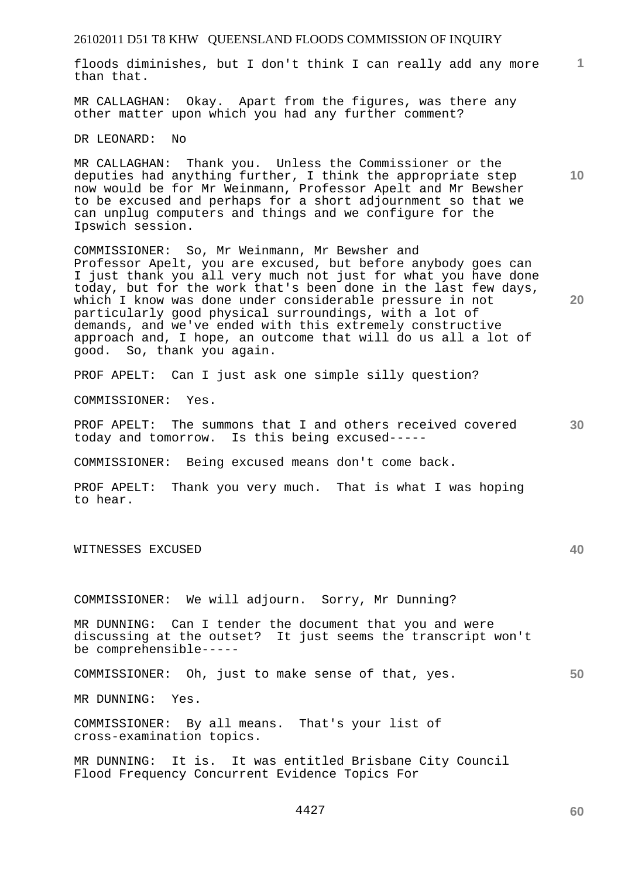**1** floods diminishes, but I don't think I can really add any more than that.

MR CALLAGHAN: Okay. Apart from the figures, was there any other matter upon which you had any further comment?

DR LEONARD: No

MR CALLAGHAN: Thank you. Unless the Commissioner or the deputies had anything further, I think the appropriate step now would be for Mr Weinmann, Professor Apelt and Mr Bewsher to be excused and perhaps for a short adjournment so that we can unplug computers and things and we configure for the Ipswich session.

COMMISSIONER: So, Mr Weinmann, Mr Bewsher and Professor Apelt, you are excused, but before anybody goes can I just thank you all very much not just for what you have done today, but for the work that's been done in the last few days, which I know was done under considerable pressure in not particularly good physical surroundings, with a lot of demands, and we've ended with this extremely constructive approach and, I hope, an outcome that will do us all a lot of good. So, thank you again.

PROF APELT: Can I just ask one simple silly question?

COMMISSIONER: Yes.

PROF APELT: The summons that I and others received covered 30 today and tomorrow. Is this being excused-----

COMMISSIONER: Being excused means don't come back.

PROF APELT: Thank you very much. That is what I was hoping to hear.

WITNESSES EXCUSED

COMMISSIONER: We will adjourn. Sorry, Mr Dunning?

MR DUNNING: Can I tender the document that you and were discussing at the outset? It just seems the transcript won't be comprehensible-----

COMMISSIONER: Oh, just to make sense of that, yes.

MR DUNNING: Yes.

COMMISSIONER: By all means. That's your list of cross-examination topics.

MR DUNNING: It is. It was entitled Brisbane City Council Flood Frequency Concurrent Evidence Topics For

**60** 

**10** 

**20** 

**40**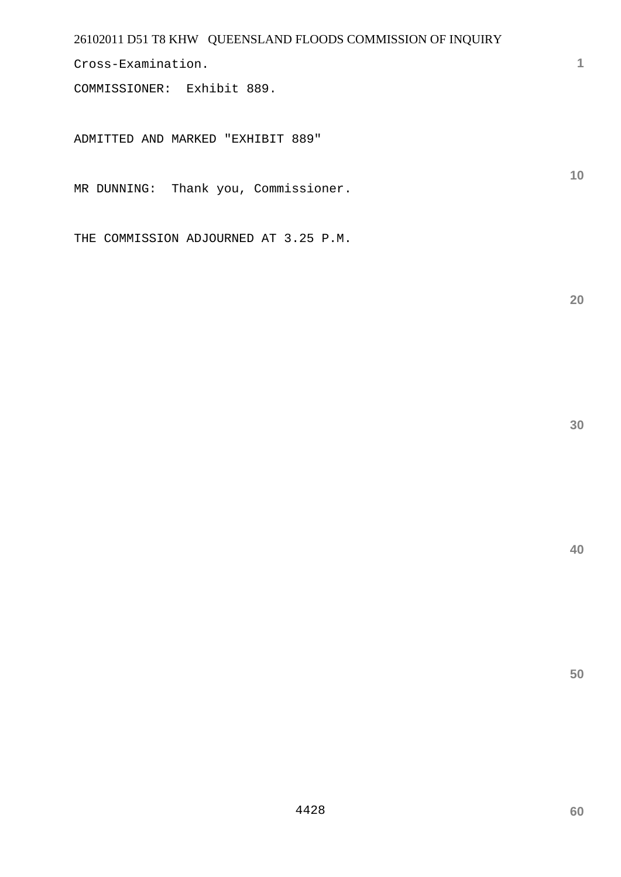Cross-Examination.

COMMISSIONER: Exhibit 889.

ADMITTED AND MARKED "EXHIBIT 889"

MR DUNNING: Thank you, Commissioner.

THE COMMISSION ADJOURNED AT 3.25 P.M.

**20** 

**10** 

**1**

**30**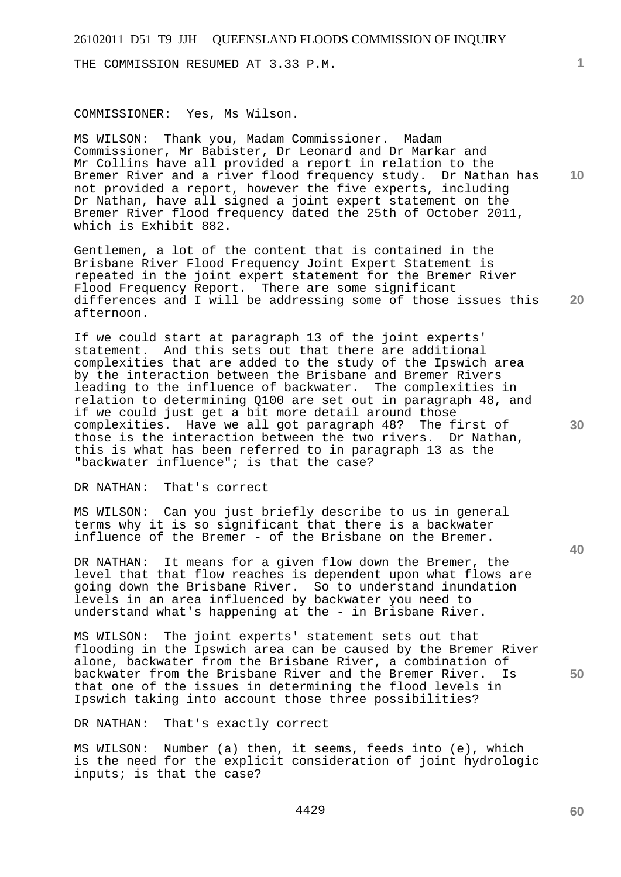THE COMMISSION RESUMED AT 3.33 P.M.

#### COMMISSIONER: Yes, Ms Wilson.

**10**  MS WILSON: Thank you, Madam Commissioner. Madam Commissioner, Mr Babister, Dr Leonard and Dr Markar and Mr Collins have all provided a report in relation to the Bremer River and a river flood frequency study. Dr Nathan has not provided a report, however the five experts, including Dr Nathan, have all signed a joint expert statement on the Bremer River flood frequency dated the 25th of October 2011, which is Exhibit 882.

**20**  Gentlemen, a lot of the content that is contained in the Brisbane River Flood Frequency Joint Expert Statement is repeated in the joint expert statement for the Bremer River Flood Frequency Report. There are some significant differences and I will be addressing some of those issues this afternoon.

If we could start at paragraph 13 of the joint experts' statement. And this sets out that there are additional complexities that are added to the study of the Ipswich area by the interaction between the Brisbane and Bremer Rivers leading to the influence of backwater. The complexities in relation to determining Q100 are set out in paragraph 48, and if we could just get a bit more detail around those complexities. Have we all got paragraph 48? The first of those is the interaction between the two rivers. Dr Nathan, this is what has been referred to in paragraph 13 as the "backwater influence"; is that the case?

DR NATHAN: That's correct

MS WILSON: Can you just briefly describe to us in general terms why it is so significant that there is a backwater influence of the Bremer - of the Brisbane on the Bremer.

DR NATHAN: It means for a given flow down the Bremer, the level that that flow reaches is dependent upon what flows are going down the Brisbane River. So to understand inundation levels in an area influenced by backwater you need to understand what's happening at the - in Brisbane River.

MS WILSON: The joint experts' statement sets out that flooding in the Ipswich area can be caused by the Bremer River alone, backwater from the Brisbane River, a combination of backwater from the Brisbane River and the Bremer River. Is that one of the issues in determining the flood levels in Ipswich taking into account those three possibilities?

DR NATHAN: That's exactly correct

MS WILSON: Number (a) then, it seems, feeds into (e), which is the need for the explicit consideration of joint hydrologic inputs; is that the case?

**40** 

**30** 

**60**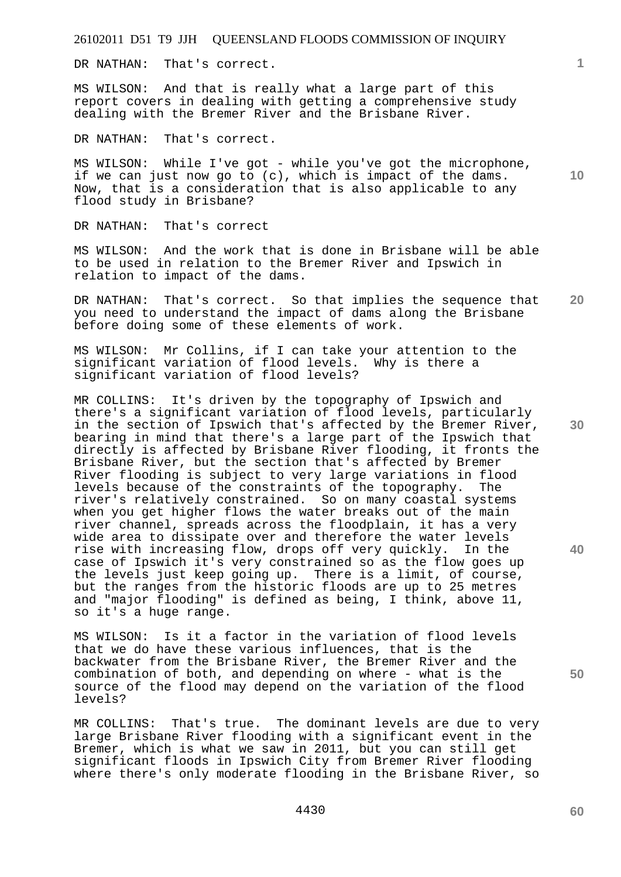DR NATHAN: That's correct.

MS WILSON: And that is really what a large part of this report covers in dealing with getting a comprehensive study dealing with the Bremer River and the Brisbane River.

DR NATHAN: That's correct.

MS WILSON: While I've got - while you've got the microphone, if we can just now go to (c), which is impact of the dams. Now, that is a consideration that is also applicable to any flood study in Brisbane?

DR NATHAN: That's correct

MS WILSON: And the work that is done in Brisbane will be able to be used in relation to the Bremer River and Ipswich in relation to impact of the dams.

**20**  DR NATHAN: That's correct. So that implies the sequence that you need to understand the impact of dams along the Brisbane before doing some of these elements of work.

MS WILSON: Mr Collins, if I can take your attention to the significant variation of flood levels. Why is there a significant variation of flood levels?

MR COLLINS: It's driven by the topography of Ipswich and there's a significant variation of flood levels, particularly in the section of Ipswich that's affected by the Bremer River, bearing in mind that there's a large part of the Ipswich that directly is affected by Brisbane River flooding, it fronts the Brisbane River, but the section that's affected by Bremer River flooding is subject to very large variations in flood levels because of the constraints of the topography. The river's relatively constrained. So on many coastal systems when you get higher flows the water breaks out of the main river channel, spreads across the floodplain, it has a very wide area to dissipate over and therefore the water levels rise with increasing flow, drops off very quickly. In the case of Ipswich it's very constrained so as the flow goes up the levels just keep going up. There is a limit, of course, but the ranges from the historic floods are up to 25 metres and "major flooding" is defined as being, I think, above 11, so it's a huge range.

MS WILSON: Is it a factor in the variation of flood levels that we do have these various influences, that is the backwater from the Brisbane River, the Bremer River and the combination of both, and depending on where - what is the source of the flood may depend on the variation of the flood levels?

MR COLLINS: That's true. The dominant levels are due to very large Brisbane River flooding with a significant event in the Bremer, which is what we saw in 2011, but you can still get significant floods in Ipswich City from Bremer River flooding where there's only moderate flooding in the Brisbane River, so

**40** 

**10** 

**1**

**30**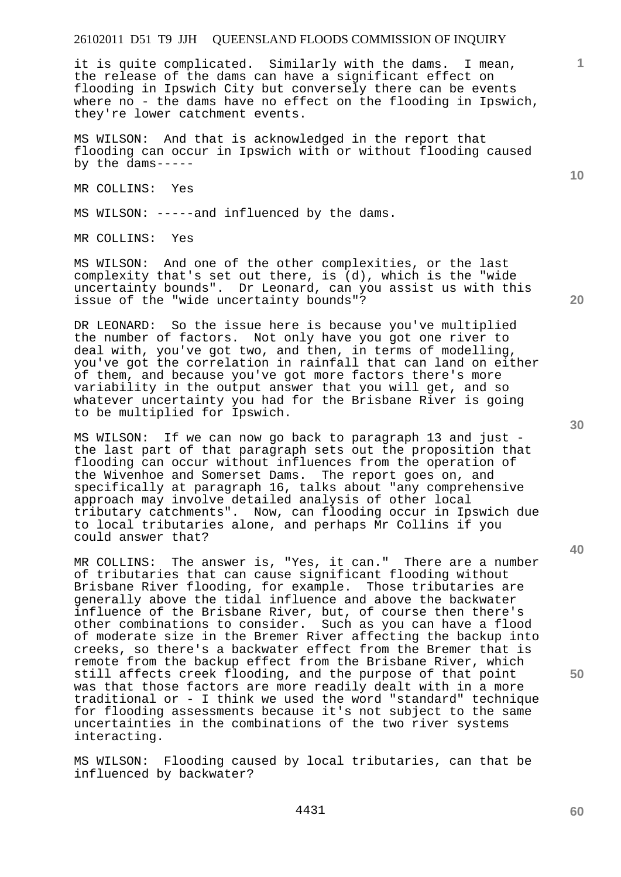it is quite complicated. Similarly with the dams. I mean, the release of the dams can have a significant effect on flooding in Ipswich City but conversely there can be events where no - the dams have no effect on the flooding in Ipswich, they're lower catchment events.

MS WILSON: And that is acknowledged in the report that flooding can occur in Ipswich with or without flooding caused by the dams-----

MR COLLINS: Yes

MS WILSON: -----and influenced by the dams.

MR COLLINS: Yes

MS WILSON: And one of the other complexities, or the last complexity that's set out there, is (d), which is the "wide uncertainty bounds". Dr Leonard, can you assist us with this issue of the "wide uncertainty bounds"?

DR LEONARD: So the issue here is because you've multiplied the number of factors. Not only have you got one river to deal with, you've got two, and then, in terms of modelling, you've got the correlation in rainfall that can land on either of them, and because you've got more factors there's more variability in the output answer that you will get, and so whatever uncertainty you had for the Brisbane River is going to be multiplied for Ipswich.

MS WILSON: If we can now go back to paragraph 13 and just the last part of that paragraph sets out the proposition that flooding can occur without influences from the operation of the Wivenhoe and Somerset Dams. The report goes on, and specifically at paragraph 16, talks about "any comprehensive approach may involve detailed analysis of other local tributary catchments". Now, can flooding occur in Ipswich due to local tributaries alone, and perhaps Mr Collins if you could answer that?

MR COLLINS: The answer is, "Yes, it can." There are a number of tributaries that can cause significant flooding without Brisbane River flooding, for example. Those tributaries are generally above the tidal influence and above the backwater influence of the Brisbane River, but, of course then there's other combinations to consider. Such as you can have a flood of moderate size in the Bremer River affecting the backup into creeks, so there's a backwater effect from the Bremer that is remote from the backup effect from the Brisbane River, which still affects creek flooding, and the purpose of that point was that those factors are more readily dealt with in a more traditional or - I think we used the word "standard" technique for flooding assessments because it's not subject to the same uncertainties in the combinations of the two river systems interacting.

MS WILSON: Flooding caused by local tributaries, can that be influenced by backwater?

**30** 

**20** 

**50** 

**1**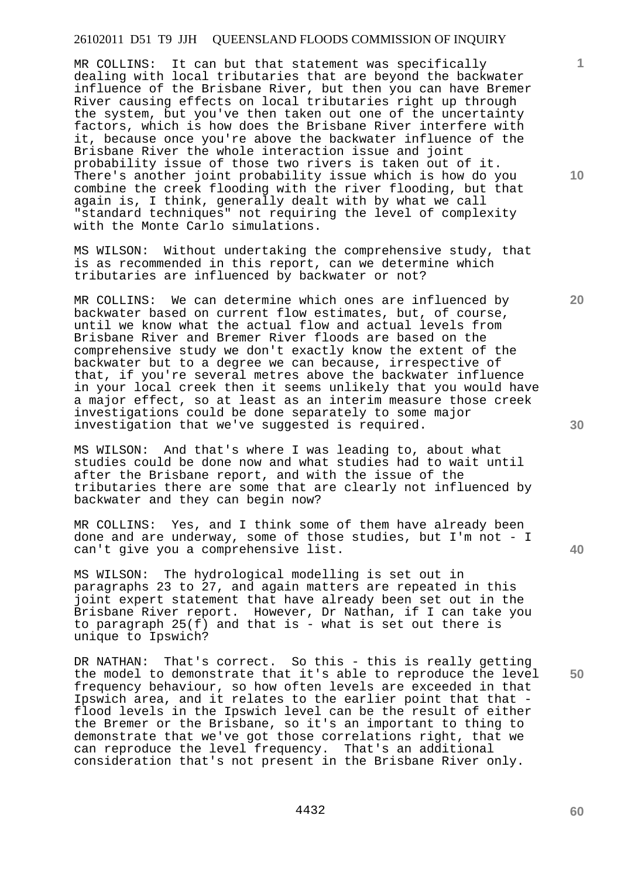MR COLLINS: It can but that statement was specifically dealing with local tributaries that are beyond the backwater influence of the Brisbane River, but then you can have Bremer River causing effects on local tributaries right up through the system, but you've then taken out one of the uncertainty factors, which is how does the Brisbane River interfere with it, because once you're above the backwater influence of the Brisbane River the whole interaction issue and joint probability issue of those two rivers is taken out of it. There's another joint probability issue which is how do you combine the creek flooding with the river flooding, but that again is, I think, generally dealt with by what we call "standard techniques" not requiring the level of complexity with the Monte Carlo simulations.

MS WILSON: Without undertaking the comprehensive study, that is as recommended in this report, can we determine which tributaries are influenced by backwater or not?

MR COLLINS: We can determine which ones are influenced by backwater based on current flow estimates, but, of course, until we know what the actual flow and actual levels from Brisbane River and Bremer River floods are based on the comprehensive study we don't exactly know the extent of the backwater but to a degree we can because, irrespective of that, if you're several metres above the backwater influence in your local creek then it seems unlikely that you would have a major effect, so at least as an interim measure those creek investigations could be done separately to some major investigation that we've suggested is required.

MS WILSON: And that's where I was leading to, about what studies could be done now and what studies had to wait until after the Brisbane report, and with the issue of the tributaries there are some that are clearly not influenced by backwater and they can begin now?

MR COLLINS: Yes, and I think some of them have already been done and are underway, some of those studies, but I'm not - I can't give you a comprehensive list.

MS WILSON: The hydrological modelling is set out in paragraphs 23 to 27, and again matters are repeated in this joint expert statement that have already been set out in the Brisbane River report. However, Dr Nathan, if I can take you to paragraph  $25(f)$  and that is - what is set out there is unique to Ipswich?

DR NATHAN: That's correct. So this - this is really getting the model to demonstrate that it's able to reproduce the level frequency behaviour, so how often levels are exceeded in that Ipswich area, and it relates to the earlier point that that flood levels in the Ipswich level can be the result of either the Bremer or the Brisbane, so it's an important to thing to demonstrate that we've got those correlations right, that we can reproduce the level frequency. That's an additional consideration that's not present in the Brisbane River only.

**10** 

**1**

**20** 

**30** 

**40**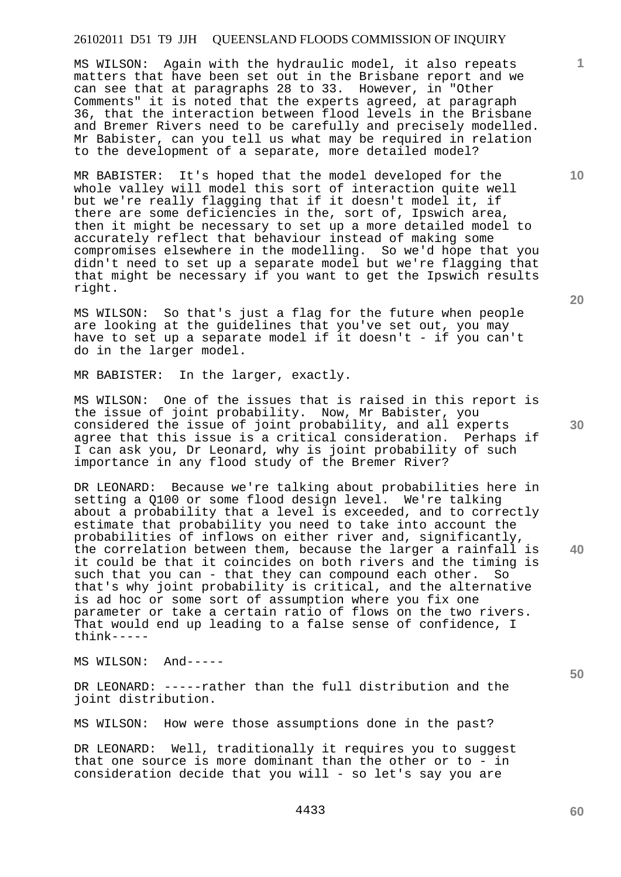MS WILSON: Again with the hydraulic model, it also repeats matters that have been set out in the Brisbane report and we can see that at paragraphs 28 to 33. However, in "Other Comments" it is noted that the experts agreed, at paragraph 36, that the interaction between flood levels in the Brisbane and Bremer Rivers need to be carefully and precisely modelled. Mr Babister, can you tell us what may be required in relation to the development of a separate, more detailed model?

MR BABISTER: It's hoped that the model developed for the whole valley will model this sort of interaction quite well but we're really flagging that if it doesn't model it, if there are some deficiencies in the, sort of, Ipswich area, then it might be necessary to set up a more detailed model to accurately reflect that behaviour instead of making some compromises elsewhere in the modelling. So we'd hope that you didn't need to set up a separate model but we're flagging that that might be necessary if you want to get the Ipswich results right.

MS WILSON: So that's just a flag for the future when people are looking at the guidelines that you've set out, you may have to set up a separate model if it doesn't - if you can't do in the larger model.

MR BABISTER: In the larger, exactly.

MS WILSON: One of the issues that is raised in this report is the issue of joint probability. Now, Mr Babister, you considered the issue of joint probability, and all experts agree that this issue is a critical consideration. Perhaps if I can ask you, Dr Leonard, why is joint probability of such importance in any flood study of the Bremer River?

DR LEONARD: Because we're talking about probabilities here in setting a Q100 or some flood design level. We're talking about a probability that a level is exceeded, and to correctly estimate that probability you need to take into account the probabilities of inflows on either river and, significantly, the correlation between them, because the larger a rainfall is it could be that it coincides on both rivers and the timing is such that you can - that they can compound each other. So that's why joint probability is critical, and the alternative is ad hoc or some sort of assumption where you fix one parameter or take a certain ratio of flows on the two rivers. That would end up leading to a false sense of confidence, I think-----

MS WILSON: And-----

DR LEONARD: -----rather than the full distribution and the joint distribution.

MS WILSON: How were those assumptions done in the past?

DR LEONARD: Well, traditionally it requires you to suggest that one source is more dominant than the other or to - in consideration decide that you will - so let's say you are

**20** 

**10** 

**1**

**40** 

**50**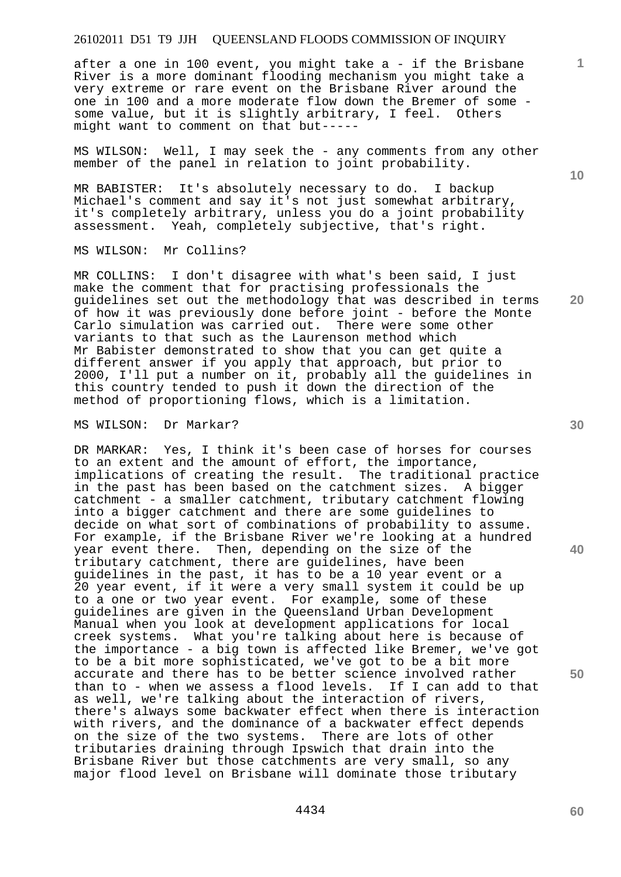after a one in 100 event, you might take a - if the Brisbane River is a more dominant flooding mechanism you might take a very extreme or rare event on the Brisbane River around the one in 100 and a more moderate flow down the Bremer of some some value, but it is slightly arbitrary, I feel. Others might want to comment on that but-----

MS WILSON: Well, I may seek the - any comments from any other member of the panel in relation to joint probability.

MR BABISTER: It's absolutely necessary to do. I backup Michael's comment and say it's not just somewhat arbitrary, it's completely arbitrary, unless you do a joint probability assessment. Yeah, completely subjective, that's right.

#### MS WILSON: Mr Collins?

MR COLLINS: I don't disagree with what's been said, I just make the comment that for practising professionals the guidelines set out the methodology that was described in terms of how it was previously done before joint - before the Monte Carlo simulation was carried out. There were some other variants to that such as the Laurenson method which Mr Babister demonstrated to show that you can get quite a different answer if you apply that approach, but prior to 2000, I'll put a number on it, probably all the guidelines in this country tended to push it down the direction of the method of proportioning flows, which is a limitation.

MS WILSON: Dr Markar?

DR MARKAR: Yes, I think it's been case of horses for courses to an extent and the amount of effort, the importance, implications of creating the result. The traditional practice in the past has been based on the catchment sizes. A bigger catchment - a smaller catchment, tributary catchment flowing into a bigger catchment and there are some guidelines to decide on what sort of combinations of probability to assume. For example, if the Brisbane River we're looking at a hundred year event there. Then, depending on the size of the tributary catchment, there are guidelines, have been guidelines in the past, it has to be a 10 year event or a 20 year event, if it were a very small system it could be up to a one or two year event. For example, some of these guidelines are given in the Queensland Urban Development Manual when you look at development applications for local creek systems. What you're talking about here is because of the importance - a big town is affected like Bremer, we've got to be a bit more sophisticated, we've got to be a bit more accurate and there has to be better science involved rather than to - when we assess a flood levels. If I can add to that as well, we're talking about the interaction of rivers, there's always some backwater effect when there is interaction with rivers, and the dominance of a backwater effect depends on the size of the two systems. There are lots of other tributaries draining through Ipswich that drain into the Brisbane River but those catchments are very small, so any major flood level on Brisbane will dominate those tributary

**10** 

**1**

**20** 

**40**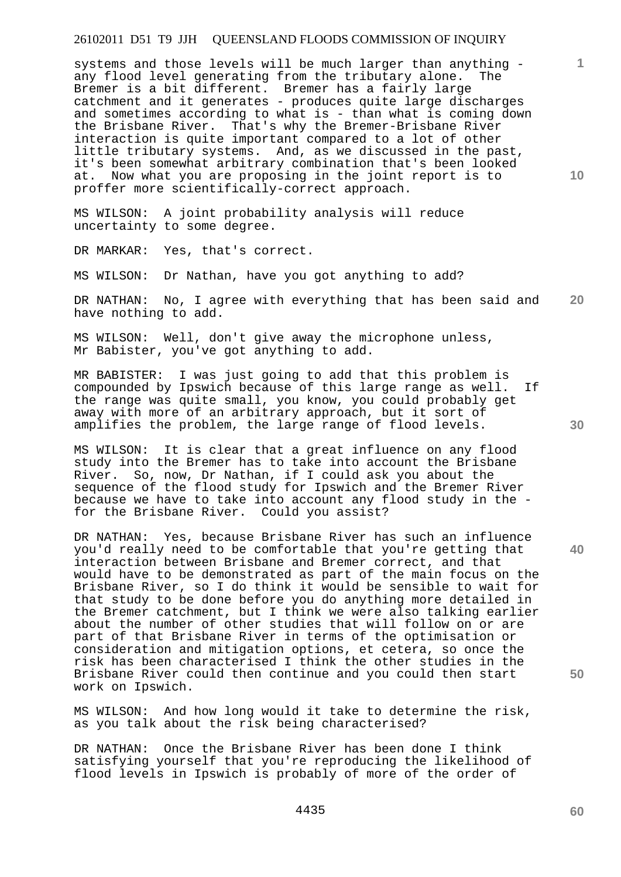systems and those levels will be much larger than anything -<br>any flood level generating from the tributary alone. The any flood level generating from the tributary alone. Bremer is a bit different. Bremer has a fairly large catchment and it generates - produces quite large discharges and sometimes according to what is - than what is coming down the Brisbane River. That's why the Bremer-Brisbane River interaction is quite important compared to a lot of other little tributary systems. And, as we discussed in the past, it's been somewhat arbitrary combination that's been looked at. Now what you are proposing in the joint report is to proffer more scientifically-correct approach.

MS WILSON: A joint probability analysis will reduce uncertainty to some degree.

DR MARKAR: Yes, that's correct.

MS WILSON: Dr Nathan, have you got anything to add?

**20**  DR NATHAN: No, I agree with everything that has been said and have nothing to add.

MS WILSON: Well, don't give away the microphone unless, Mr Babister, you've got anything to add.

MR BABISTER: I was just going to add that this problem is compounded by Ipswich because of this large range as well. If the range was quite small, you know, you could probably get away with more of an arbitrary approach, but it sort of amplifies the problem, the large range of flood levels.

MS WILSON: It is clear that a great influence on any flood study into the Bremer has to take into account the Brisbane River. So, now, Dr Nathan, if I could ask you about the sequence of the flood study for Ipswich and the Bremer River because we have to take into account any flood study in the for the Brisbane River. Could you assist?

DR NATHAN: Yes, because Brisbane River has such an influence you'd really need to be comfortable that you're getting that interaction between Brisbane and Bremer correct, and that would have to be demonstrated as part of the main focus on the Brisbane River, so I do think it would be sensible to wait for that study to be done before you do anything more detailed in the Bremer catchment, but I think we were also talking earlier about the number of other studies that will follow on or are part of that Brisbane River in terms of the optimisation or consideration and mitigation options, et cetera, so once the risk has been characterised I think the other studies in the Brisbane River could then continue and you could then start work on Ipswich.

MS WILSON: And how long would it take to determine the risk, as you talk about the risk being characterised?

DR NATHAN: Once the Brisbane River has been done I think satisfying yourself that you're reproducing the likelihood of flood levels in Ipswich is probably of more of the order of

**30** 

**40** 

**50** 

**1**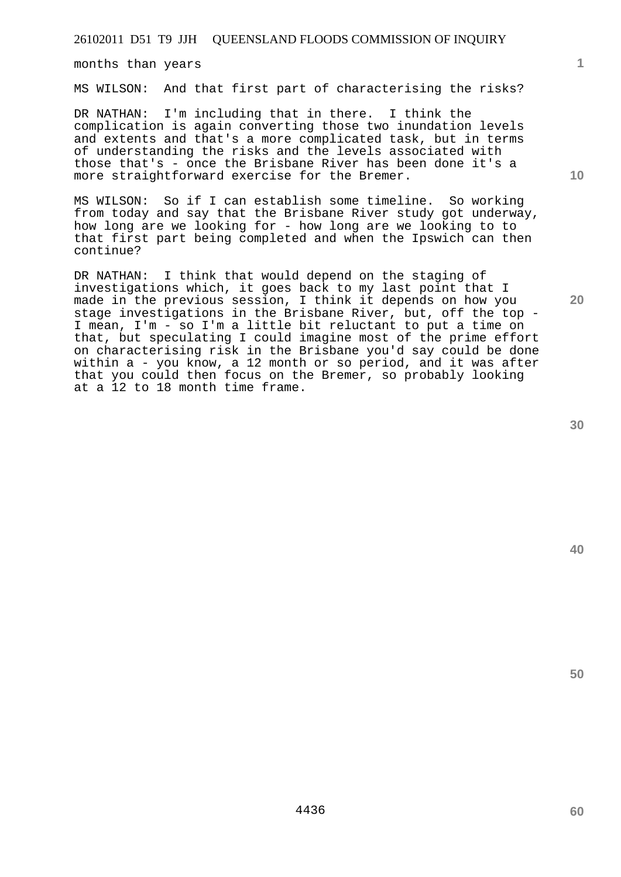months than years

MS WILSON: And that first part of characterising the risks?

DR NATHAN: I'm including that in there. I think the complication is again converting those two inundation levels and extents and that's a more complicated task, but in terms of understanding the risks and the levels associated with those that's - once the Brisbane River has been done it's a more straightforward exercise for the Bremer.

MS WILSON: So if I can establish some timeline. So working from today and say that the Brisbane River study got underway, how long are we looking for - how long are we looking to to that first part being completed and when the Ipswich can then continue?

DR NATHAN: I think that would depend on the staging of investigations which, it goes back to my last point that I made in the previous session, I think it depends on how you stage investigations in the Brisbane River, but, off the top - I mean, I'm - so I'm a little bit reluctant to put a time on that, but speculating I could imagine most of the prime effort on characterising risk in the Brisbane you'd say could be done within a - you know, a 12 month or so period, and it was after that you could then focus on the Bremer, so probably looking at a 12 to 18 month time frame.

**20** 

**50** 

**10** 

**1**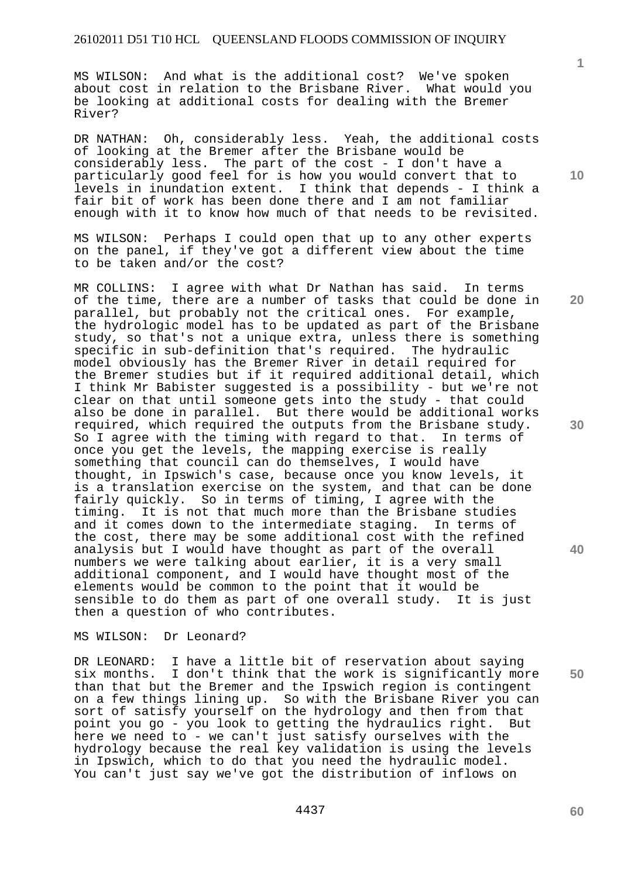MS WILSON: And what is the additional cost? We've spoken about cost in relation to the Brisbane River. What would you be looking at additional costs for dealing with the Bremer River?

DR NATHAN: Oh, considerably less. Yeah, the additional costs of looking at the Bremer after the Brisbane would be considerably less. The part of the cost - I don't have a particularly good feel for is how you would convert that to levels in inundation extent. I think that depends - I think a fair bit of work has been done there and I am not familiar enough with it to know how much of that needs to be revisited.

MS WILSON: Perhaps I could open that up to any other experts on the panel, if they've got a different view about the time to be taken and/or the cost?

MR COLLINS: I agree with what Dr Nathan has said. In terms of the time, there are a number of tasks that could be done in parallel, but probably not the critical ones. For example, the hydrologic model has to be updated as part of the Brisbane study, so that's not a unique extra, unless there is something<br>specific in sub-definition that's required. The hydraulic specific in sub-definition that's required. model obviously has the Bremer River in detail required for the Bremer studies but if it required additional detail, which I think Mr Babister suggested is a possibility - but we're not clear on that until someone gets into the study - that could also be done in parallel. But there would be additional works required, which required the outputs from the Brisbane study. So I agree with the timing with regard to that. In terms of once you get the levels, the mapping exercise is really something that council can do themselves, I would have thought, in Ipswich's case, because once you know levels, it is a translation exercise on the system, and that can be done fairly quickly. So in terms of timing, I agree with the timing. It is not that much more than the Brisbane studies and it comes down to the intermediate staging. In terms of the cost, there may be some additional cost with the refined analysis but I would have thought as part of the overall numbers we were talking about earlier, it is a very small additional component, and I would have thought most of the elements would be common to the point that it would be sensible to do them as part of one overall study. It is just then a question of who contributes.

### MS WILSON: Dr Leonard?

DR LEONARD: I have a little bit of reservation about saying six months. I don't think that the work is significantly more than that but the Bremer and the Ipswich region is contingent on a few things lining up. So with the Brisbane River you can sort of satisfy yourself on the hydrology and then from that point you go - you look to getting the hydraulics right. But here we need to - we can't just satisfy ourselves with the hydrology because the real key validation is using the levels in Ipswich, which to do that you need the hydraulic model. You can't just say we've got the distribution of inflows on

**1**

**10** 

**20** 

**30** 

**40**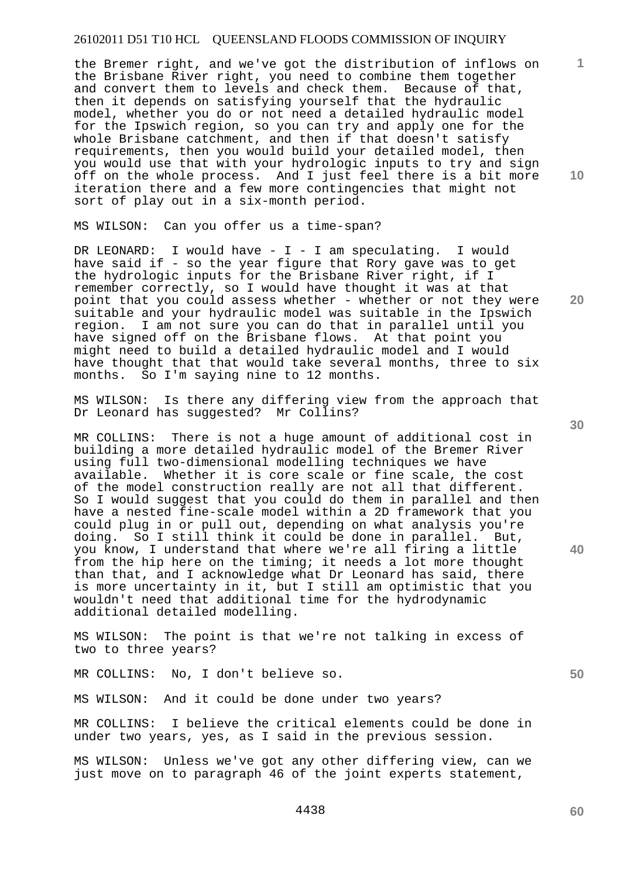the Bremer right, and we've got the distribution of inflows on the Brisbane River right, you need to combine them together and convert them to levels and check them. Because of that, then it depends on satisfying yourself that the hydraulic model, whether you do or not need a detailed hydraulic model for the Ipswich region, so you can try and apply one for the whole Brisbane catchment, and then if that doesn't satisfy requirements, then you would build your detailed model, then you would use that with your hydrologic inputs to try and sign off on the whole process. And I just feel there is a bit more iteration there and a few more contingencies that might not sort of play out in a six-month period.

MS WILSON: Can you offer us a time-span?

DR LEONARD: I would have - I - I am speculating. I would have said if - so the year figure that Rory gave was to get the hydrologic inputs for the Brisbane River right, if I remember correctly, so I would have thought it was at that point that you could assess whether - whether or not they were suitable and your hydraulic model was suitable in the Ipswich region. I am not sure you can do that in parallel until you have signed off on the Brisbane flows. At that point you might need to build a detailed hydraulic model and I would have thought that that would take several months, three to six months. So I'm saying nine to 12 months.

MS WILSON: Is there any differing view from the approach that Dr Leonard has suggested? Mr Collins?

MR COLLINS: There is not a huge amount of additional cost in building a more detailed hydraulic model of the Bremer River using full two-dimensional modelling techniques we have available. Whether it is core scale or fine scale, the cost of the model construction really are not all that different. So I would suggest that you could do them in parallel and then have a nested fine-scale model within a 2D framework that you could plug in or pull out, depending on what analysis you're doing. So I still think it could be done in parallel. But, you know, I understand that where we're all firing a little from the hip here on the timing; it needs a lot more thought than that, and I acknowledge what Dr Leonard has said, there is more uncertainty in it, but I still am optimistic that you wouldn't need that additional time for the hydrodynamic additional detailed modelling.

MS WILSON: The point is that we're not talking in excess of two to three years?

MR COLLINS: No, I don't believe so.

MS WILSON: And it could be done under two years?

MR COLLINS: I believe the critical elements could be done in under two years, yes, as I said in the previous session.

MS WILSON: Unless we've got any other differing view, can we just move on to paragraph 46 of the joint experts statement,

**20** 

**10** 

**1**

**50**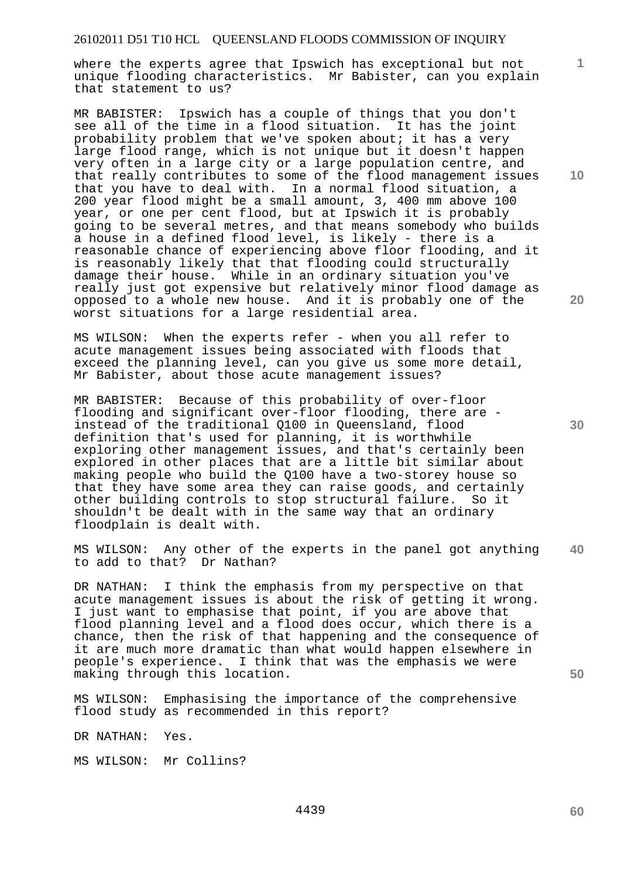where the experts agree that Ipswich has exceptional but not unique flooding characteristics. Mr Babister, can you explain that statement to us?

MR BABISTER: Ipswich has a couple of things that you don't see all of the time in a flood situation. It has the joint probability problem that we've spoken about; it has a very large flood range, which is not unique but it doesn't happen very often in a large city or a large population centre, and that really contributes to some of the flood management issues that you have to deal with. In a normal flood situation, a 200 year flood might be a small amount, 3, 400 mm above 100 year, or one per cent flood, but at Ipswich it is probably going to be several metres, and that means somebody who builds a house in a defined flood level, is likely - there is a reasonable chance of experiencing above floor flooding, and it is reasonably likely that that flooding could structurally damage their house. While in an ordinary situation you've really just got expensive but relatively minor flood damage as opposed to a whole new house. And it is probably one of the worst situations for a large residential area.

MS WILSON: When the experts refer - when you all refer to acute management issues being associated with floods that exceed the planning level, can you give us some more detail, Mr Babister, about those acute management issues?

MR BABISTER: Because of this probability of over-floor flooding and significant over-floor flooding, there are instead of the traditional Q100 in Queensland, flood definition that's used for planning, it is worthwhile exploring other management issues, and that's certainly been explored in other places that are a little bit similar about making people who build the Q100 have a two-storey house so that they have some area they can raise goods, and certainly other building controls to stop structural failure. So it shouldn't be dealt with in the same way that an ordinary floodplain is dealt with.

**40**  MS WILSON: Any other of the experts in the panel got anything to add to that? Dr Nathan?

DR NATHAN: I think the emphasis from my perspective on that acute management issues is about the risk of getting it wrong. I just want to emphasise that point, if you are above that flood planning level and a flood does occur, which there is a chance, then the risk of that happening and the consequence of it are much more dramatic than what would happen elsewhere in people's experience. I think that was the emphasis we were making through this location.

MS WILSON: Emphasising the importance of the comprehensive flood study as recommended in this report?

DR NATHAN: Yes.

MS WILSON: Mr Collins?

**10** 

**1**

**20**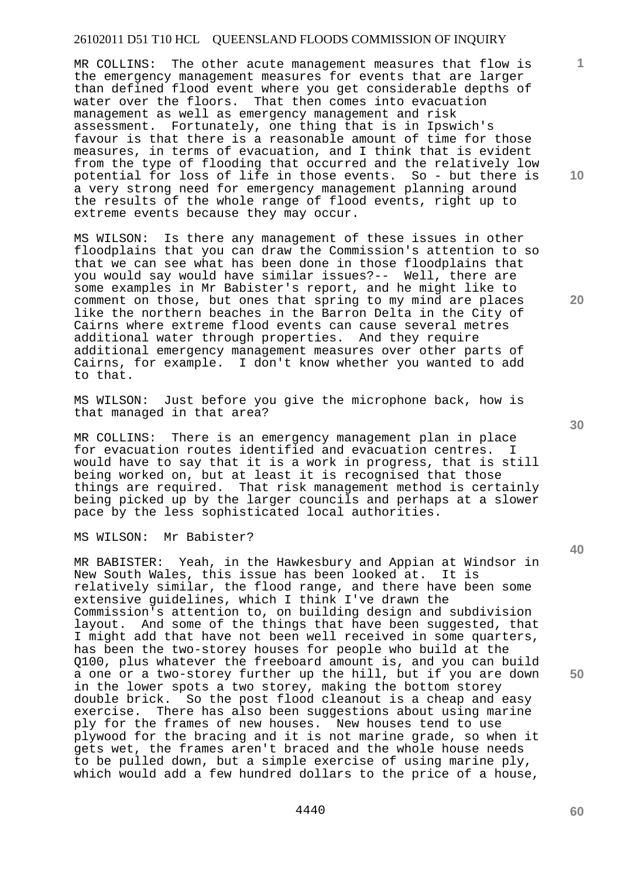MR COLLINS: The other acute management measures that flow is the emergency management measures for events that are larger than defined flood event where you get considerable depths of water over the floors. That then comes into evacuation management as well as emergency management and risk assessment. Fortunately, one thing that is in Ipswich's favour is that there is a reasonable amount of time for those measures, in terms of evacuation, and I think that is evident from the type of flooding that occurred and the relatively low potential for loss of life in those events. So - but there is a very strong need for emergency management planning around the results of the whole range of flood events, right up to extreme events because they may occur.

MS WILSON: Is there any management of these issues in other floodplains that you can draw the Commission's attention to so that we can see what has been done in those floodplains that you would say would have similar issues?-- Well, there are some examples in Mr Babister's report, and he might like to comment on those, but ones that spring to my mind are places like the northern beaches in the Barron Delta in the City of Cairns where extreme flood events can cause several metres additional water through properties. And they require additional emergency management measures over other parts of Cairns, for example. I don't know whether you wanted to add to that.

MS WILSON: Just before you give the microphone back, how is that managed in that area?

MR COLLINS: There is an emergency management plan in place for evacuation routes identified and evacuation centres. I would have to say that it is a work in progress, that is still being worked on, but at least it is recognised that those things are required. That risk management method is certainly being picked up by the larger councils and perhaps at a slower pace by the less sophisticated local authorities.

MS WILSON: Mr Babister?

MR BABISTER: Yeah, in the Hawkesbury and Appian at Windsor in New South Wales, this issue has been looked at. It is relatively similar, the flood range, and there have been some extensive guidelines, which I think I've drawn the Commission's attention to, on building design and subdivision layout. And some of the things that have been suggested, that I might add that have not been well received in some quarters, has been the two-storey houses for people who build at the Q100, plus whatever the freeboard amount is, and you can build a one or a two-storey further up the hill, but if you are down in the lower spots a two storey, making the bottom storey double brick. So the post flood cleanout is a cheap and easy exercise. There has also been suggestions about using marine ply for the frames of new houses. New houses tend to use plywood for the bracing and it is not marine grade, so when it gets wet, the frames aren't braced and the whole house needs to be pulled down, but a simple exercise of using marine ply, which would add a few hundred dollars to the price of a house,

**20** 

**10** 

**1**



**30** 

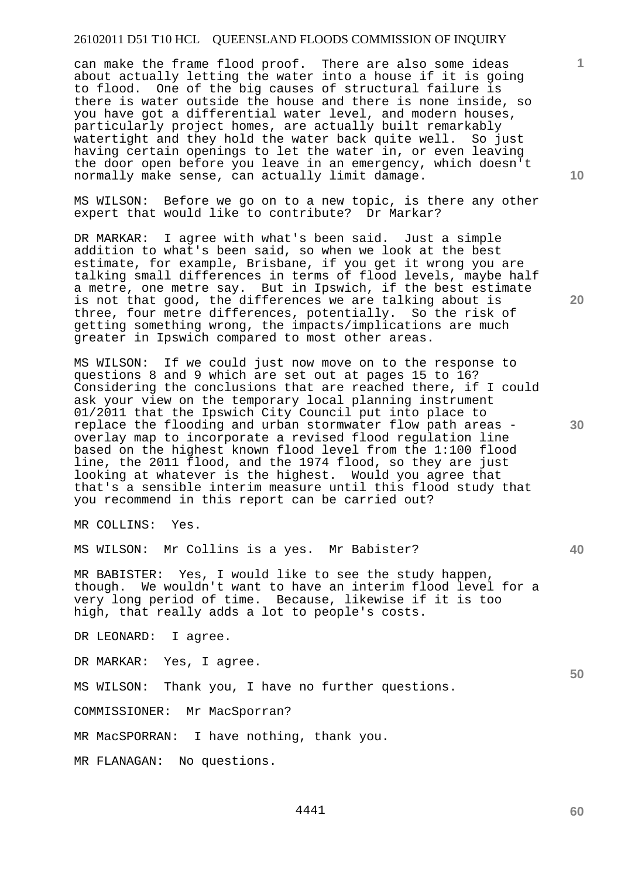can make the frame flood proof. There are also some ideas about actually letting the water into a house if it is going to flood. One of the big causes of structural failure is there is water outside the house and there is none inside, so you have got a differential water level, and modern houses, particularly project homes, are actually built remarkably watertight and they hold the water back quite well. So just having certain openings to let the water in, or even leaving the door open before you leave in an emergency, which doesn't normally make sense, can actually limit damage.

MS WILSON: Before we go on to a new topic, is there any other expert that would like to contribute? Dr Markar?

DR MARKAR: I agree with what's been said. Just a simple addition to what's been said, so when we look at the best estimate, for example, Brisbane, if you get it wrong you are talking small differences in terms of flood levels, maybe half a metre, one metre say. But in Ipswich, if the best estimate is not that good, the differences we are talking about is three, four metre differences, potentially. So the risk of getting something wrong, the impacts/implications are much greater in Ipswich compared to most other areas.

MS WILSON: If we could just now move on to the response to questions 8 and 9 which are set out at pages 15 to 16? Considering the conclusions that are reached there, if I could ask your view on the temporary local planning instrument 01/2011 that the Ipswich City Council put into place to replace the flooding and urban stormwater flow path areas overlay map to incorporate a revised flood regulation line based on the highest known flood level from the 1:100 flood line, the 2011 flood, and the 1974 flood, so they are just looking at whatever is the highest. Would you agree that that's a sensible interim measure until this flood study that you recommend in this report can be carried out?

MR COLLINS: Yes.

MS WILSON: Mr Collins is a yes. Mr Babister?

MR BABISTER: Yes, I would like to see the study happen, though. We wouldn't want to have an interim flood level for a very long period of time. Because, likewise if it is too high, that really adds a lot to people's costs.

DR LEONARD: I agree.

DR MARKAR: Yes, I agree.

MS WILSON: Thank you, I have no further questions.

COMMISSIONER: Mr MacSporran?

MR MacSPORRAN: I have nothing, thank you.

MR FLANAGAN: No questions.

**10** 

**1**

**20** 

**40**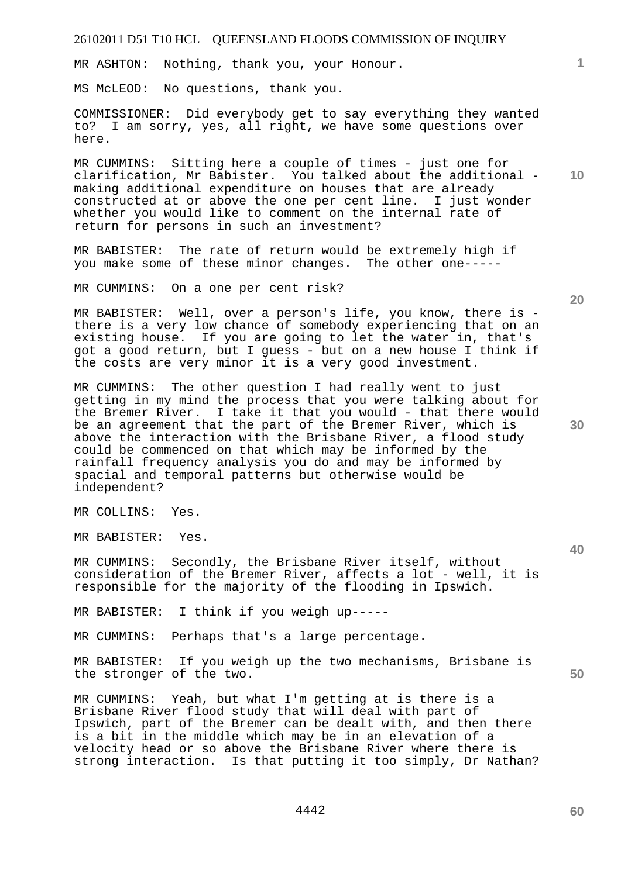MR ASHTON: Nothing, thank you, your Honour.

MS McLEOD: No questions, thank you.

COMMISSIONER: Did everybody get to say everything they wanted to? I am sorry, yes, all right, we have some questions over here.

**10**  MR CUMMINS: Sitting here a couple of times - just one for clarification, Mr Babister. You talked about the additional making additional expenditure on houses that are already constructed at or above the one per cent line. I just wonder whether you would like to comment on the internal rate of return for persons in such an investment?

MR BABISTER: The rate of return would be extremely high if you make some of these minor changes. The other one-----

MR CUMMINS: On a one per cent risk?

MR BABISTER: Well, over a person's life, you know, there is there is a very low chance of somebody experiencing that on an existing house. If you are going to let the water in, that's got a good return, but I guess - but on a new house I think if the costs are very minor it is a very good investment.

MR CUMMINS: The other question I had really went to just getting in my mind the process that you were talking about for the Bremer River. I take it that you would - that there would be an agreement that the part of the Bremer River, which is above the interaction with the Brisbane River, a flood study could be commenced on that which may be informed by the rainfall frequency analysis you do and may be informed by spacial and temporal patterns but otherwise would be independent?

MR COLLINS: Yes.

MR BABISTER: Yes.

MR CUMMINS: Secondly, the Brisbane River itself, without consideration of the Bremer River, affects a lot - well, it is responsible for the majority of the flooding in Ipswich.

MR BABISTER: I think if you weigh up-----

MR CUMMINS: Perhaps that's a large percentage.

MR BABISTER: If you weigh up the two mechanisms, Brisbane is the stronger of the two.

MR CUMMINS: Yeah, but what I'm getting at is there is a Brisbane River flood study that will deal with part of Ipswich, part of the Bremer can be dealt with, and then there is a bit in the middle which may be in an elevation of a velocity head or so above the Brisbane River where there is strong interaction. Is that putting it too simply, Dr Nathan? **30** 

**20** 

**40** 

**50**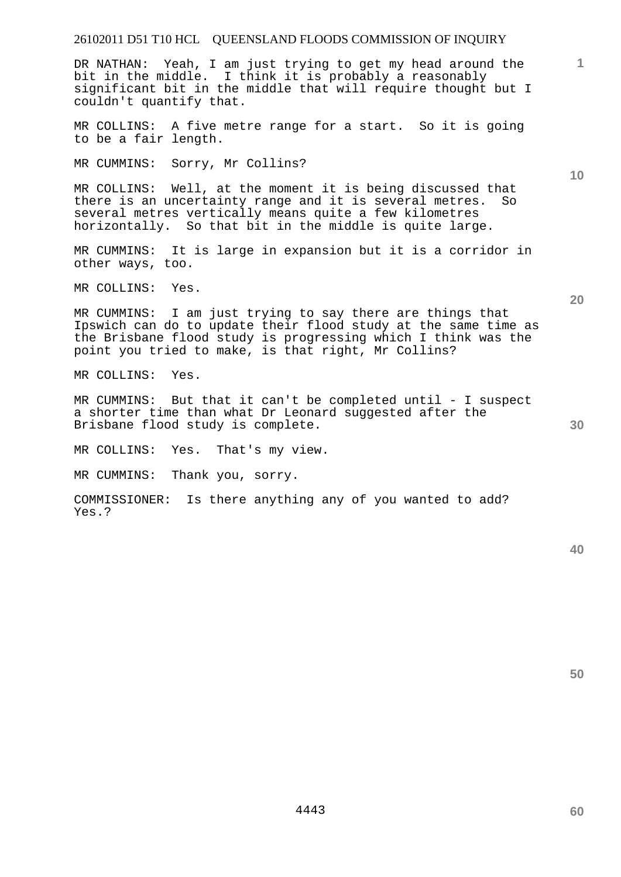DR NATHAN: Yeah, I am just trying to get my head around the bit in the middle. I think it is probably a reasonably significant bit in the middle that will require thought but I couldn't quantify that.

MR COLLINS: A five metre range for a start. So it is going to be a fair length.

MR CUMMINS: Sorry, Mr Collins?

MR COLLINS: Well, at the moment it is being discussed that there is an uncertainty range and it is several metres. So several metres vertically means quite a few kilometres horizontally. So that bit in the middle is quite large.

MR CUMMINS: It is large in expansion but it is a corridor in other ways, too.

MR COLLINS: Yes.

MR CUMMINS: I am just trying to say there are things that Ipswich can do to update their flood study at the same time as the Brisbane flood study is progressing which I think was the point you tried to make, is that right, Mr Collins?

MR COLLINS: Yes.

MR CUMMINS: But that it can't be completed until - I suspect a shorter time than what Dr Leonard suggested after the Brisbane flood study is complete.

MR COLLINS: Yes. That's my view.

MR CUMMINS: Thank you, sorry.

COMMISSIONER: Is there anything any of you wanted to add? Yes.?

**10** 

**20** 

**30** 

**1**